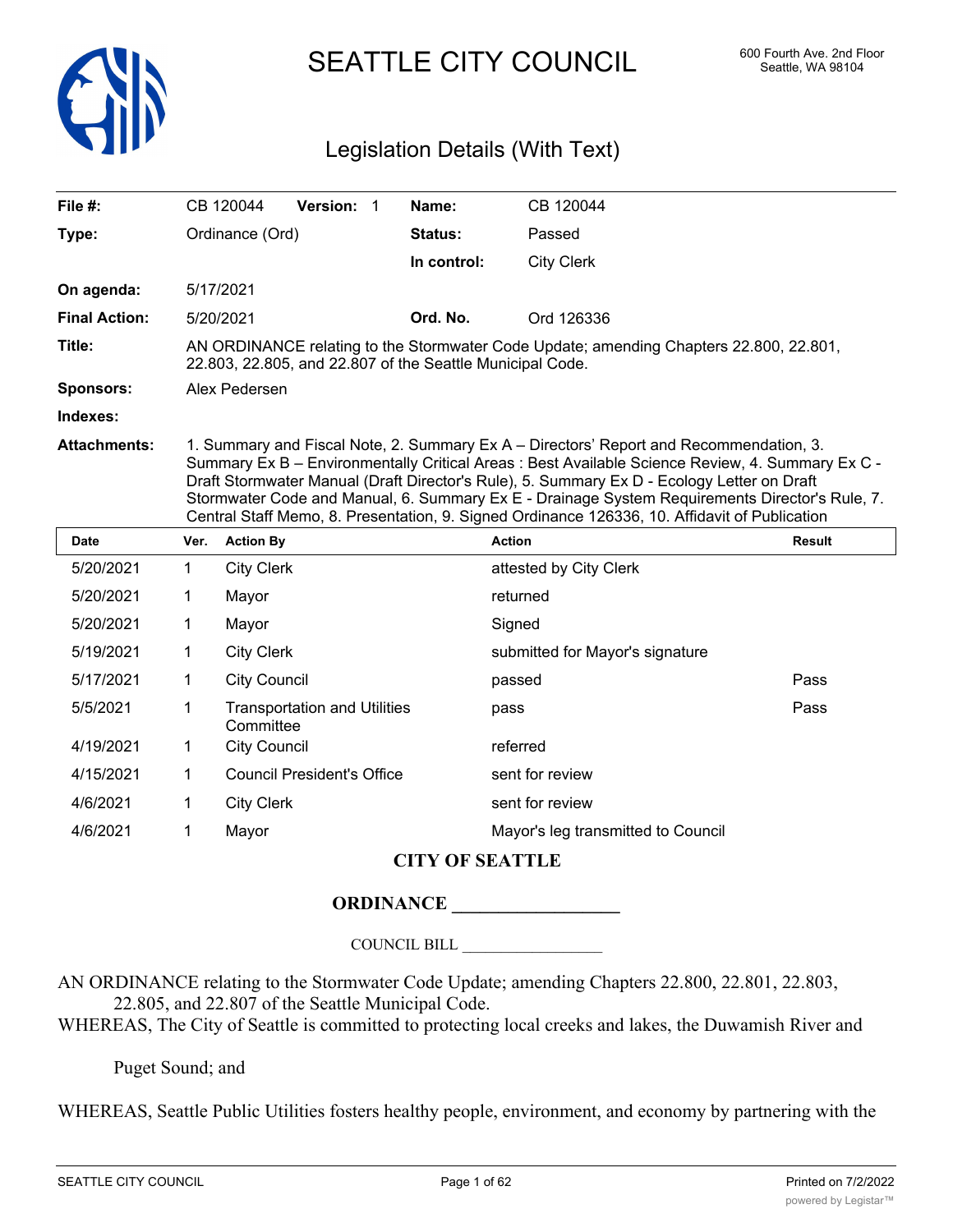

SEATTLE CITY COUNCIL 600 Fourth Ave. 2nd Floor

# Legislation Details (With Text)

| File #:              |             | CB 120044           | Version: 1                          | Name:       | CB 120044                                                                                                                                                                                                                                                                                                                                                                                                                                                                                   |        |
|----------------------|-------------|---------------------|-------------------------------------|-------------|---------------------------------------------------------------------------------------------------------------------------------------------------------------------------------------------------------------------------------------------------------------------------------------------------------------------------------------------------------------------------------------------------------------------------------------------------------------------------------------------|--------|
| Type:                |             | Ordinance (Ord)     |                                     | Status:     | Passed                                                                                                                                                                                                                                                                                                                                                                                                                                                                                      |        |
|                      |             |                     |                                     | In control: | <b>City Clerk</b>                                                                                                                                                                                                                                                                                                                                                                                                                                                                           |        |
| On agenda:           |             | 5/17/2021           |                                     |             |                                                                                                                                                                                                                                                                                                                                                                                                                                                                                             |        |
| <b>Final Action:</b> |             | 5/20/2021           |                                     | Ord. No.    | Ord 126336                                                                                                                                                                                                                                                                                                                                                                                                                                                                                  |        |
| Title:               |             |                     |                                     |             | AN ORDINANCE relating to the Stormwater Code Update; amending Chapters 22.800, 22.801,<br>22.803, 22.805, and 22.807 of the Seattle Municipal Code.                                                                                                                                                                                                                                                                                                                                         |        |
| <b>Sponsors:</b>     |             | Alex Pedersen       |                                     |             |                                                                                                                                                                                                                                                                                                                                                                                                                                                                                             |        |
| Indexes:             |             |                     |                                     |             |                                                                                                                                                                                                                                                                                                                                                                                                                                                                                             |        |
| <b>Attachments:</b>  |             |                     |                                     |             | 1. Summary and Fiscal Note, 2. Summary Ex A – Directors' Report and Recommendation, 3.<br>Summary Ex B - Environmentally Critical Areas : Best Available Science Review, 4. Summary Ex C -<br>Draft Stormwater Manual (Draft Director's Rule), 5. Summary Ex D - Ecology Letter on Draft<br>Stormwater Code and Manual, 6. Summary Ex E - Drainage System Requirements Director's Rule, 7.<br>Central Staff Memo, 8. Presentation, 9. Signed Ordinance 126336, 10. Affidavit of Publication |        |
| <b>Date</b>          | Ver.        | <b>Action By</b>    |                                     |             | <b>Action</b>                                                                                                                                                                                                                                                                                                                                                                                                                                                                               | Result |
| 5/20/2021            | 1           | <b>City Clerk</b>   |                                     |             | attested by City Clerk                                                                                                                                                                                                                                                                                                                                                                                                                                                                      |        |
| 5/20/2021            | 1           | Mayor               |                                     |             | returned                                                                                                                                                                                                                                                                                                                                                                                                                                                                                    |        |
| 5/20/2021            | 1           | Mayor               |                                     |             | Signed                                                                                                                                                                                                                                                                                                                                                                                                                                                                                      |        |
| 5/19/2021            | 1           | <b>City Clerk</b>   |                                     |             | submitted for Mayor's signature                                                                                                                                                                                                                                                                                                                                                                                                                                                             |        |
| 5/17/2021            | 1           | <b>City Council</b> |                                     |             | passed                                                                                                                                                                                                                                                                                                                                                                                                                                                                                      | Pass   |
| 5/5/2021             | 1           | Committee           | <b>Transportation and Utilities</b> |             | pass                                                                                                                                                                                                                                                                                                                                                                                                                                                                                        | Pass   |
| 4/19/2021            | 1.          | <b>City Council</b> |                                     |             | referred                                                                                                                                                                                                                                                                                                                                                                                                                                                                                    |        |
| 4/15/2021            | $\mathbf 1$ |                     | <b>Council President's Office</b>   |             | sent for review                                                                                                                                                                                                                                                                                                                                                                                                                                                                             |        |
| 4/6/2021             | 1           | <b>City Clerk</b>   |                                     |             | sent for review                                                                                                                                                                                                                                                                                                                                                                                                                                                                             |        |

# **CITY OF SEATTLE**

# **ORDINANCE \_\_\_\_\_\_\_\_\_\_\_\_\_\_\_\_\_\_**

4/6/2021 1 Mayor Mayor's leg transmitted to Council

COUNCIL BILL \_\_\_\_\_\_\_\_\_\_\_\_\_\_\_\_\_\_

AN ORDINANCE relating to the Stormwater Code Update; amending Chapters 22.800, 22.801, 22.803, 22.805, and 22.807 of the Seattle Municipal Code.

WHEREAS, The City of Seattle is committed to protecting local creeks and lakes, the Duwamish River and

Puget Sound; and

WHEREAS, Seattle Public Utilities fosters healthy people, environment, and economy by partnering with the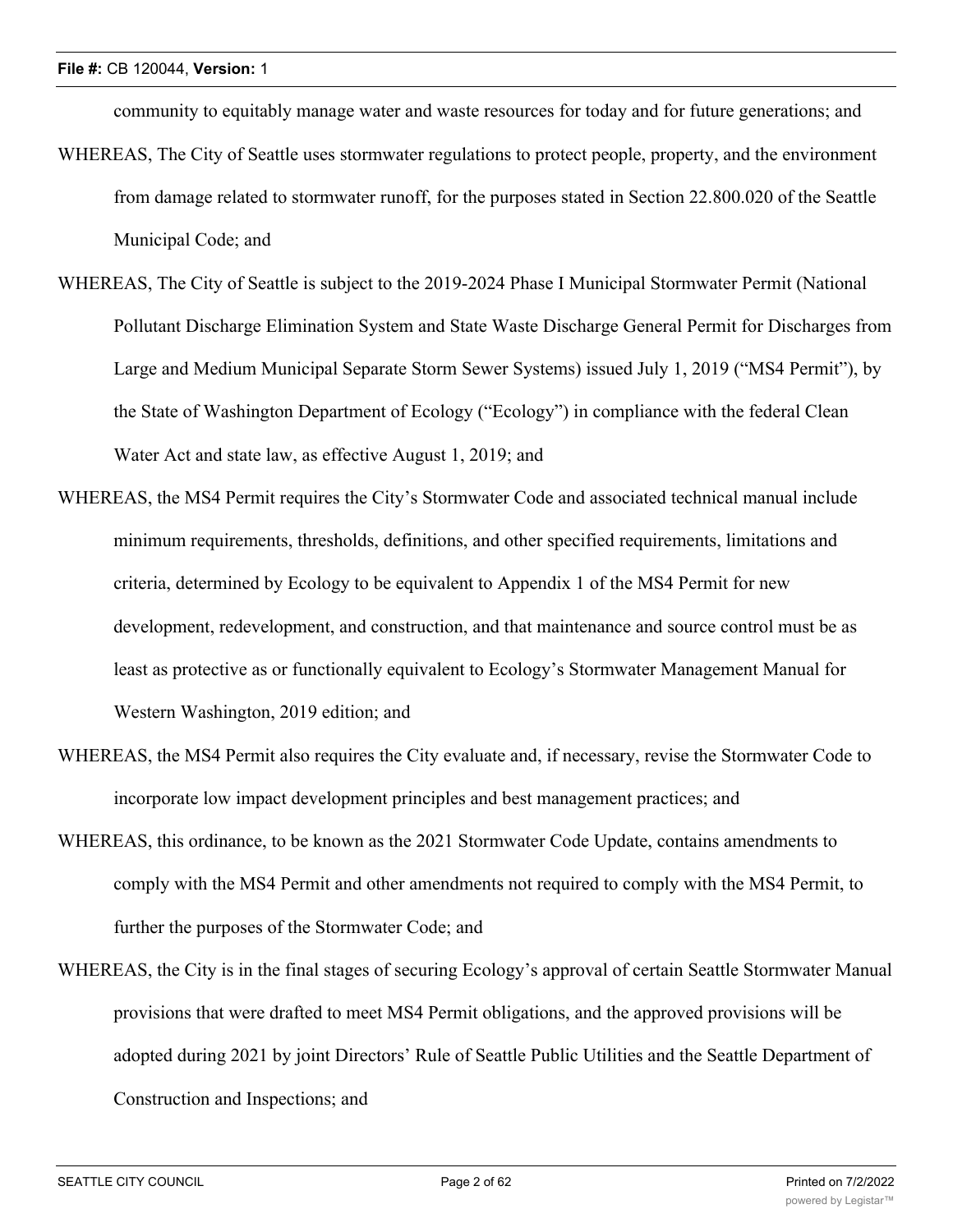community to equitably manage water and waste resources for today and for future generations; and

- WHEREAS, The City of Seattle uses stormwater regulations to protect people, property, and the environment from damage related to stormwater runoff, for the purposes stated in Section 22.800.020 of the Seattle Municipal Code; and
- WHEREAS, The City of Seattle is subject to the 2019-2024 Phase I Municipal Stormwater Permit (National Pollutant Discharge Elimination System and State Waste Discharge General Permit for Discharges from Large and Medium Municipal Separate Storm Sewer Systems) issued July 1, 2019 ("MS4 Permit"), by the State of Washington Department of Ecology ("Ecology") in compliance with the federal Clean Water Act and state law, as effective August 1, 2019; and
- WHEREAS, the MS4 Permit requires the City's Stormwater Code and associated technical manual include minimum requirements, thresholds, definitions, and other specified requirements, limitations and criteria, determined by Ecology to be equivalent to Appendix 1 of the MS4 Permit for new development, redevelopment, and construction, and that maintenance and source control must be as least as protective as or functionally equivalent to Ecology's Stormwater Management Manual for Western Washington, 2019 edition; and
- WHEREAS, the MS4 Permit also requires the City evaluate and, if necessary, revise the Stormwater Code to incorporate low impact development principles and best management practices; and
- WHEREAS, this ordinance, to be known as the 2021 Stormwater Code Update, contains amendments to comply with the MS4 Permit and other amendments not required to comply with the MS4 Permit, to further the purposes of the Stormwater Code; and
- WHEREAS, the City is in the final stages of securing Ecology's approval of certain Seattle Stormwater Manual provisions that were drafted to meet MS4 Permit obligations, and the approved provisions will be adopted during 2021 by joint Directors' Rule of Seattle Public Utilities and the Seattle Department of Construction and Inspections; and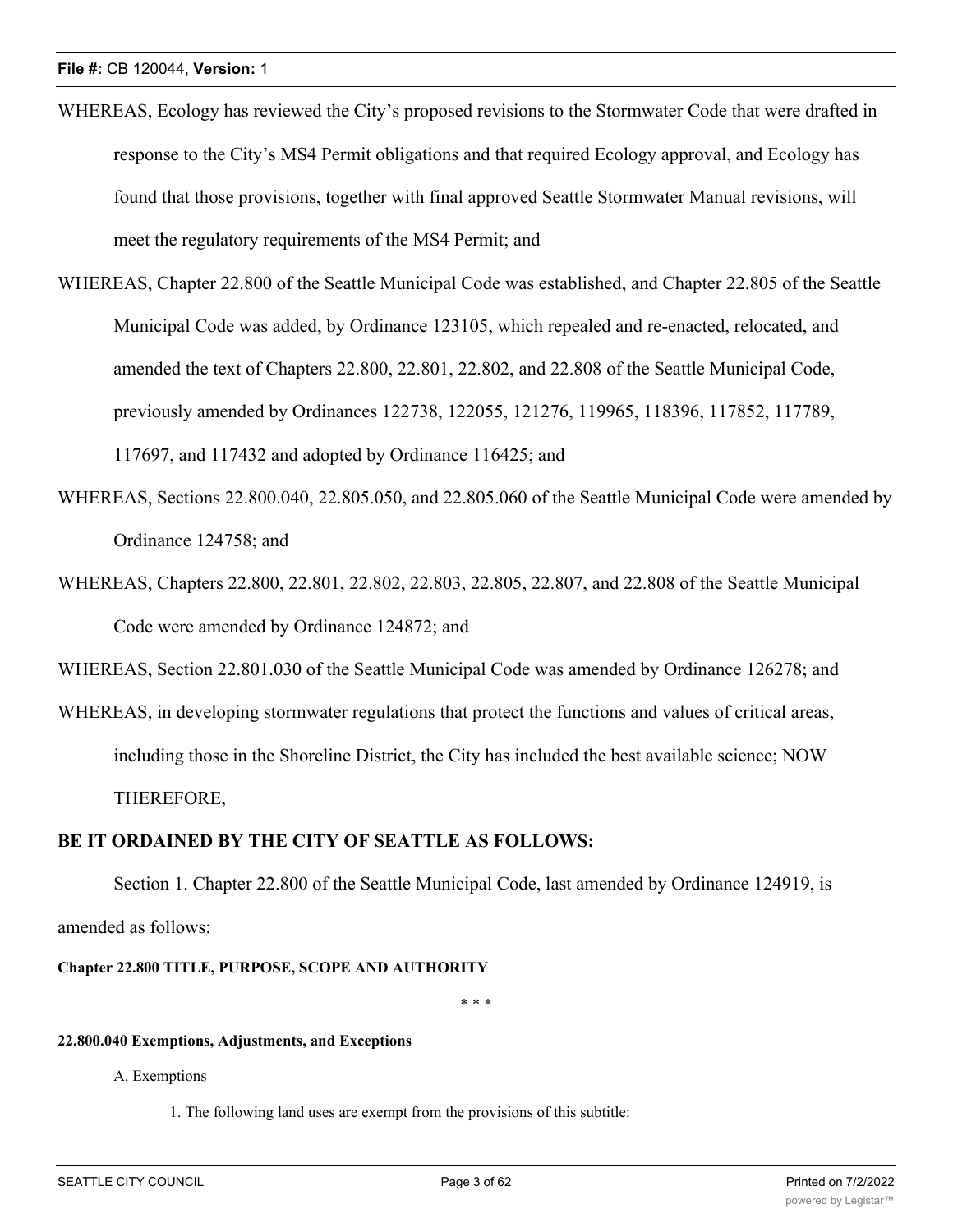- WHEREAS, Ecology has reviewed the City's proposed revisions to the Stormwater Code that were drafted in response to the City's MS4 Permit obligations and that required Ecology approval, and Ecology has found that those provisions, together with final approved Seattle Stormwater Manual revisions, will meet the regulatory requirements of the MS4 Permit; and
- WHEREAS, Chapter 22.800 of the Seattle Municipal Code was established, and Chapter 22.805 of the Seattle Municipal Code was added, by Ordinance 123105, which repealed and re-enacted, relocated, and amended the text of Chapters 22.800, 22.801, 22.802, and 22.808 of the Seattle Municipal Code, previously amended by Ordinances 122738, 122055, 121276, 119965, 118396, 117852, 117789, 117697, and 117432 and adopted by Ordinance 116425; and
- WHEREAS, Sections 22.800.040, 22.805.050, and 22.805.060 of the Seattle Municipal Code were amended by Ordinance 124758; and
- WHEREAS, Chapters 22.800, 22.801, 22.802, 22.803, 22.805, 22.807, and 22.808 of the Seattle Municipal Code were amended by Ordinance 124872; and

WHEREAS, Section 22.801.030 of the Seattle Municipal Code was amended by Ordinance 126278; and

WHEREAS, in developing stormwater regulations that protect the functions and values of critical areas, including those in the Shoreline District, the City has included the best available science; NOW THEREFORE,

# **BE IT ORDAINED BY THE CITY OF SEATTLE AS FOLLOWS:**

Section 1. Chapter 22.800 of the Seattle Municipal Code, last amended by Ordinance 124919, is amended as follows:

## **Chapter 22.800 TITLE, PURPOSE, SCOPE AND AUTHORITY**

\* \* \*

## **22.800.040 Exemptions, Adjustments, and Exceptions**

A. Exemptions

1. The following land uses are exempt from the provisions of this subtitle: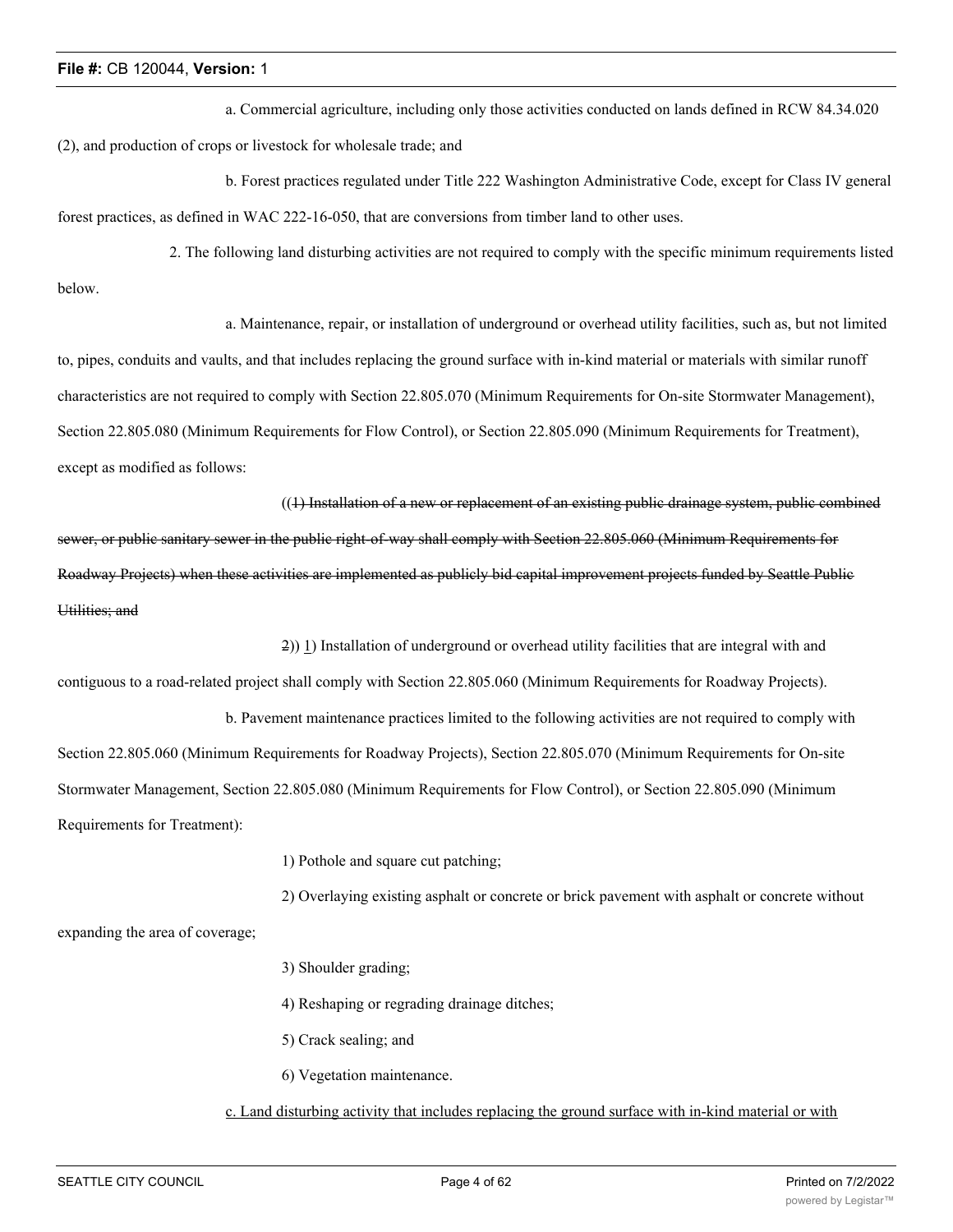a. Commercial agriculture, including only those activities conducted on lands defined in RCW 84.34.020 (2), and production of crops or livestock for wholesale trade; and

b. Forest practices regulated under Title 222 Washington Administrative Code, except for Class IV general forest practices, as defined in WAC 222-16-050, that are conversions from timber land to other uses.

2. The following land disturbing activities are not required to comply with the specific minimum requirements listed below.

a. Maintenance, repair, or installation of underground or overhead utility facilities, such as, but not limited to, pipes, conduits and vaults, and that includes replacing the ground surface with in-kind material or materials with similar runoff characteristics are not required to comply with Section 22.805.070 (Minimum Requirements for On-site Stormwater Management), Section 22.805.080 (Minimum Requirements for Flow Control), or Section 22.805.090 (Minimum Requirements for Treatment), except as modified as follows:

((1) Installation of a new or replacement of an existing public drainage system, public combined sewer, or public sanitary sewer in the public right-of-way shall comply with Section 22.805.060 (Minimum Requirements for Roadway Projects) when these activities are implemented as publicly bid capital improvement projects funded by Seattle Public Utilities; and

2)) 1) Installation of underground or overhead utility facilities that are integral with and

contiguous to a road-related project shall comply with Section 22.805.060 (Minimum Requirements for Roadway Projects).

b. Pavement maintenance practices limited to the following activities are not required to comply with Section 22.805.060 (Minimum Requirements for Roadway Projects), Section 22.805.070 (Minimum Requirements for On-site Stormwater Management, Section 22.805.080 (Minimum Requirements for Flow Control), or Section 22.805.090 (Minimum Requirements for Treatment):

1) Pothole and square cut patching;

2) Overlaying existing asphalt or concrete or brick pavement with asphalt or concrete without

expanding the area of coverage;

- 3) Shoulder grading;
- 4) Reshaping or regrading drainage ditches;
- 5) Crack sealing; and
- 6) Vegetation maintenance.

c. Land disturbing activity that includes replacing the ground surface with in-kind material or with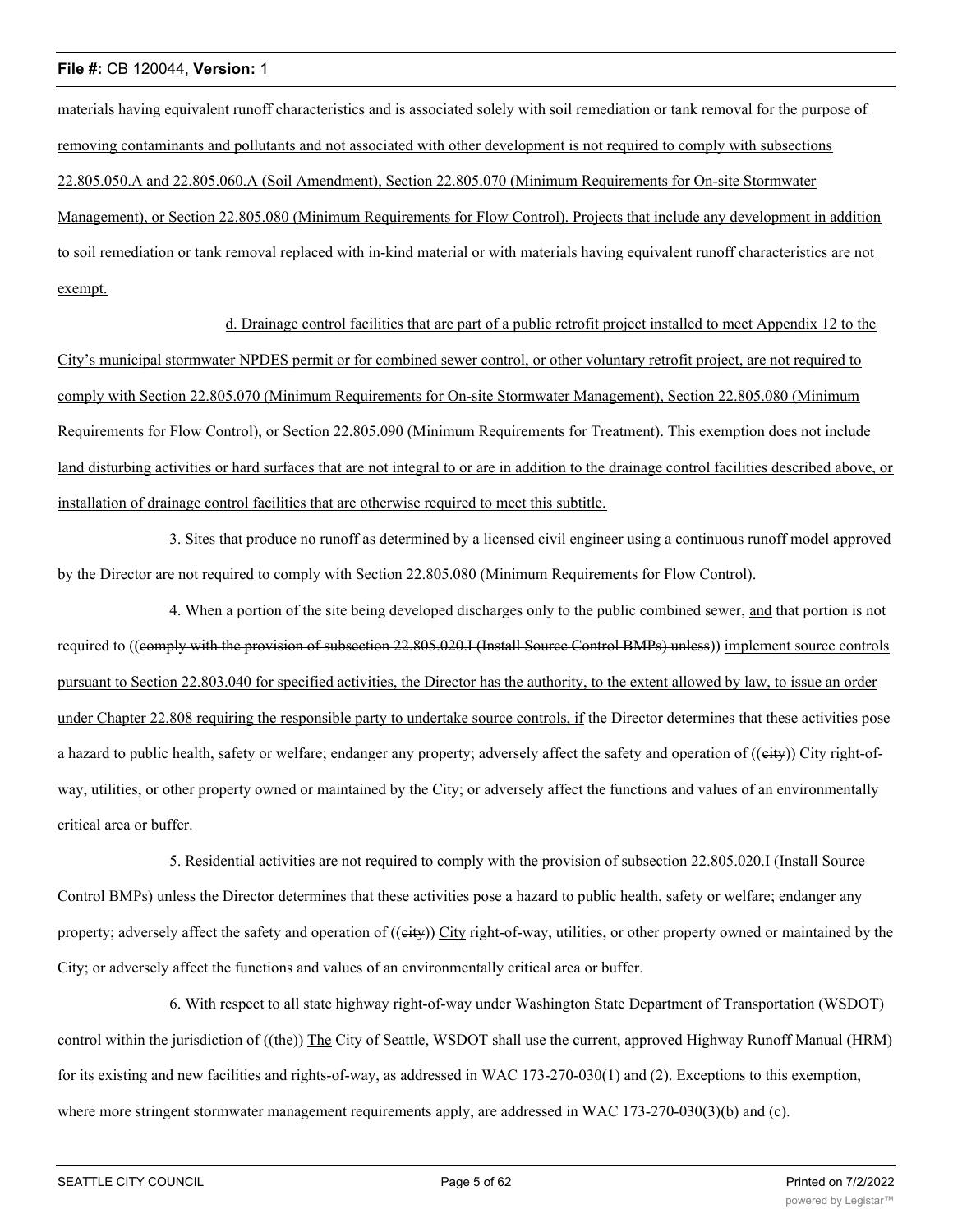materials having equivalent runoff characteristics and is associated solely with soil remediation or tank removal for the purpose of removing contaminants and pollutants and not associated with other development is not required to comply with subsections 22.805.050.A and 22.805.060.A (Soil Amendment), Section 22.805.070 (Minimum Requirements for On-site Stormwater Management), or Section 22.805.080 (Minimum Requirements for Flow Control). Projects that include any development in addition to soil remediation or tank removal replaced with in-kind material or with materials having equivalent runoff characteristics are not exempt.

d. Drainage control facilities that are part of a public retrofit project installed to meet Appendix 12 to the City's municipal stormwater NPDES permit or for combined sewer control, or other voluntary retrofit project, are not required to comply with Section 22.805.070 (Minimum Requirements for On-site Stormwater Management), Section 22.805.080 (Minimum Requirements for Flow Control), or Section 22.805.090 (Minimum Requirements for Treatment). This exemption does not include land disturbing activities or hard surfaces that are not integral to or are in addition to the drainage control facilities described above, or installation of drainage control facilities that are otherwise required to meet this subtitle.

3. Sites that produce no runoff as determined by a licensed civil engineer using a continuous runoff model approved by the Director are not required to comply with Section 22.805.080 (Minimum Requirements for Flow Control).

4. When a portion of the site being developed discharges only to the public combined sewer, and that portion is not required to ((comply with the provision of subsection 22.805.020.I (Install Source Control BMPs) unless)) implement source controls pursuant to Section 22.803.040 for specified activities, the Director has the authority, to the extent allowed by law, to issue an order under Chapter 22.808 requiring the responsible party to undertake source controls, if the Director determines that these activities pose a hazard to public health, safety or welfare; endanger any property; adversely affect the safety and operation of ((eity)) City right-ofway, utilities, or other property owned or maintained by the City; or adversely affect the functions and values of an environmentally critical area or buffer.

5. Residential activities are not required to comply with the provision of subsection 22.805.020.I (Install Source Control BMPs) unless the Director determines that these activities pose a hazard to public health, safety or welfare; endanger any property; adversely affect the safety and operation of ((eity)) City right-of-way, utilities, or other property owned or maintained by the City; or adversely affect the functions and values of an environmentally critical area or buffer.

6. With respect to all state highway right-of-way under Washington State Department of Transportation (WSDOT) control within the jurisdiction of ((the)) The City of Seattle, WSDOT shall use the current, approved Highway Runoff Manual (HRM) for its existing and new facilities and rights-of-way, as addressed in WAC 173-270-030(1) and (2). Exceptions to this exemption, where more stringent stormwater management requirements apply, are addressed in WAC 173-270-030(3)(b) and (c).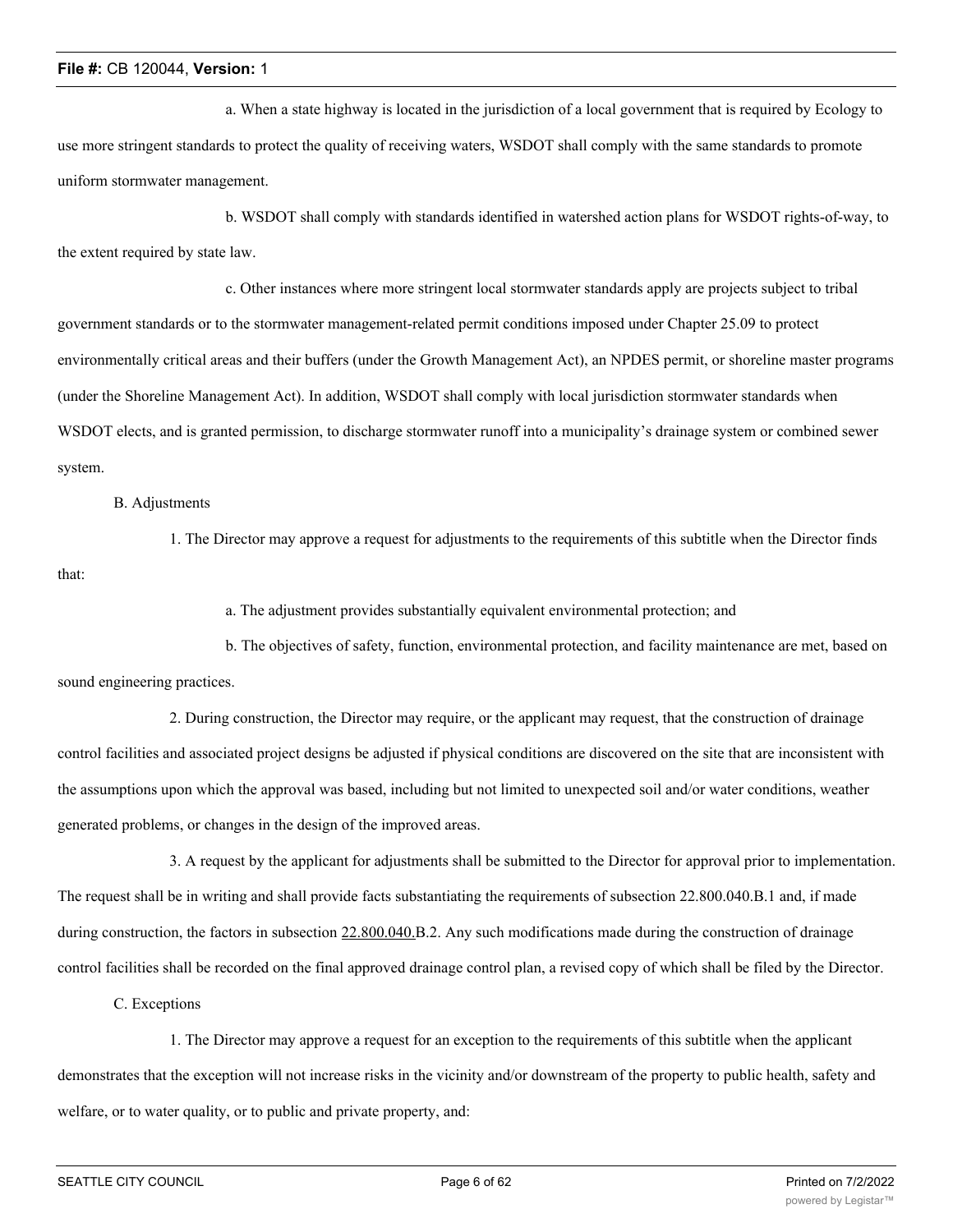a. When a state highway is located in the jurisdiction of a local government that is required by Ecology to use more stringent standards to protect the quality of receiving waters, WSDOT shall comply with the same standards to promote uniform stormwater management.

b. WSDOT shall comply with standards identified in watershed action plans for WSDOT rights-of-way, to the extent required by state law.

c. Other instances where more stringent local stormwater standards apply are projects subject to tribal government standards or to the stormwater management-related permit conditions imposed under Chapter 25.09 to protect environmentally critical areas and their buffers (under the Growth Management Act), an NPDES permit, or shoreline master programs (under the Shoreline Management Act). In addition, WSDOT shall comply with local jurisdiction stormwater standards when WSDOT elects, and is granted permission, to discharge stormwater runoff into a municipality's drainage system or combined sewer system.

#### B. Adjustments

1. The Director may approve a request for adjustments to the requirements of this subtitle when the Director finds that:

a. The adjustment provides substantially equivalent environmental protection; and

b. The objectives of safety, function, environmental protection, and facility maintenance are met, based on sound engineering practices.

2. During construction, the Director may require, or the applicant may request, that the construction of drainage control facilities and associated project designs be adjusted if physical conditions are discovered on the site that are inconsistent with the assumptions upon which the approval was based, including but not limited to unexpected soil and/or water conditions, weather generated problems, or changes in the design of the improved areas.

3. A request by the applicant for adjustments shall be submitted to the Director for approval prior to implementation. The request shall be in writing and shall provide facts substantiating the requirements of subsection 22.800.040.B.1 and, if made during construction, the factors in subsection 22.800.040.B.2. Any such modifications made during the construction of drainage control facilities shall be recorded on the final approved drainage control plan, a revised copy of which shall be filed by the Director.

C. Exceptions

1. The Director may approve a request for an exception to the requirements of this subtitle when the applicant demonstrates that the exception will not increase risks in the vicinity and/or downstream of the property to public health, safety and welfare, or to water quality, or to public and private property, and: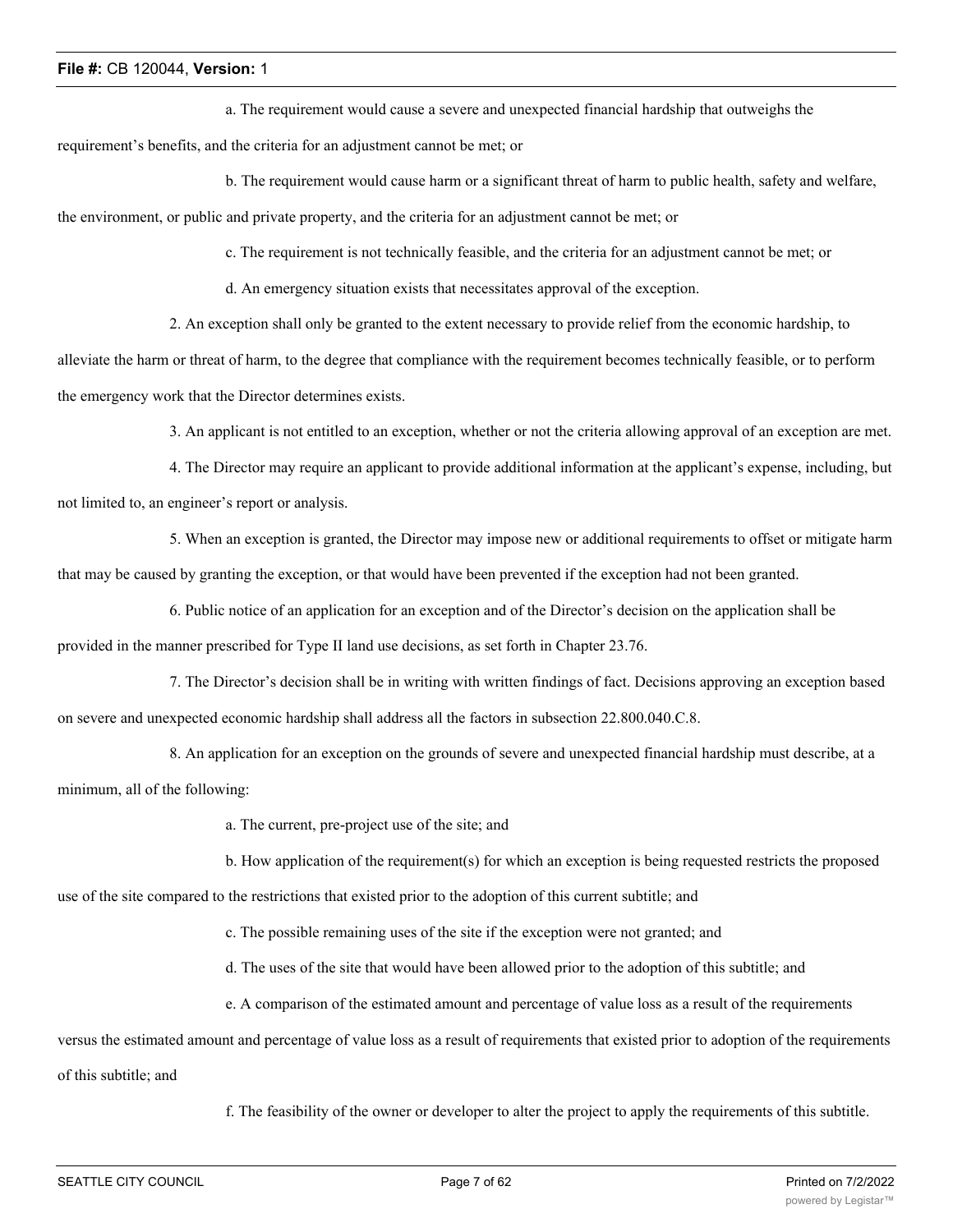a. The requirement would cause a severe and unexpected financial hardship that outweighs the

requirement's benefits, and the criteria for an adjustment cannot be met; or

b. The requirement would cause harm or a significant threat of harm to public health, safety and welfare, the environment, or public and private property, and the criteria for an adjustment cannot be met; or

c. The requirement is not technically feasible, and the criteria for an adjustment cannot be met; or

d. An emergency situation exists that necessitates approval of the exception.

2. An exception shall only be granted to the extent necessary to provide relief from the economic hardship, to

alleviate the harm or threat of harm, to the degree that compliance with the requirement becomes technically feasible, or to perform the emergency work that the Director determines exists.

3. An applicant is not entitled to an exception, whether or not the criteria allowing approval of an exception are met.

4. The Director may require an applicant to provide additional information at the applicant's expense, including, but not limited to, an engineer's report or analysis.

5. When an exception is granted, the Director may impose new or additional requirements to offset or mitigate harm that may be caused by granting the exception, or that would have been prevented if the exception had not been granted.

6. Public notice of an application for an exception and of the Director's decision on the application shall be provided in the manner prescribed for Type II land use decisions, as set forth in Chapter 23.76.

7. The Director's decision shall be in writing with written findings of fact. Decisions approving an exception based on severe and unexpected economic hardship shall address all the factors in subsection 22.800.040.C.8.

8. An application for an exception on the grounds of severe and unexpected financial hardship must describe, at a minimum, all of the following:

a. The current, pre-project use of the site; and

b. How application of the requirement(s) for which an exception is being requested restricts the proposed

use of the site compared to the restrictions that existed prior to the adoption of this current subtitle; and

c. The possible remaining uses of the site if the exception were not granted; and

d. The uses of the site that would have been allowed prior to the adoption of this subtitle; and

e. A comparison of the estimated amount and percentage of value loss as a result of the requirements

versus the estimated amount and percentage of value loss as a result of requirements that existed prior to adoption of the requirements

of this subtitle; and

f. The feasibility of the owner or developer to alter the project to apply the requirements of this subtitle.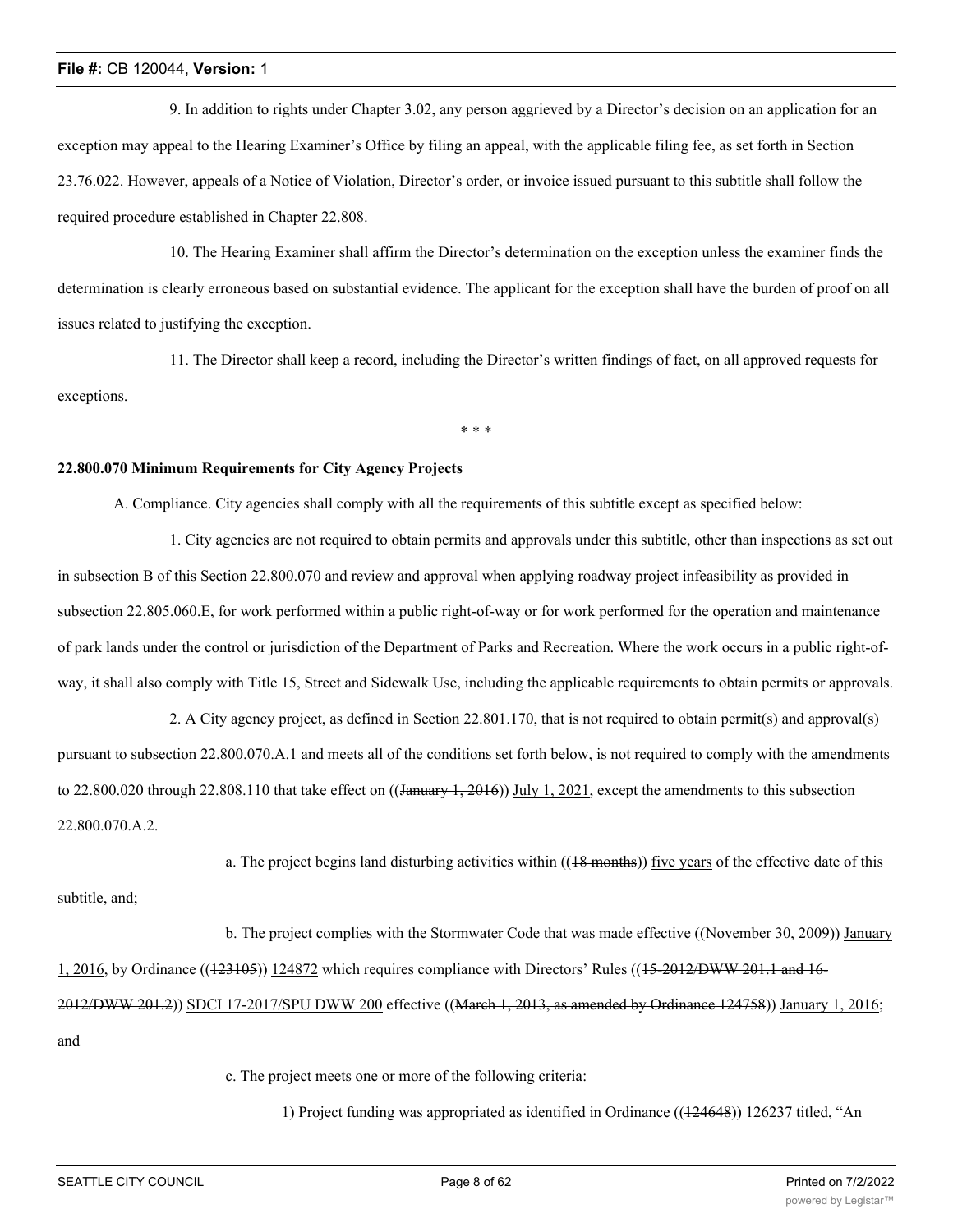9. In addition to rights under Chapter 3.02, any person aggrieved by a Director's decision on an application for an exception may appeal to the Hearing Examiner's Office by filing an appeal, with the applicable filing fee, as set forth in Section 23.76.022. However, appeals of a Notice of Violation, Director's order, or invoice issued pursuant to this subtitle shall follow the required procedure established in Chapter 22.808.

10. The Hearing Examiner shall affirm the Director's determination on the exception unless the examiner finds the determination is clearly erroneous based on substantial evidence. The applicant for the exception shall have the burden of proof on all issues related to justifying the exception.

11. The Director shall keep a record, including the Director's written findings of fact, on all approved requests for exceptions.

\* \* \*

#### **22.800.070 Minimum Requirements for City Agency Projects**

A. Compliance. City agencies shall comply with all the requirements of this subtitle except as specified below:

1. City agencies are not required to obtain permits and approvals under this subtitle, other than inspections as set out in subsection B of this Section 22.800.070 and review and approval when applying roadway project infeasibility as provided in subsection 22.805.060.E, for work performed within a public right-of-way or for work performed for the operation and maintenance of park lands under the control or jurisdiction of the Department of Parks and Recreation. Where the work occurs in a public right-ofway, it shall also comply with Title 15, Street and Sidewalk Use, including the applicable requirements to obtain permits or approvals.

2. A City agency project, as defined in Section 22.801.170, that is not required to obtain permit(s) and approval(s) pursuant to subsection 22.800.070.A.1 and meets all of the conditions set forth below, is not required to comply with the amendments to 22.800.020 through 22.808.110 that take effect on  $((\text{January } 1, 2016))$  July 1, 2021, except the amendments to this subsection 22.800.070.A.2.

a. The project begins land disturbing activities within ((18 months)) five years of the effective date of this

b. The project complies with the Stormwater Code that was made effective ((November 30, 2009)) January 1, 2016, by Ordinance ((123105)) 124872 which requires compliance with Directors' Rules ((15-2012/DWW 201.1 and 16- 2012/DWW 201.2)) SDCI 17-2017/SPU DWW 200 effective ((March 1, 2013, as amended by Ordinance 124758)) January 1, 2016; and

c. The project meets one or more of the following criteria:

1) Project funding was appropriated as identified in Ordinance ((124648)) 126237 titled, "An

subtitle, and;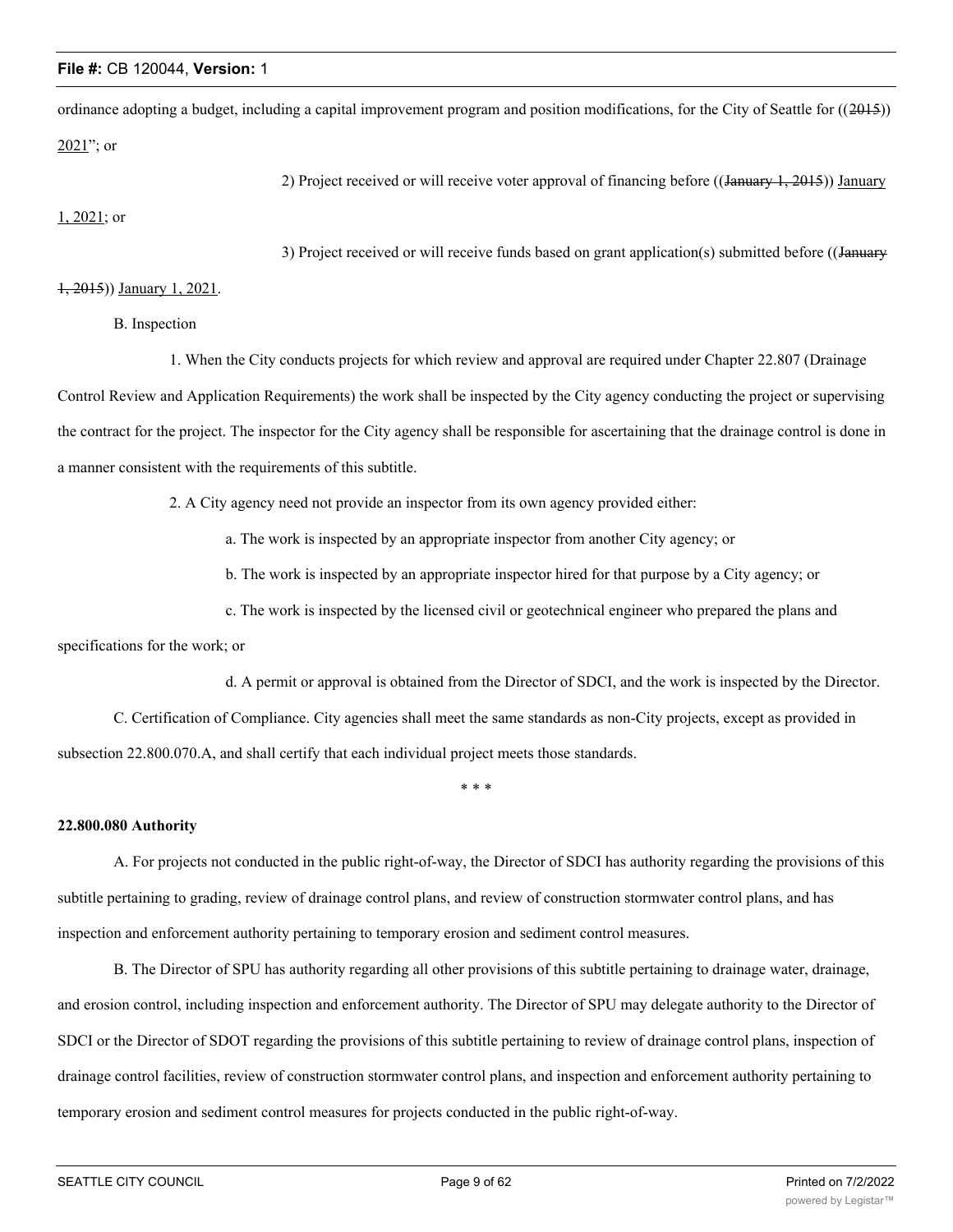ordinance adopting a budget, including a capital improvement program and position modifications, for the City of Seattle for  $((2015))$  $2021$ "; or

2) Project received or will receive voter approval of financing before ((January 1, 2015)) January

1, 2021; or

3) Project received or will receive funds based on grant application(s) submitted before ((January

#### 1, 2015)) January 1, 2021.

B. Inspection

1. When the City conducts projects for which review and approval are required under Chapter 22.807 (Drainage

Control Review and Application Requirements) the work shall be inspected by the City agency conducting the project or supervising the contract for the project. The inspector for the City agency shall be responsible for ascertaining that the drainage control is done in a manner consistent with the requirements of this subtitle.

2. A City agency need not provide an inspector from its own agency provided either:

a. The work is inspected by an appropriate inspector from another City agency; or

b. The work is inspected by an appropriate inspector hired for that purpose by a City agency; or

c. The work is inspected by the licensed civil or geotechnical engineer who prepared the plans and

specifications for the work; or

d. A permit or approval is obtained from the Director of SDCI, and the work is inspected by the Director.

C. Certification of Compliance. City agencies shall meet the same standards as non-City projects, except as provided in subsection 22.800.070.A, and shall certify that each individual project meets those standards.

\* \* \*

#### **22.800.080 Authority**

A. For projects not conducted in the public right-of-way, the Director of SDCI has authority regarding the provisions of this subtitle pertaining to grading, review of drainage control plans, and review of construction stormwater control plans, and has inspection and enforcement authority pertaining to temporary erosion and sediment control measures.

B. The Director of SPU has authority regarding all other provisions of this subtitle pertaining to drainage water, drainage, and erosion control, including inspection and enforcement authority. The Director of SPU may delegate authority to the Director of SDCI or the Director of SDOT regarding the provisions of this subtitle pertaining to review of drainage control plans, inspection of drainage control facilities, review of construction stormwater control plans, and inspection and enforcement authority pertaining to temporary erosion and sediment control measures for projects conducted in the public right-of-way.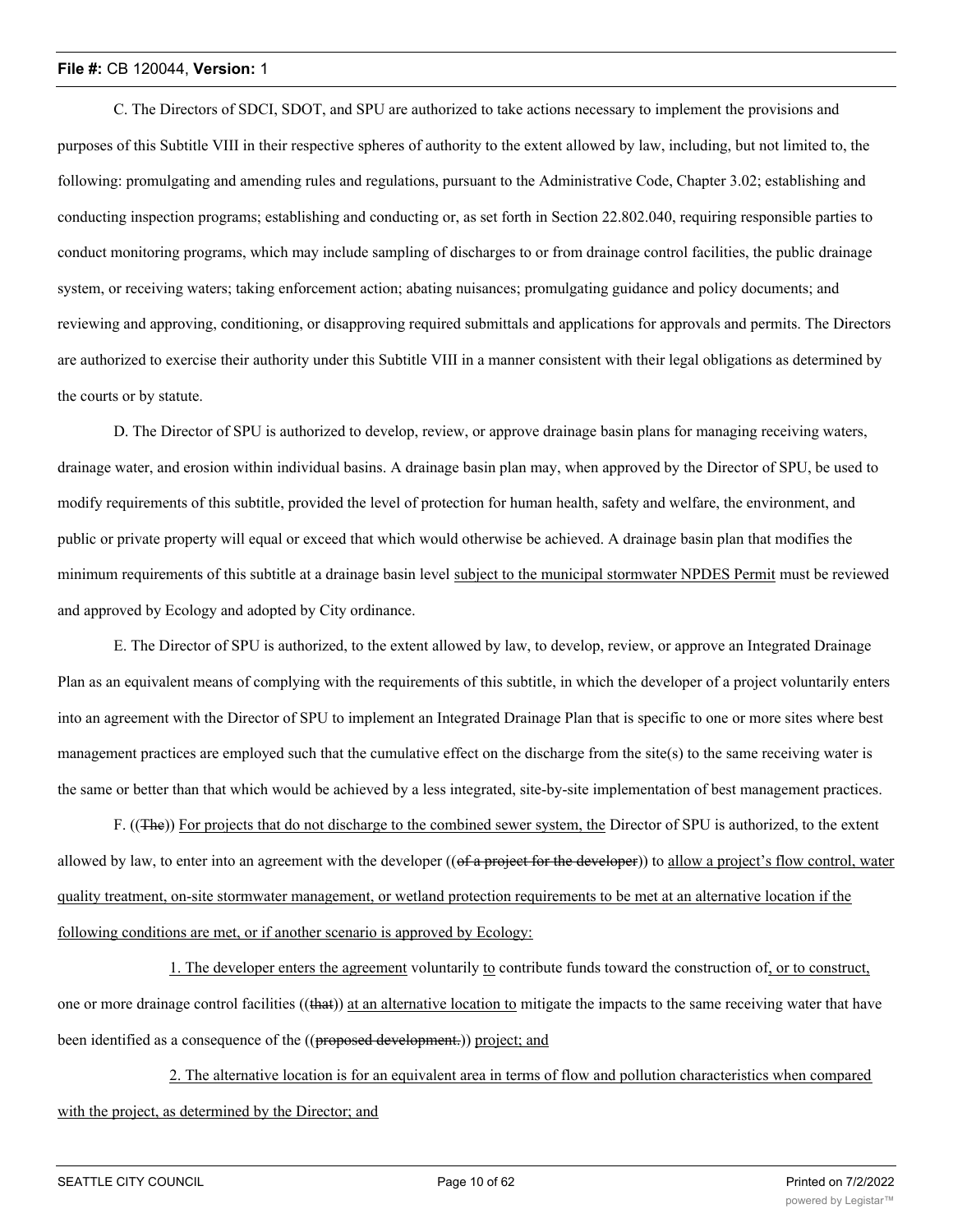C. The Directors of SDCI, SDOT, and SPU are authorized to take actions necessary to implement the provisions and purposes of this Subtitle VIII in their respective spheres of authority to the extent allowed by law, including, but not limited to, the following: promulgating and amending rules and regulations, pursuant to the Administrative Code, Chapter 3.02; establishing and conducting inspection programs; establishing and conducting or, as set forth in Section 22.802.040, requiring responsible parties to conduct monitoring programs, which may include sampling of discharges to or from drainage control facilities, the public drainage system, or receiving waters; taking enforcement action; abating nuisances; promulgating guidance and policy documents; and reviewing and approving, conditioning, or disapproving required submittals and applications for approvals and permits. The Directors are authorized to exercise their authority under this Subtitle VIII in a manner consistent with their legal obligations as determined by the courts or by statute.

D. The Director of SPU is authorized to develop, review, or approve drainage basin plans for managing receiving waters, drainage water, and erosion within individual basins. A drainage basin plan may, when approved by the Director of SPU, be used to modify requirements of this subtitle, provided the level of protection for human health, safety and welfare, the environment, and public or private property will equal or exceed that which would otherwise be achieved. A drainage basin plan that modifies the minimum requirements of this subtitle at a drainage basin level subject to the municipal stormwater NPDES Permit must be reviewed and approved by Ecology and adopted by City ordinance.

E. The Director of SPU is authorized, to the extent allowed by law, to develop, review, or approve an Integrated Drainage Plan as an equivalent means of complying with the requirements of this subtitle, in which the developer of a project voluntarily enters into an agreement with the Director of SPU to implement an Integrated Drainage Plan that is specific to one or more sites where best management practices are employed such that the cumulative effect on the discharge from the site(s) to the same receiving water is the same or better than that which would be achieved by a less integrated, site-by-site implementation of best management practices.

F. ((The)) For projects that do not discharge to the combined sewer system, the Director of SPU is authorized, to the extent allowed by law, to enter into an agreement with the developer ((of a project for the developer)) to allow a project's flow control, water quality treatment, on-site stormwater management, or wetland protection requirements to be met at an alternative location if the following conditions are met, or if another scenario is approved by Ecology:

1. The developer enters the agreement voluntarily to contribute funds toward the construction of, or to construct, one or more drainage control facilities ((that)) at an alternative location to mitigate the impacts to the same receiving water that have been identified as a consequence of the ((proposed development.)) project; and

2. The alternative location is for an equivalent area in terms of flow and pollution characteristics when compared with the project, as determined by the Director; and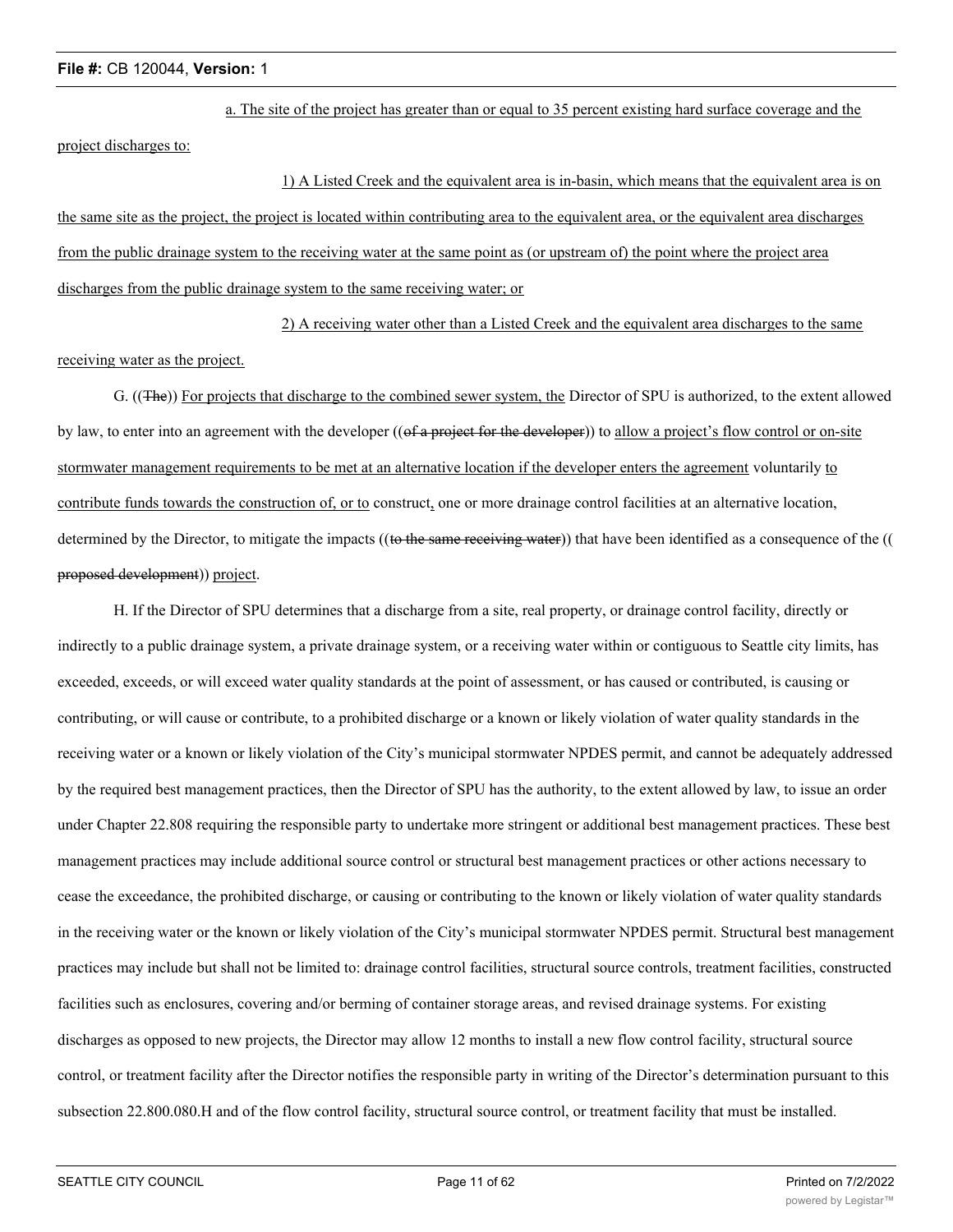a. The site of the project has greater than or equal to 35 percent existing hard surface coverage and the project discharges to:

1) A Listed Creek and the equivalent area is in-basin, which means that the equivalent area is on the same site as the project, the project is located within contributing area to the equivalent area, or the equivalent area discharges from the public drainage system to the receiving water at the same point as (or upstream of) the point where the project area discharges from the public drainage system to the same receiving water; or

2) A receiving water other than a Listed Creek and the equivalent area discharges to the same

## receiving water as the project.

G. ((The)) For projects that discharge to the combined sewer system, the Director of SPU is authorized, to the extent allowed by law, to enter into an agreement with the developer ((of a project for the developer)) to allow a project's flow control or on-site stormwater management requirements to be met at an alternative location if the developer enters the agreement voluntarily to contribute funds towards the construction of, or to construct, one or more drainage control facilities at an alternative location, determined by the Director, to mitigate the impacts ((to the same receiving water)) that have been identified as a consequence of the (( proposed development)) project.

H. If the Director of SPU determines that a discharge from a site, real property, or drainage control facility, directly or indirectly to a public drainage system, a private drainage system, or a receiving water within or contiguous to Seattle city limits, has exceeded, exceeds, or will exceed water quality standards at the point of assessment, or has caused or contributed, is causing or contributing, or will cause or contribute, to a prohibited discharge or a known or likely violation of water quality standards in the receiving water or a known or likely violation of the City's municipal stormwater NPDES permit, and cannot be adequately addressed by the required best management practices, then the Director of SPU has the authority, to the extent allowed by law, to issue an order under Chapter 22.808 requiring the responsible party to undertake more stringent or additional best management practices. These best management practices may include additional source control or structural best management practices or other actions necessary to cease the exceedance, the prohibited discharge, or causing or contributing to the known or likely violation of water quality standards in the receiving water or the known or likely violation of the City's municipal stormwater NPDES permit. Structural best management practices may include but shall not be limited to: drainage control facilities, structural source controls, treatment facilities, constructed facilities such as enclosures, covering and/or berming of container storage areas, and revised drainage systems. For existing discharges as opposed to new projects, the Director may allow 12 months to install a new flow control facility, structural source control, or treatment facility after the Director notifies the responsible party in writing of the Director's determination pursuant to this subsection 22.800.080.H and of the flow control facility, structural source control, or treatment facility that must be installed.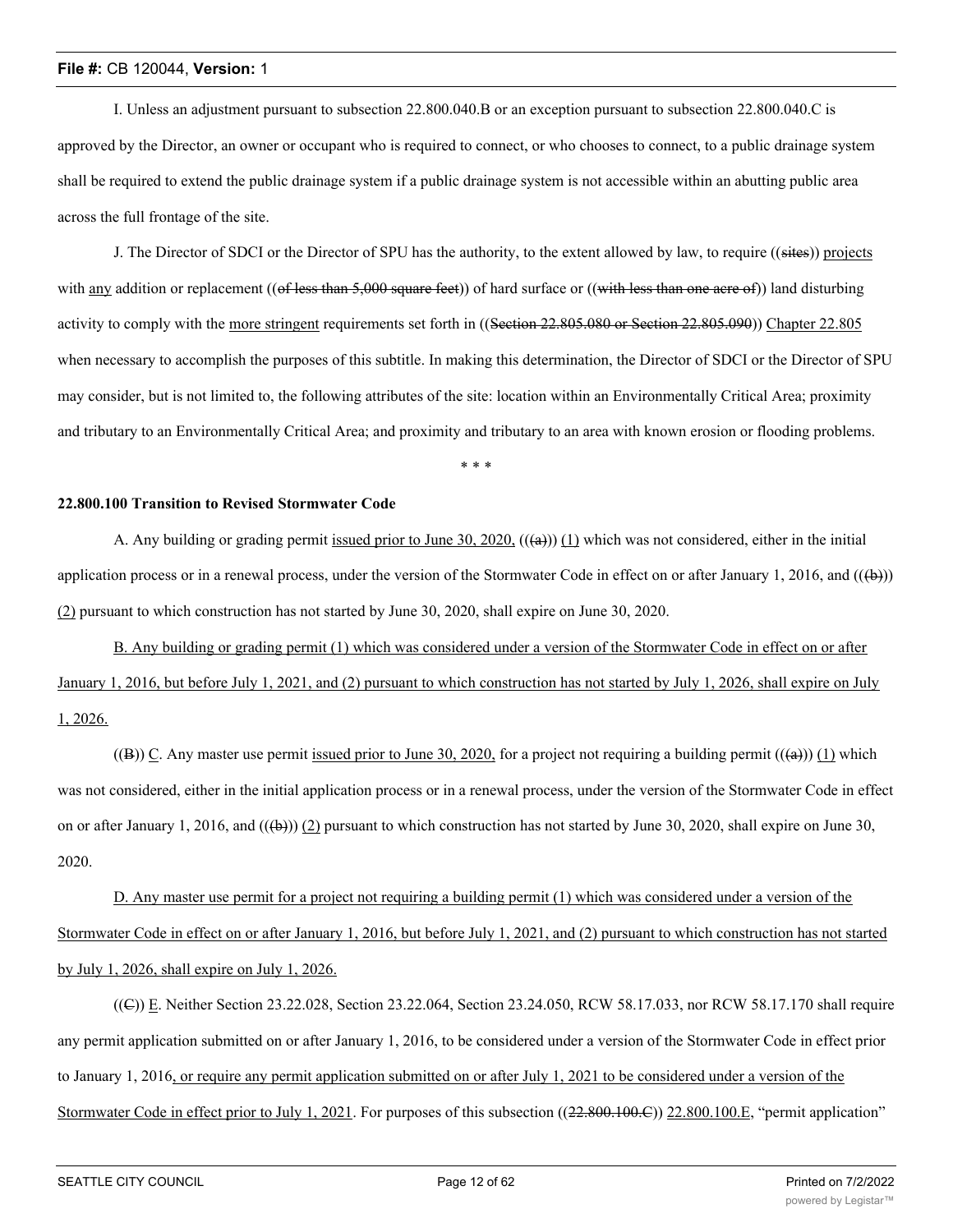I. Unless an adjustment pursuant to subsection 22.800.040.B or an exception pursuant to subsection 22.800.040.C is approved by the Director, an owner or occupant who is required to connect, or who chooses to connect, to a public drainage system shall be required to extend the public drainage system if a public drainage system is not accessible within an abutting public area across the full frontage of the site.

J. The Director of SDCI or the Director of SPU has the authority, to the extent allowed by law, to require ((sites)) projects with any addition or replacement ((of less than 5,000 square feet)) of hard surface or ((with less than one acre of)) land disturbing activity to comply with the more stringent requirements set forth in ((Section 22.805.080 or Section 22.805.090)) Chapter 22.805 when necessary to accomplish the purposes of this subtitle. In making this determination, the Director of SDCI or the Director of SPU may consider, but is not limited to, the following attributes of the site: location within an Environmentally Critical Area; proximity and tributary to an Environmentally Critical Area; and proximity and tributary to an area with known erosion or flooding problems.

\* \* \*

## **22.800.100 Transition to Revised Stormwater Code**

A. Any building or grading permit issued prior to June 30, 2020,  $((a))$  (1) which was not considered, either in the initial application process or in a renewal process, under the version of the Stormwater Code in effect on or after January 1, 2016, and  $((\theta))$ (2) pursuant to which construction has not started by June 30, 2020, shall expire on June 30, 2020.

B. Any building or grading permit (1) which was considered under a version of the Stormwater Code in effect on or after January 1, 2016, but before July 1, 2021, and (2) pursuant to which construction has not started by July 1, 2026, shall expire on July 1, 2026.

((B)) C. Any master use permit issued prior to June 30, 2020, for a project not requiring a building permit  $((a))$  (1) which was not considered, either in the initial application process or in a renewal process, under the version of the Stormwater Code in effect on or after January 1, 2016, and  $((\oplus))$  (2) pursuant to which construction has not started by June 30, 2020, shall expire on June 30, 2020.

D. Any master use permit for a project not requiring a building permit (1) which was considered under a version of the Stormwater Code in effect on or after January 1, 2016, but before July 1, 2021, and (2) pursuant to which construction has not started by July 1, 2026, shall expire on July 1, 2026.

((C)) E. Neither Section 23.22.028, Section 23.22.064, Section 23.24.050, RCW 58.17.033, nor RCW 58.17.170 shall require any permit application submitted on or after January 1, 2016, to be considered under a version of the Stormwater Code in effect prior to January 1, 2016, or require any permit application submitted on or after July 1, 2021 to be considered under a version of the Stormwater Code in effect prior to July 1, 2021. For purposes of this subsection ((22.800.100.E)) 22.800.100.E, "permit application"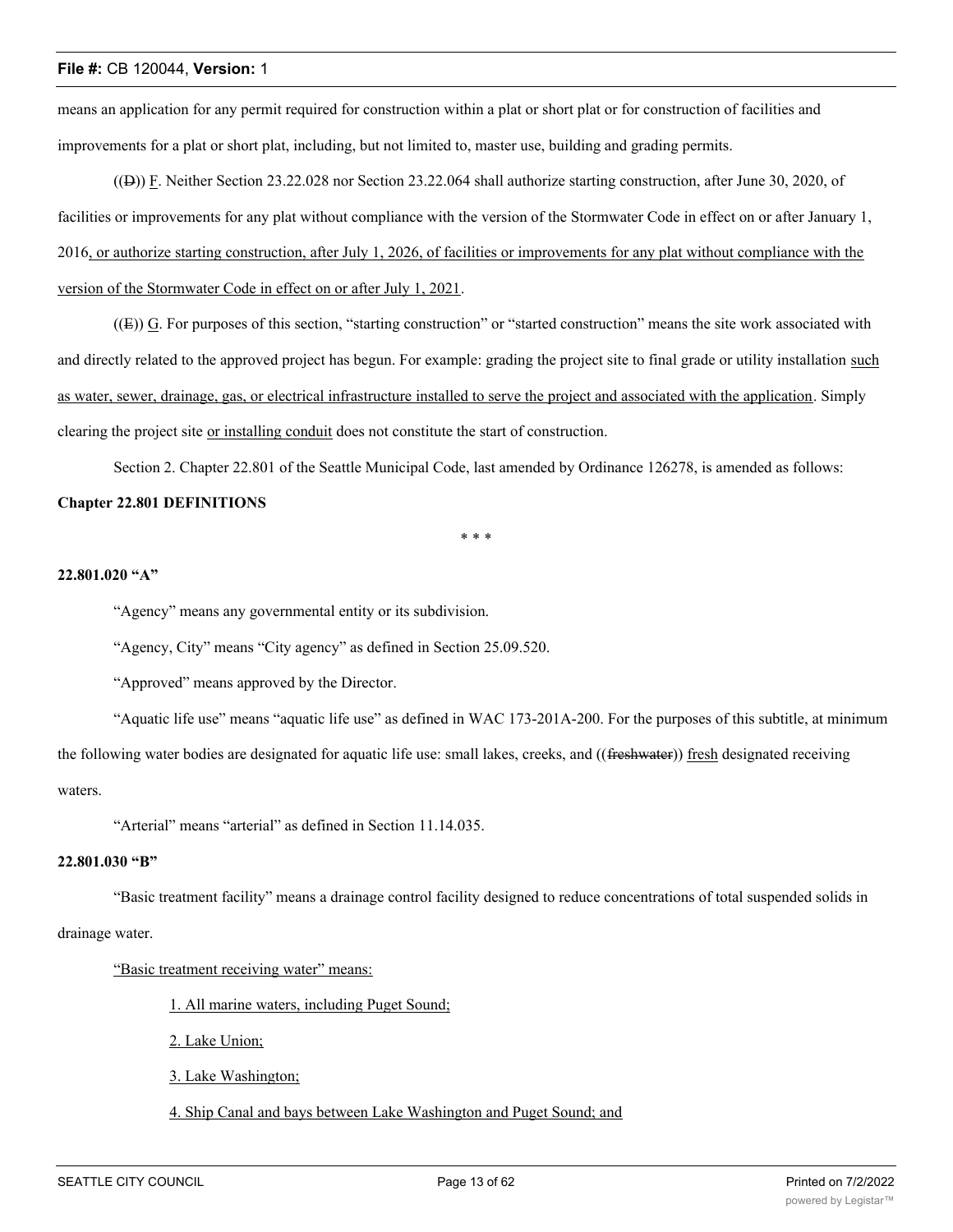means an application for any permit required for construction within a plat or short plat or for construction of facilities and improvements for a plat or short plat, including, but not limited to, master use, building and grading permits.

((D)) F. Neither Section 23.22.028 nor Section 23.22.064 shall authorize starting construction, after June 30, 2020, of facilities or improvements for any plat without compliance with the version of the Stormwater Code in effect on or after January 1, 2016, or authorize starting construction, after July 1, 2026, of facilities or improvements for any plat without compliance with the version of the Stormwater Code in effect on or after July 1, 2021.

 $((E))$  G. For purposes of this section, "starting construction" or "started construction" means the site work associated with and directly related to the approved project has begun. For example: grading the project site to final grade or utility installation such as water, sewer, drainage, gas, or electrical infrastructure installed to serve the project and associated with the application. Simply clearing the project site or installing conduit does not constitute the start of construction.

Section 2. Chapter 22.801 of the Seattle Municipal Code, last amended by Ordinance 126278, is amended as follows:

## **Chapter 22.801 DEFINITIONS**

\* \* \*

## **22.801.020 "A"**

"Agency" means any governmental entity or its subdivision.

"Agency, City" means "City agency" as defined in Section 25.09.520.

"Approved" means approved by the Director.

"Aquatic life use" means "aquatic life use" as defined in WAC 173-201A-200. For the purposes of this subtitle, at minimum the following water bodies are designated for aquatic life use: small lakes, creeks, and ((freshwater)) fresh designated receiving waters.

"Arterial" means "arterial" as defined in Section 11.14.035.

## **22.801.030 "B"**

"Basic treatment facility" means a drainage control facility designed to reduce concentrations of total suspended solids in

## drainage water.

"Basic treatment receiving water" means:

1. All marine waters, including Puget Sound;

2. Lake Union;

3. Lake Washington;

4. Ship Canal and bays between Lake Washington and Puget Sound; and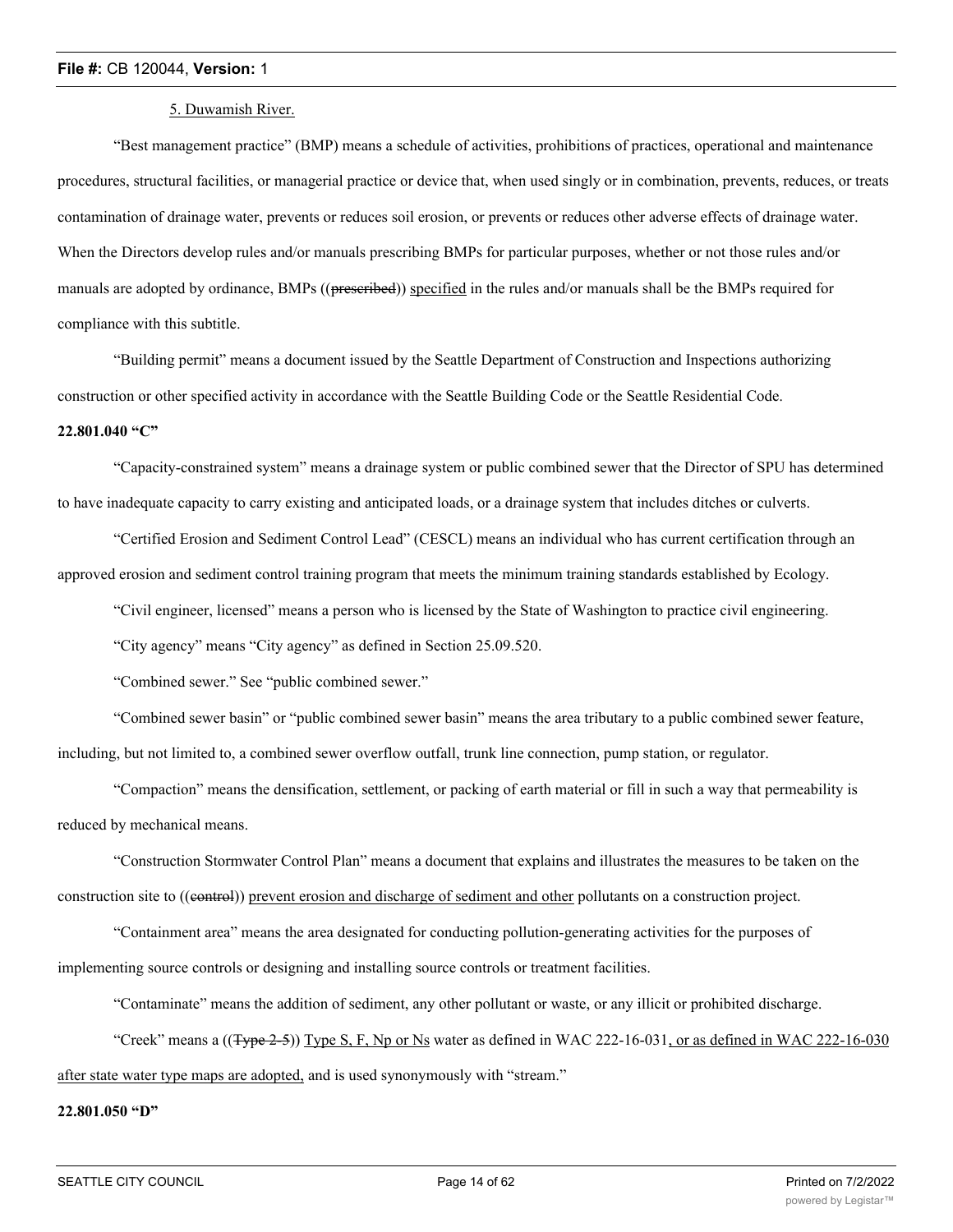#### 5. Duwamish River.

"Best management practice" (BMP) means a schedule of activities, prohibitions of practices, operational and maintenance procedures, structural facilities, or managerial practice or device that, when used singly or in combination, prevents, reduces, or treats contamination of drainage water, prevents or reduces soil erosion, or prevents or reduces other adverse effects of drainage water. When the Directors develop rules and/or manuals prescribing BMPs for particular purposes, whether or not those rules and/or manuals are adopted by ordinance, BMPs ((preseribed)) specified in the rules and/or manuals shall be the BMPs required for compliance with this subtitle.

"Building permit" means a document issued by the Seattle Department of Construction and Inspections authorizing construction or other specified activity in accordance with the Seattle Building Code or the Seattle Residential Code. **22.801.040 "C"**

"Capacity-constrained system" means a drainage system or public combined sewer that the Director of SPU has determined to have inadequate capacity to carry existing and anticipated loads, or a drainage system that includes ditches or culverts.

"Certified Erosion and Sediment Control Lead" (CESCL) means an individual who has current certification through an approved erosion and sediment control training program that meets the minimum training standards established by Ecology.

"Civil engineer, licensed" means a person who is licensed by the State of Washington to practice civil engineering.

"City agency" means "City agency" as defined in Section 25.09.520.

"Combined sewer." See "public combined sewer."

"Combined sewer basin" or "public combined sewer basin" means the area tributary to a public combined sewer feature, including, but not limited to, a combined sewer overflow outfall, trunk line connection, pump station, or regulator.

"Compaction" means the densification, settlement, or packing of earth material or fill in such a way that permeability is reduced by mechanical means.

"Construction Stormwater Control Plan" means a document that explains and illustrates the measures to be taken on the construction site to ((eentrol)) prevent erosion and discharge of sediment and other pollutants on a construction project.

"Containment area" means the area designated for conducting pollution-generating activities for the purposes of implementing source controls or designing and installing source controls or treatment facilities.

"Contaminate" means the addition of sediment, any other pollutant or waste, or any illicit or prohibited discharge.

"Creek" means a ((Type 2-5)) Type S, F, Np or Ns water as defined in WAC 222-16-031, or as defined in WAC 222-16-030 after state water type maps are adopted, and is used synonymously with "stream."

## **22.801.050 "D"**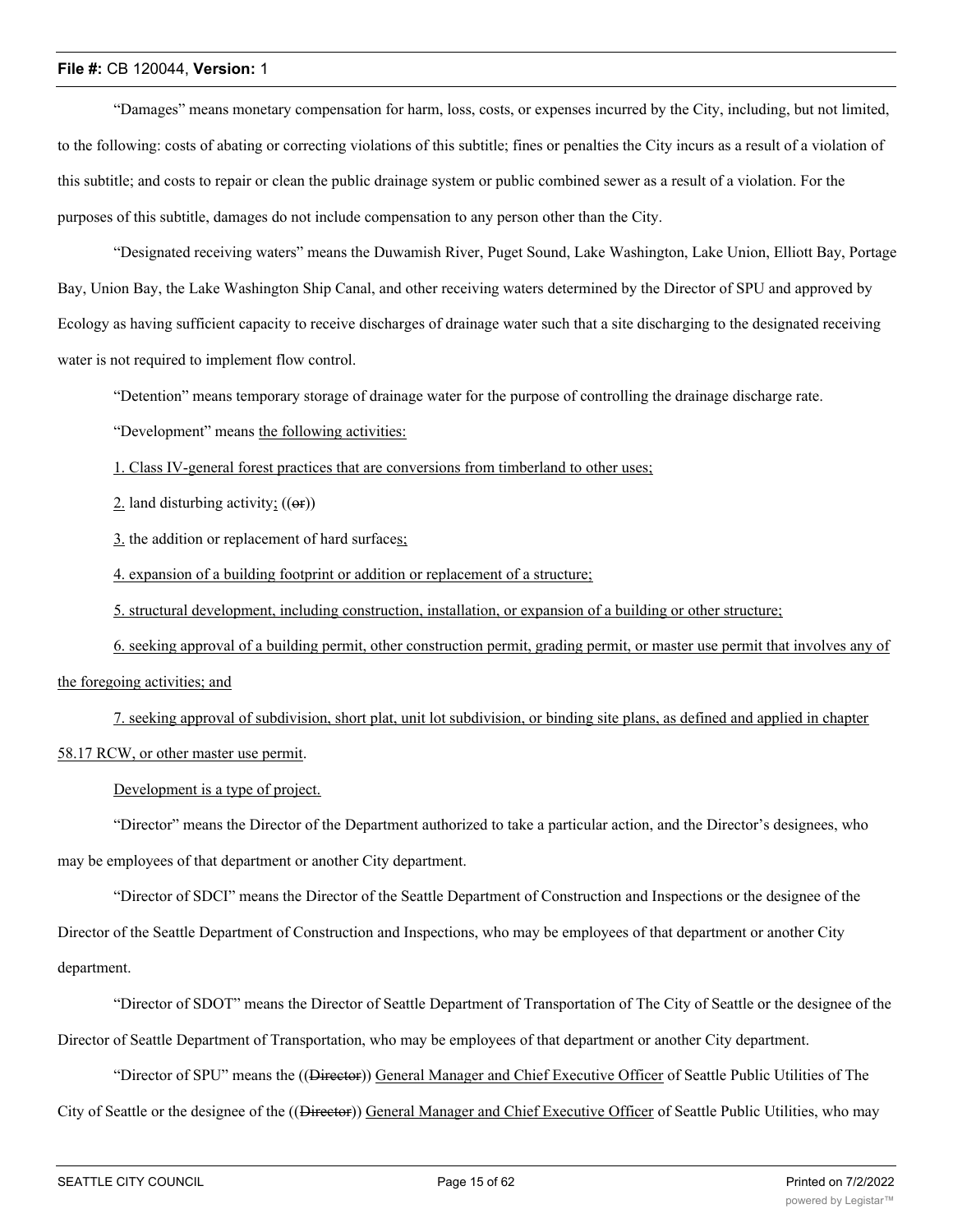"Damages" means monetary compensation for harm, loss, costs, or expenses incurred by the City, including, but not limited, to the following: costs of abating or correcting violations of this subtitle; fines or penalties the City incurs as a result of a violation of this subtitle; and costs to repair or clean the public drainage system or public combined sewer as a result of a violation. For the purposes of this subtitle, damages do not include compensation to any person other than the City.

"Designated receiving waters" means the Duwamish River, Puget Sound, Lake Washington, Lake Union, Elliott Bay, Portage Bay, Union Bay, the Lake Washington Ship Canal, and other receiving waters determined by the Director of SPU and approved by Ecology as having sufficient capacity to receive discharges of drainage water such that a site discharging to the designated receiving water is not required to implement flow control.

"Detention" means temporary storage of drainage water for the purpose of controlling the drainage discharge rate.

"Development" means the following activities:

1. Class IV-general forest practices that are conversions from timberland to other uses;

 $2$ . land disturbing activity;  $((\omega f))$ 

3. the addition or replacement of hard surfaces;

4. expansion of a building footprint or addition or replacement of a structure;

5. structural development, including construction, installation, or expansion of a building or other structure;

6. seeking approval of a building permit, other construction permit, grading permit, or master use permit that involves any of the foregoing activities; and

7. seeking approval of subdivision, short plat, unit lot subdivision, or binding site plans, as defined and applied in chapter 58.17 RCW, or other master use permit.

Development is a type of project.

"Director" means the Director of the Department authorized to take a particular action, and the Director's designees, who may be employees of that department or another City department.

"Director of SDCI" means the Director of the Seattle Department of Construction and Inspections or the designee of the Director of the Seattle Department of Construction and Inspections, who may be employees of that department or another City department.

"Director of SDOT" means the Director of Seattle Department of Transportation of The City of Seattle or the designee of the Director of Seattle Department of Transportation, who may be employees of that department or another City department.

"Director of SPU" means the ((<del>Director</del>)) General Manager and Chief Executive Officer of Seattle Public Utilities of The

City of Seattle or the designee of the ((<del>Director</del>)) General Manager and Chief Executive Officer of Seattle Public Utilities, who may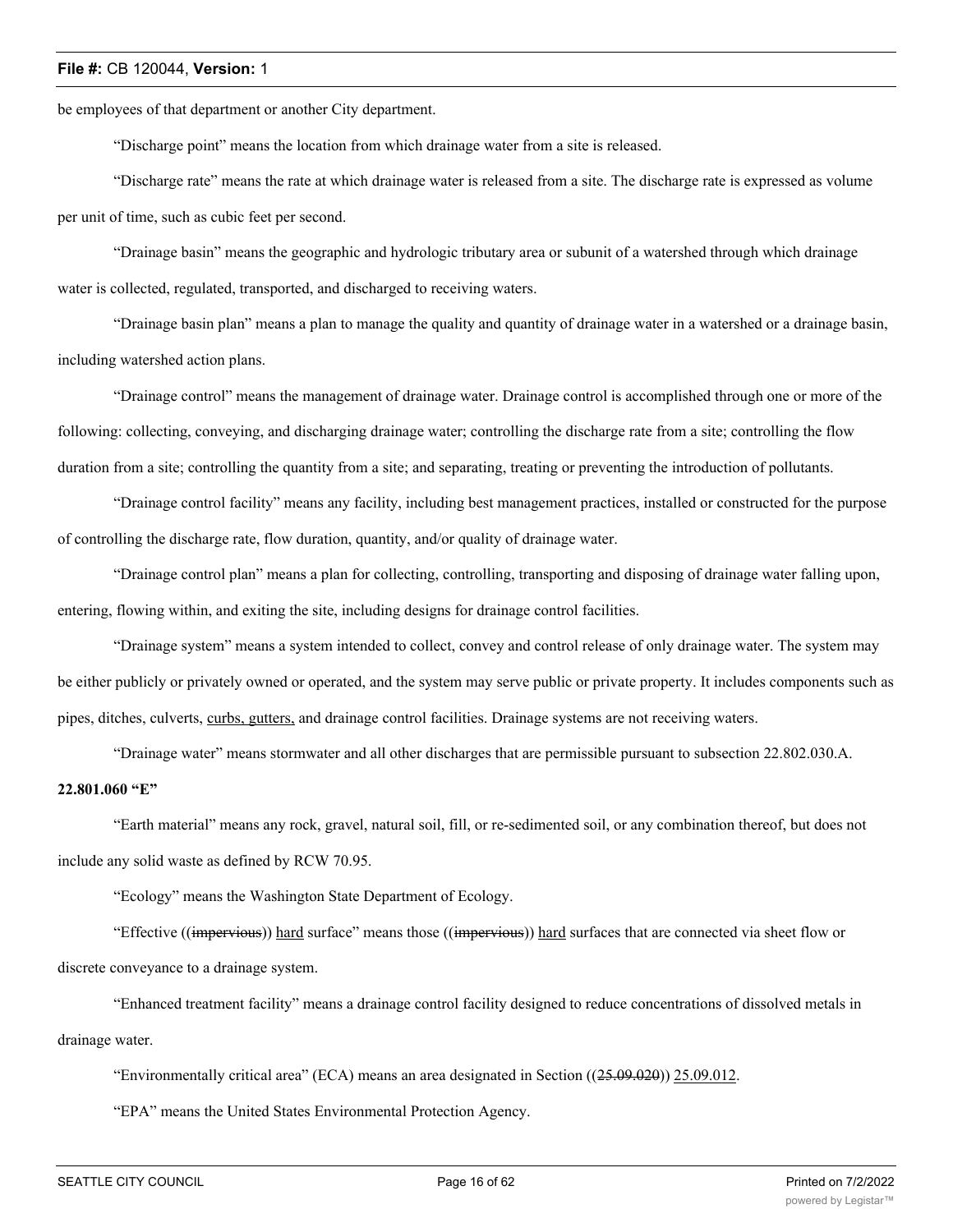be employees of that department or another City department.

"Discharge point" means the location from which drainage water from a site is released.

"Discharge rate" means the rate at which drainage water is released from a site. The discharge rate is expressed as volume per unit of time, such as cubic feet per second.

"Drainage basin" means the geographic and hydrologic tributary area or subunit of a watershed through which drainage water is collected, regulated, transported, and discharged to receiving waters.

"Drainage basin plan" means a plan to manage the quality and quantity of drainage water in a watershed or a drainage basin, including watershed action plans.

"Drainage control" means the management of drainage water. Drainage control is accomplished through one or more of the following: collecting, conveying, and discharging drainage water; controlling the discharge rate from a site; controlling the flow duration from a site; controlling the quantity from a site; and separating, treating or preventing the introduction of pollutants.

"Drainage control facility" means any facility, including best management practices, installed or constructed for the purpose of controlling the discharge rate, flow duration, quantity, and/or quality of drainage water.

"Drainage control plan" means a plan for collecting, controlling, transporting and disposing of drainage water falling upon, entering, flowing within, and exiting the site, including designs for drainage control facilities.

"Drainage system" means a system intended to collect, convey and control release of only drainage water. The system may be either publicly or privately owned or operated, and the system may serve public or private property. It includes components such as pipes, ditches, culverts, curbs, gutters, and drainage control facilities. Drainage systems are not receiving waters.

"Drainage water" means stormwater and all other discharges that are permissible pursuant to subsection 22.802.030.A.

## **22.801.060 "E"**

"Earth material" means any rock, gravel, natural soil, fill, or re-sedimented soil, or any combination thereof, but does not include any solid waste as defined by RCW 70.95.

"Ecology" means the Washington State Department of Ecology.

"Effective ((impervious)) hard surface" means those ((impervious)) hard surfaces that are connected via sheet flow or discrete conveyance to a drainage system.

"Enhanced treatment facility" means a drainage control facility designed to reduce concentrations of dissolved metals in drainage water.

"Environmentally critical area" (ECA) means an area designated in Section  $((25.09.020))$  25.09.012.

"EPA" means the United States Environmental Protection Agency.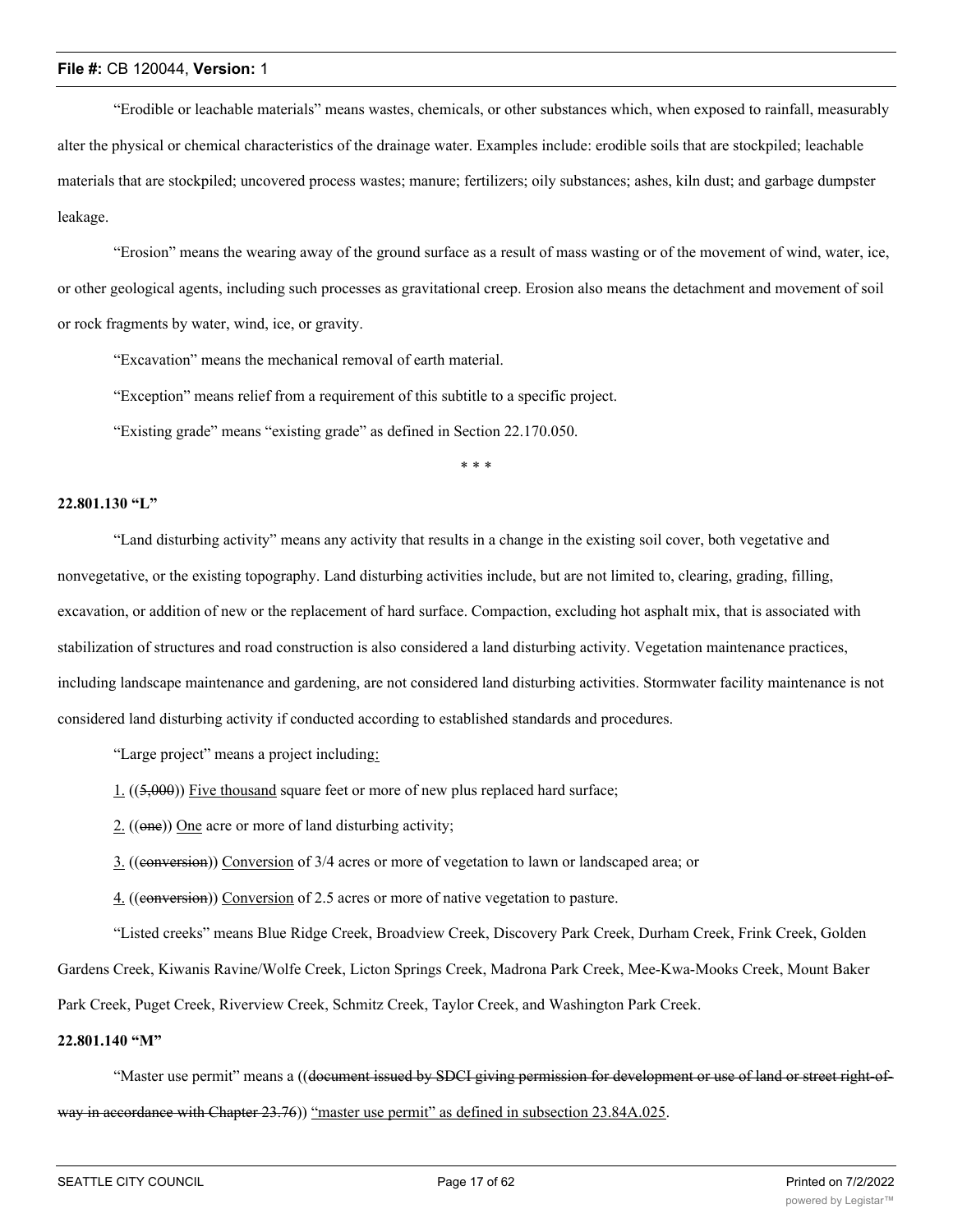"Erodible or leachable materials" means wastes, chemicals, or other substances which, when exposed to rainfall, measurably alter the physical or chemical characteristics of the drainage water. Examples include: erodible soils that are stockpiled; leachable materials that are stockpiled; uncovered process wastes; manure; fertilizers; oily substances; ashes, kiln dust; and garbage dumpster leakage.

"Erosion" means the wearing away of the ground surface as a result of mass wasting or of the movement of wind, water, ice, or other geological agents, including such processes as gravitational creep. Erosion also means the detachment and movement of soil or rock fragments by water, wind, ice, or gravity.

"Excavation" means the mechanical removal of earth material.

"Exception" means relief from a requirement of this subtitle to a specific project.

"Existing grade" means "existing grade" as defined in Section 22.170.050.

\* \* \*

## **22.801.130 "L"**

"Land disturbing activity" means any activity that results in a change in the existing soil cover, both vegetative and nonvegetative, or the existing topography. Land disturbing activities include, but are not limited to, clearing, grading, filling, excavation, or addition of new or the replacement of hard surface. Compaction, excluding hot asphalt mix, that is associated with stabilization of structures and road construction is also considered a land disturbing activity. Vegetation maintenance practices, including landscape maintenance and gardening, are not considered land disturbing activities. Stormwater facility maintenance is not considered land disturbing activity if conducted according to established standards and procedures.

"Large project" means a project including:

- 1. ((5,000)) Five thousand square feet or more of new plus replaced hard surface;
- 2. ((one)) One acre or more of land disturbing activity;
- 3. ((conversion)) Conversion of 3/4 acres or more of vegetation to lawn or landscaped area; or
- 4. ((conversion)) Conversion of 2.5 acres or more of native vegetation to pasture.

"Listed creeks" means Blue Ridge Creek, Broadview Creek, Discovery Park Creek, Durham Creek, Frink Creek, Golden Gardens Creek, Kiwanis Ravine/Wolfe Creek, Licton Springs Creek, Madrona Park Creek, Mee-Kwa-Mooks Creek, Mount Baker Park Creek, Puget Creek, Riverview Creek, Schmitz Creek, Taylor Creek, and Washington Park Creek.

## **22.801.140 "M"**

"Master use permit" means a ((document issued by SDCI giving permission for development or use of land or street right-ofway in accordance with Chapter 23.76)) "master use permit" as defined in subsection 23.84A.025.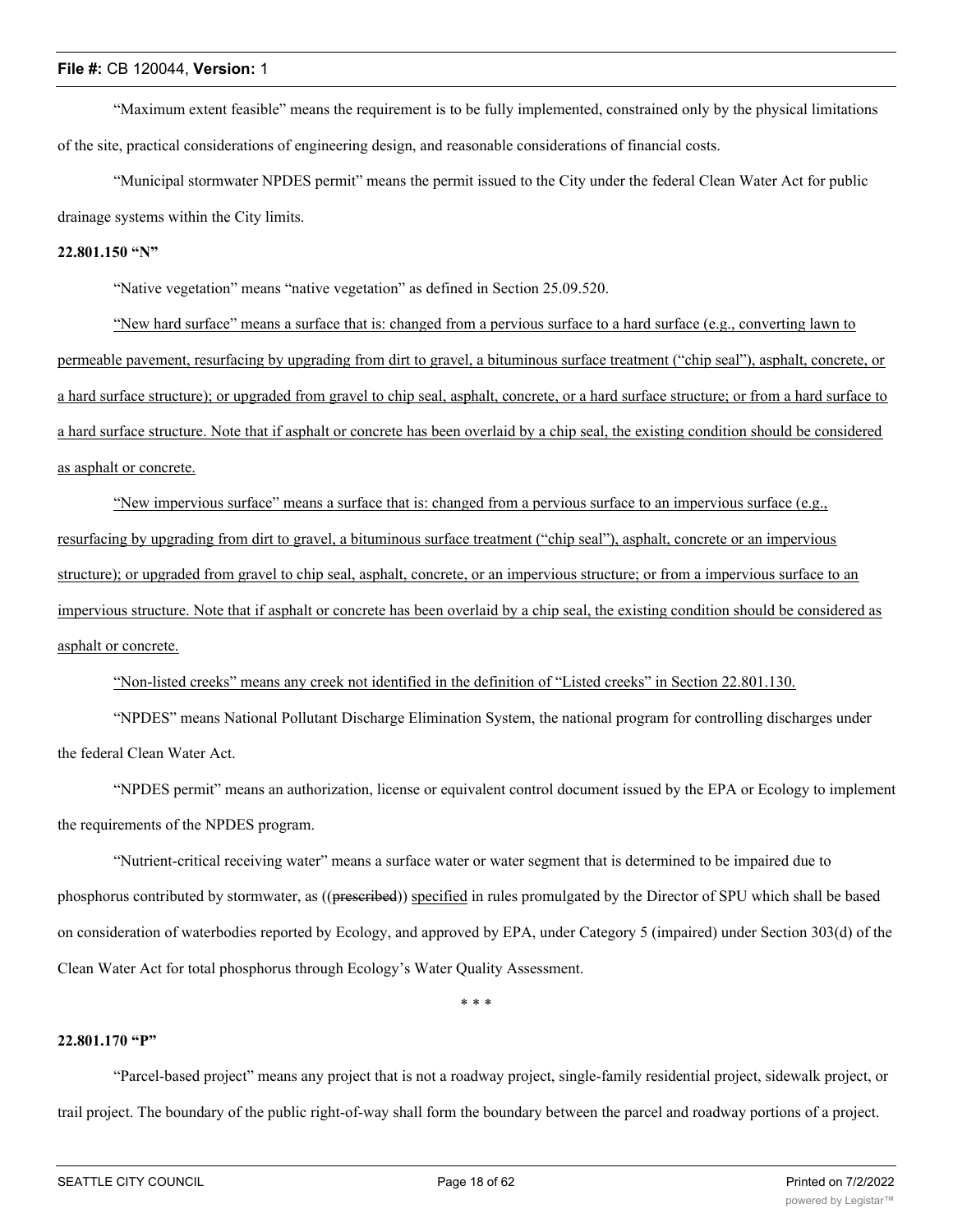"Maximum extent feasible" means the requirement is to be fully implemented, constrained only by the physical limitations of the site, practical considerations of engineering design, and reasonable considerations of financial costs.

"Municipal stormwater NPDES permit" means the permit issued to the City under the federal Clean Water Act for public drainage systems within the City limits.

## **22.801.150 "N"**

"Native vegetation" means "native vegetation" as defined in Section 25.09.520.

"New hard surface" means a surface that is: changed from a pervious surface to a hard surface (e.g., converting lawn to permeable pavement, resurfacing by upgrading from dirt to gravel, a bituminous surface treatment ("chip seal"), asphalt, concrete, or a hard surface structure); or upgraded from gravel to chip seal, asphalt, concrete, or a hard surface structure; or from a hard surface to a hard surface structure. Note that if asphalt or concrete has been overlaid by a chip seal, the existing condition should be considered as asphalt or concrete.

"New impervious surface" means a surface that is: changed from a pervious surface to an impervious surface (e.g., resurfacing by upgrading from dirt to gravel, a bituminous surface treatment ("chip seal"), asphalt, concrete or an impervious structure); or upgraded from gravel to chip seal, asphalt, concrete, or an impervious structure; or from a impervious surface to an impervious structure. Note that if asphalt or concrete has been overlaid by a chip seal, the existing condition should be considered as asphalt or concrete.

"Non-listed creeks" means any creek not identified in the definition of "Listed creeks" in Section 22.801.130.

"NPDES" means National Pollutant Discharge Elimination System, the national program for controlling discharges under the federal Clean Water Act.

"NPDES permit" means an authorization, license or equivalent control document issued by the EPA or Ecology to implement the requirements of the NPDES program.

"Nutrient-critical receiving water" means a surface water or water segment that is determined to be impaired due to phosphorus contributed by stormwater, as ((preseribed)) specified in rules promulgated by the Director of SPU which shall be based on consideration of waterbodies reported by Ecology, and approved by EPA, under Category 5 (impaired) under Section 303(d) of the Clean Water Act for total phosphorus through Ecology's Water Quality Assessment.

\* \* \*

#### **22.801.170 "P"**

"Parcel-based project" means any project that is not a roadway project, single-family residential project, sidewalk project, or trail project. The boundary of the public right-of-way shall form the boundary between the parcel and roadway portions of a project.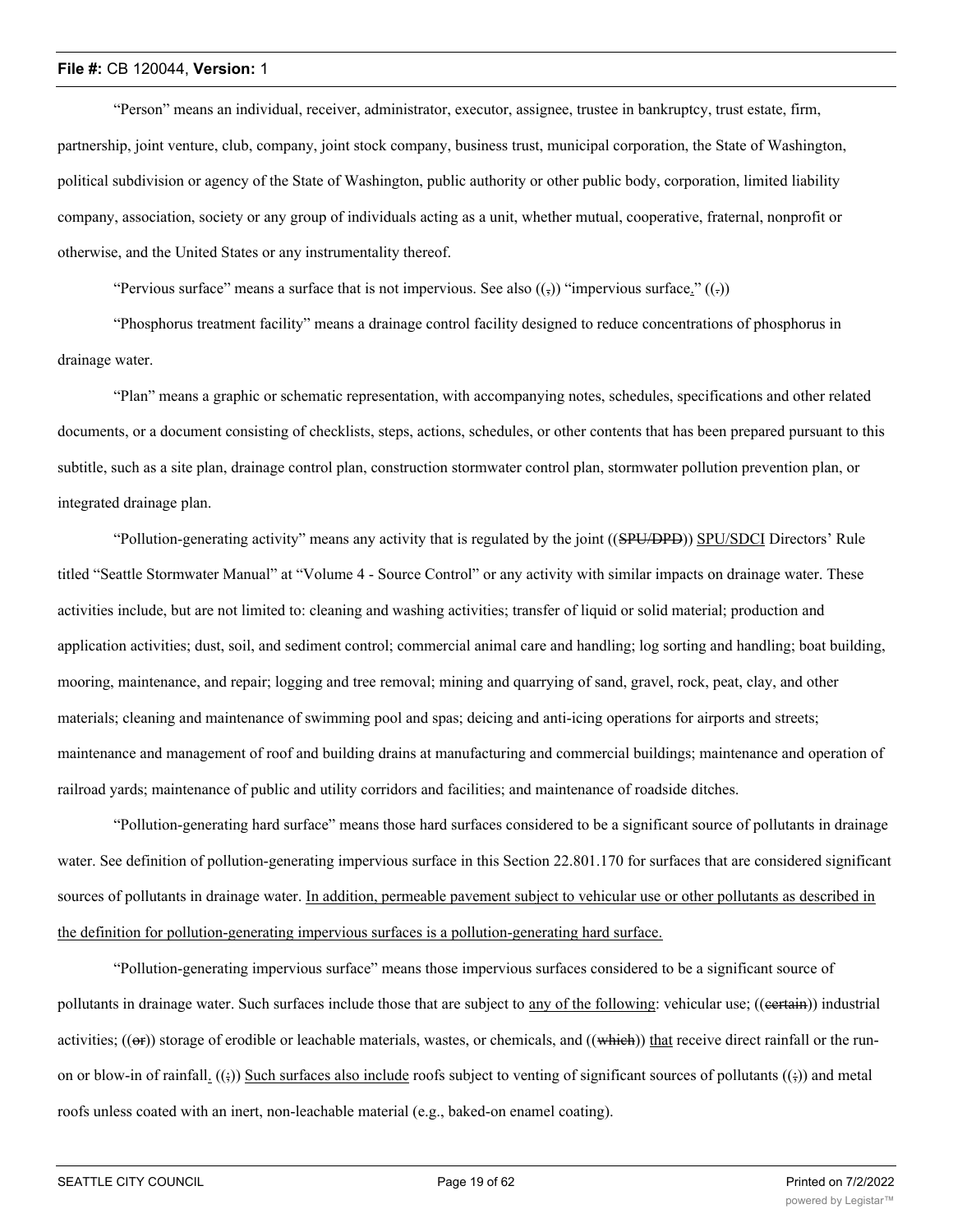"Person" means an individual, receiver, administrator, executor, assignee, trustee in bankruptcy, trust estate, firm, partnership, joint venture, club, company, joint stock company, business trust, municipal corporation, the State of Washington, political subdivision or agency of the State of Washington, public authority or other public body, corporation, limited liability company, association, society or any group of individuals acting as a unit, whether mutual, cooperative, fraternal, nonprofit or otherwise, and the United States or any instrumentality thereof.

"Pervious surface" means a surface that is not impervious. See also  $((\tau_1))$  "impervious surface."  $((\tau_2))$ 

"Phosphorus treatment facility" means a drainage control facility designed to reduce concentrations of phosphorus in drainage water.

"Plan" means a graphic or schematic representation, with accompanying notes, schedules, specifications and other related documents, or a document consisting of checklists, steps, actions, schedules, or other contents that has been prepared pursuant to this subtitle, such as a site plan, drainage control plan, construction stormwater control plan, stormwater pollution prevention plan, or integrated drainage plan.

"Pollution-generating activity" means any activity that is regulated by the joint ((SPU/DPD)) SPU/SDCI Directors' Rule titled "Seattle Stormwater Manual" at "Volume 4 - Source Control" or any activity with similar impacts on drainage water. These activities include, but are not limited to: cleaning and washing activities; transfer of liquid or solid material; production and application activities; dust, soil, and sediment control; commercial animal care and handling; log sorting and handling; boat building, mooring, maintenance, and repair; logging and tree removal; mining and quarrying of sand, gravel, rock, peat, clay, and other materials; cleaning and maintenance of swimming pool and spas; deicing and anti-icing operations for airports and streets; maintenance and management of roof and building drains at manufacturing and commercial buildings; maintenance and operation of railroad yards; maintenance of public and utility corridors and facilities; and maintenance of roadside ditches.

"Pollution-generating hard surface" means those hard surfaces considered to be a significant source of pollutants in drainage water. See definition of pollution-generating impervious surface in this Section 22.801.170 for surfaces that are considered significant sources of pollutants in drainage water. In addition, permeable pavement subject to vehicular use or other pollutants as described in the definition for pollution-generating impervious surfaces is a pollution-generating hard surface.

"Pollution-generating impervious surface" means those impervious surfaces considered to be a significant source of pollutants in drainage water. Such surfaces include those that are subject to any of the following: vehicular use; ((eertain)) industrial activities;  $((\Theta F))$  storage of erodible or leachable materials, wastes, or chemicals, and  $((\text{which}))$  that receive direct rainfall or the runon or blow-in of rainfall.  $((\frac{1}{2}))$  Such surfaces also include roofs subject to venting of significant sources of pollutants  $((\frac{1}{2}))$  and metal roofs unless coated with an inert, non-leachable material (e.g., baked-on enamel coating).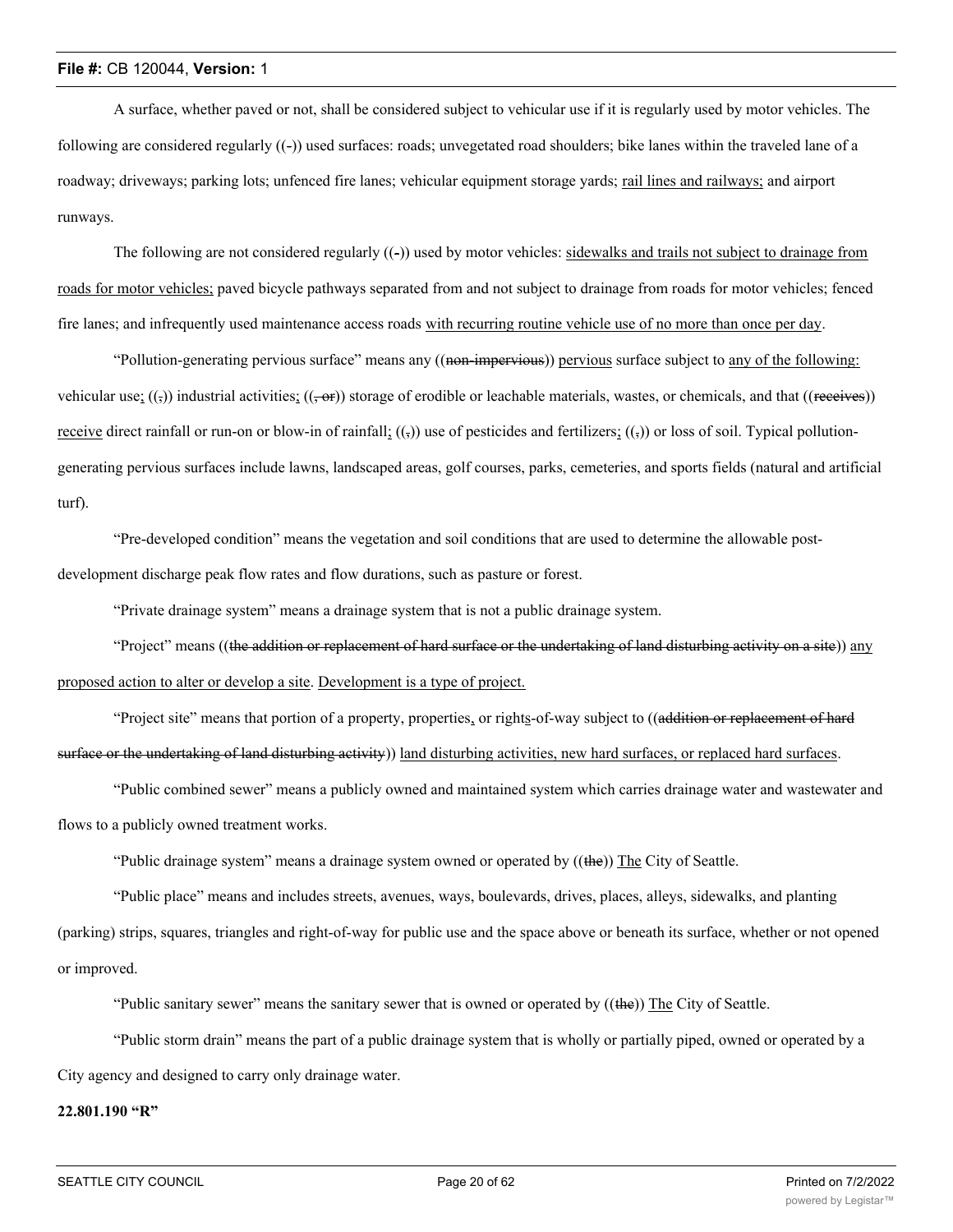A surface, whether paved or not, shall be considered subject to vehicular use if it is regularly used by motor vehicles. The following are considered regularly ((-)) used surfaces: roads; unvegetated road shoulders; bike lanes within the traveled lane of a roadway; driveways; parking lots; unfenced fire lanes; vehicular equipment storage yards; rail lines and railways; and airport runways.

The following are not considered regularly  $((-)$  used by motor vehicles: sidewalks and trails not subject to drainage from roads for motor vehicles; paved bicycle pathways separated from and not subject to drainage from roads for motor vehicles; fenced fire lanes; and infrequently used maintenance access roads with recurring routine vehicle use of no more than once per day.

"Pollution-generating pervious surface" means any ((non-impervious)) pervious surface subject to any of the following: vehicular use;  $((\tau))$  industrial activities;  $((\tau \cdot \epsilon))$  storage of erodible or leachable materials, wastes, or chemicals, and that ((receives)) receive direct rainfall or run-on or blow-in of rainfall;  $(3)$  use of pesticides and fertilizers;  $(3)$  or loss of soil. Typical pollutiongenerating pervious surfaces include lawns, landscaped areas, golf courses, parks, cemeteries, and sports fields (natural and artificial turf).

"Pre-developed condition" means the vegetation and soil conditions that are used to determine the allowable postdevelopment discharge peak flow rates and flow durations, such as pasture or forest.

"Private drainage system" means a drainage system that is not a public drainage system.

"Project" means ((the addition or replacement of hard surface or the undertaking of land disturbing activity on a site)) any proposed action to alter or develop a site. Development is a type of project.

"Project site" means that portion of a property, properties, or rights-of-way subject to ((addition or replacement of hard surface or the undertaking of land disturbing activity)) land disturbing activities, new hard surfaces, or replaced hard surfaces.

"Public combined sewer" means a publicly owned and maintained system which carries drainage water and wastewater and flows to a publicly owned treatment works.

"Public drainage system" means a drainage system owned or operated by  $((the))$  The City of Seattle.

"Public place" means and includes streets, avenues, ways, boulevards, drives, places, alleys, sidewalks, and planting (parking) strips, squares, triangles and right-of-way for public use and the space above or beneath its surface, whether or not opened or improved.

"Public sanitary sewer" means the sanitary sewer that is owned or operated by ((the)) The City of Seattle.

"Public storm drain" means the part of a public drainage system that is wholly or partially piped, owned or operated by a City agency and designed to carry only drainage water.

## **22.801.190 "R"**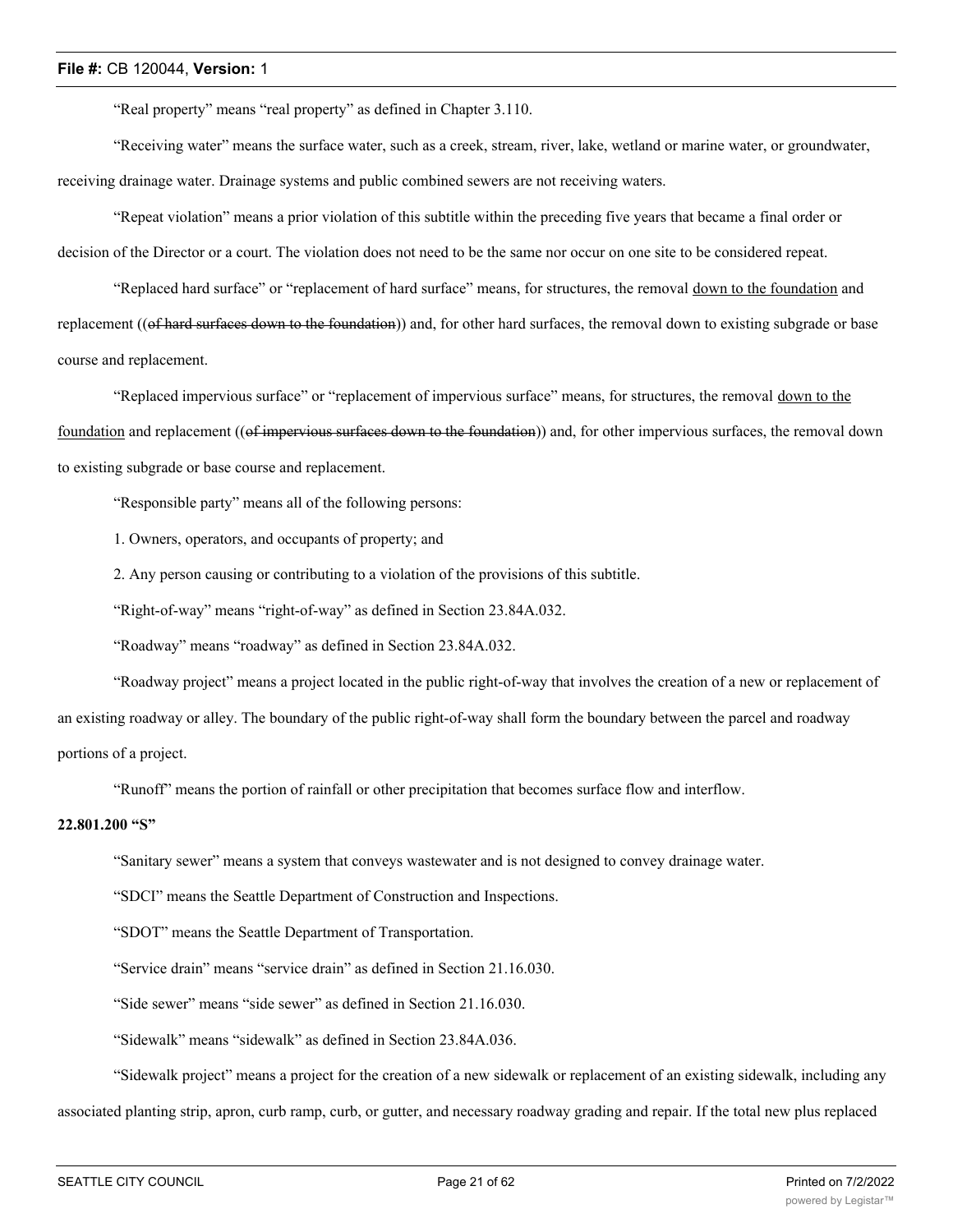"Real property" means "real property" as defined in Chapter 3.110.

"Receiving water" means the surface water, such as a creek, stream, river, lake, wetland or marine water, or groundwater, receiving drainage water. Drainage systems and public combined sewers are not receiving waters.

"Repeat violation" means a prior violation of this subtitle within the preceding five years that became a final order or decision of the Director or a court. The violation does not need to be the same nor occur on one site to be considered repeat.

"Replaced hard surface" or "replacement of hard surface" means, for structures, the removal down to the foundation and replacement ((of hard surfaces down to the foundation)) and, for other hard surfaces, the removal down to existing subgrade or base course and replacement.

"Replaced impervious surface" or "replacement of impervious surface" means, for structures, the removal down to the foundation and replacement ((of impervious surfaces down to the foundation)) and, for other impervious surfaces, the removal down to existing subgrade or base course and replacement.

"Responsible party" means all of the following persons:

1. Owners, operators, and occupants of property; and

2. Any person causing or contributing to a violation of the provisions of this subtitle.

"Right-of-way" means "right-of-way" as defined in Section 23.84A.032.

"Roadway" means "roadway" as defined in Section 23.84A.032.

"Roadway project" means a project located in the public right-of-way that involves the creation of a new or replacement of an existing roadway or alley. The boundary of the public right-of-way shall form the boundary between the parcel and roadway portions of a project.

"Runoff" means the portion of rainfall or other precipitation that becomes surface flow and interflow.

## **22.801.200 "S"**

"Sanitary sewer" means a system that conveys wastewater and is not designed to convey drainage water.

"SDCI" means the Seattle Department of Construction and Inspections.

"SDOT" means the Seattle Department of Transportation.

"Service drain" means "service drain" as defined in Section 21.16.030.

"Side sewer" means "side sewer" as defined in Section 21.16.030.

"Sidewalk" means "sidewalk" as defined in Section 23.84A.036.

"Sidewalk project" means a project for the creation of a new sidewalk or replacement of an existing sidewalk, including any

associated planting strip, apron, curb ramp, curb, or gutter, and necessary roadway grading and repair. If the total new plus replaced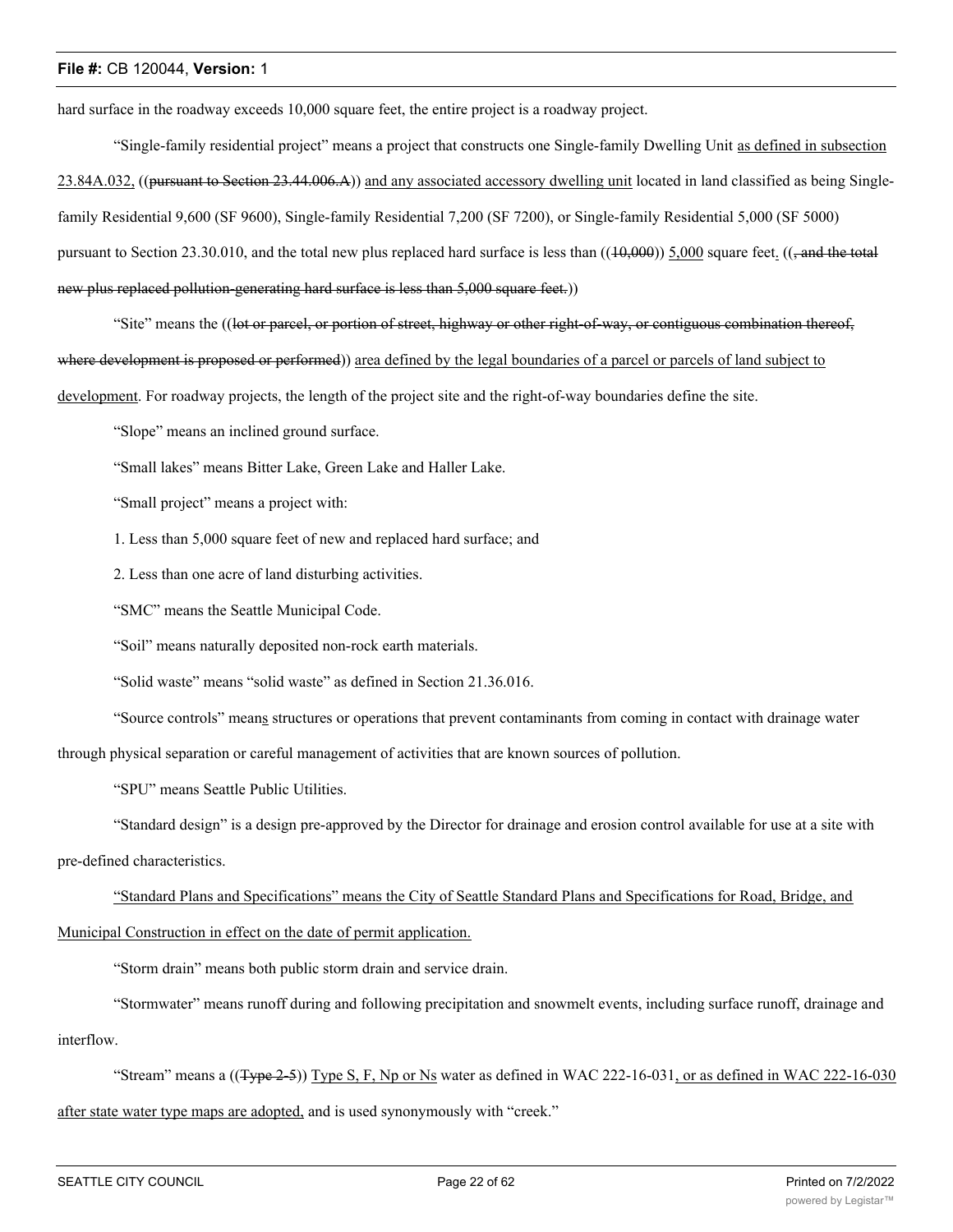hard surface in the roadway exceeds 10,000 square feet, the entire project is a roadway project.

"Single-family residential project" means a project that constructs one Single-family Dwelling Unit as defined in subsection 23.84A.032, ((pursuant to Section 23.44.006.A)) and any associated accessory dwelling unit located in land classified as being Singlefamily Residential 9,600 (SF 9600), Single-family Residential 7,200 (SF 7200), or Single-family Residential 5,000 (SF 5000) pursuant to Section 23.30.010, and the total new plus replaced hard surface is less than  $((10,000))$  5,000 square feet.  $((\frac{1}{2} \text{ and the total})$ new plus replaced pollution-generating hard surface is less than 5,000 square feet.))

"Site" means the ((l<del>ot or parcel, or portion of street, highway or other right-of-way, or contiguous combination thereof,</del> where development is proposed or performed)) area defined by the legal boundaries of a parcel or parcels of land subject to development. For roadway projects, the length of the project site and the right-of-way boundaries define the site.

"Slope" means an inclined ground surface.

"Small lakes" means Bitter Lake, Green Lake and Haller Lake.

"Small project" means a project with:

1. Less than 5,000 square feet of new and replaced hard surface; and

2. Less than one acre of land disturbing activities.

"SMC" means the Seattle Municipal Code.

"Soil" means naturally deposited non-rock earth materials.

"Solid waste" means "solid waste" as defined in Section 21.36.016.

"Source controls" means structures or operations that prevent contaminants from coming in contact with drainage water

through physical separation or careful management of activities that are known sources of pollution.

"SPU" means Seattle Public Utilities.

"Standard design" is a design pre-approved by the Director for drainage and erosion control available for use at a site with pre-defined characteristics.

"Standard Plans and Specifications" means the City of Seattle Standard Plans and Specifications for Road, Bridge, and

Municipal Construction in effect on the date of permit application.

"Storm drain" means both public storm drain and service drain.

"Stormwater" means runoff during and following precipitation and snowmelt events, including surface runoff, drainage and interflow.

"Stream" means a  $((Type 2-5))$  Type S, F, Np or Ns water as defined in WAC 222-16-031, or as defined in WAC 222-16-030 after state water type maps are adopted, and is used synonymously with "creek."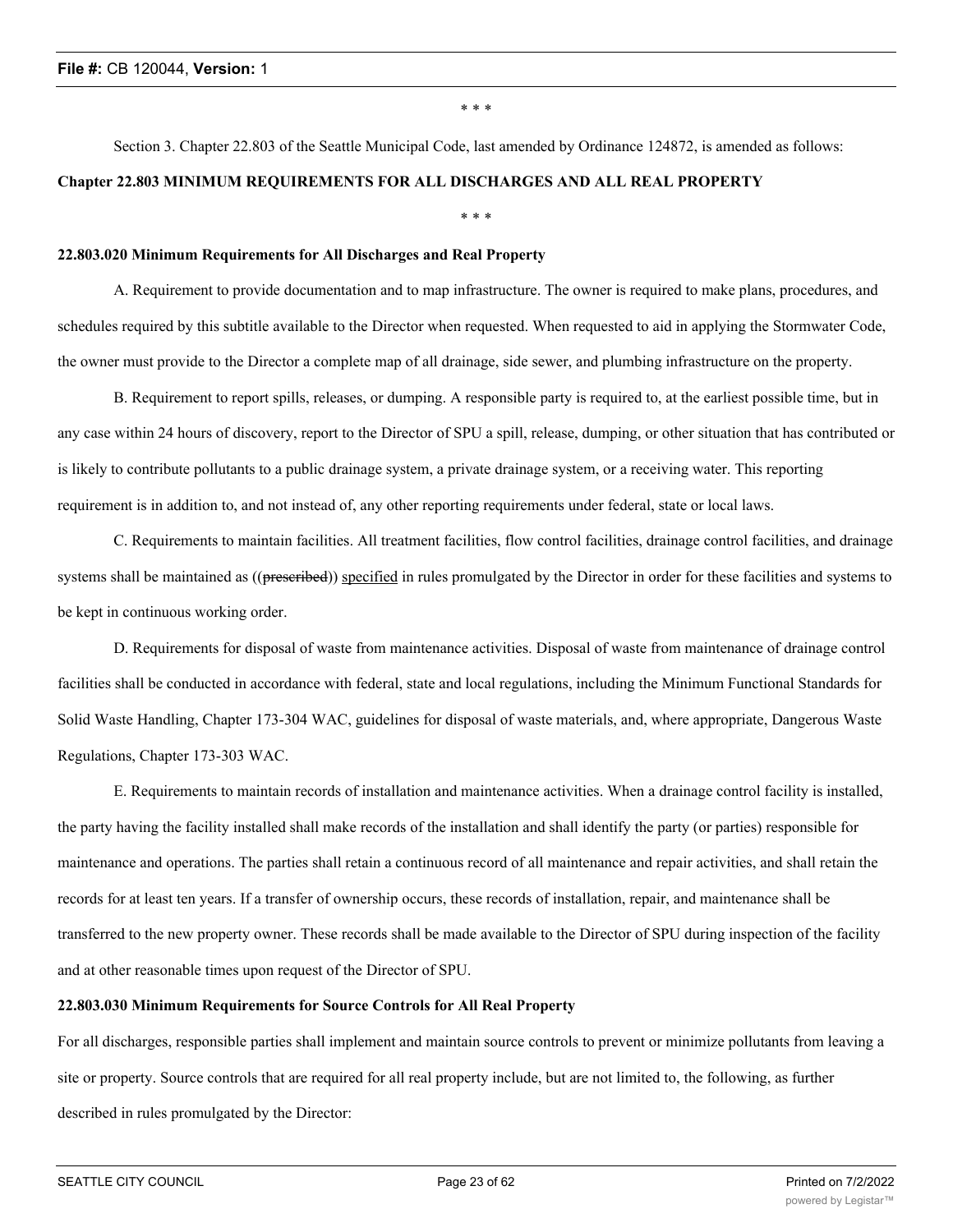\* \* \*

# Section 3. Chapter 22.803 of the Seattle Municipal Code, last amended by Ordinance 124872, is amended as follows: **Chapter 22.803 MINIMUM REQUIREMENTS FOR ALL DISCHARGES AND ALL REAL PROPERTY**

\* \* \*

## **22.803.020 Minimum Requirements for All Discharges and Real Property**

A. Requirement to provide documentation and to map infrastructure. The owner is required to make plans, procedures, and schedules required by this subtitle available to the Director when requested. When requested to aid in applying the Stormwater Code, the owner must provide to the Director a complete map of all drainage, side sewer, and plumbing infrastructure on the property.

B. Requirement to report spills, releases, or dumping. A responsible party is required to, at the earliest possible time, but in any case within 24 hours of discovery, report to the Director of SPU a spill, release, dumping, or other situation that has contributed or is likely to contribute pollutants to a public drainage system, a private drainage system, or a receiving water. This reporting requirement is in addition to, and not instead of, any other reporting requirements under federal, state or local laws.

C. Requirements to maintain facilities. All treatment facilities, flow control facilities, drainage control facilities, and drainage systems shall be maintained as ((prescribed)) specified in rules promulgated by the Director in order for these facilities and systems to be kept in continuous working order.

D. Requirements for disposal of waste from maintenance activities. Disposal of waste from maintenance of drainage control facilities shall be conducted in accordance with federal, state and local regulations, including the Minimum Functional Standards for Solid Waste Handling, Chapter 173-304 WAC, guidelines for disposal of waste materials, and, where appropriate, Dangerous Waste Regulations, Chapter 173-303 WAC.

E. Requirements to maintain records of installation and maintenance activities. When a drainage control facility is installed, the party having the facility installed shall make records of the installation and shall identify the party (or parties) responsible for maintenance and operations. The parties shall retain a continuous record of all maintenance and repair activities, and shall retain the records for at least ten years. If a transfer of ownership occurs, these records of installation, repair, and maintenance shall be transferred to the new property owner. These records shall be made available to the Director of SPU during inspection of the facility and at other reasonable times upon request of the Director of SPU.

## **22.803.030 Minimum Requirements for Source Controls for All Real Property**

For all discharges, responsible parties shall implement and maintain source controls to prevent or minimize pollutants from leaving a site or property. Source controls that are required for all real property include, but are not limited to, the following, as further described in rules promulgated by the Director: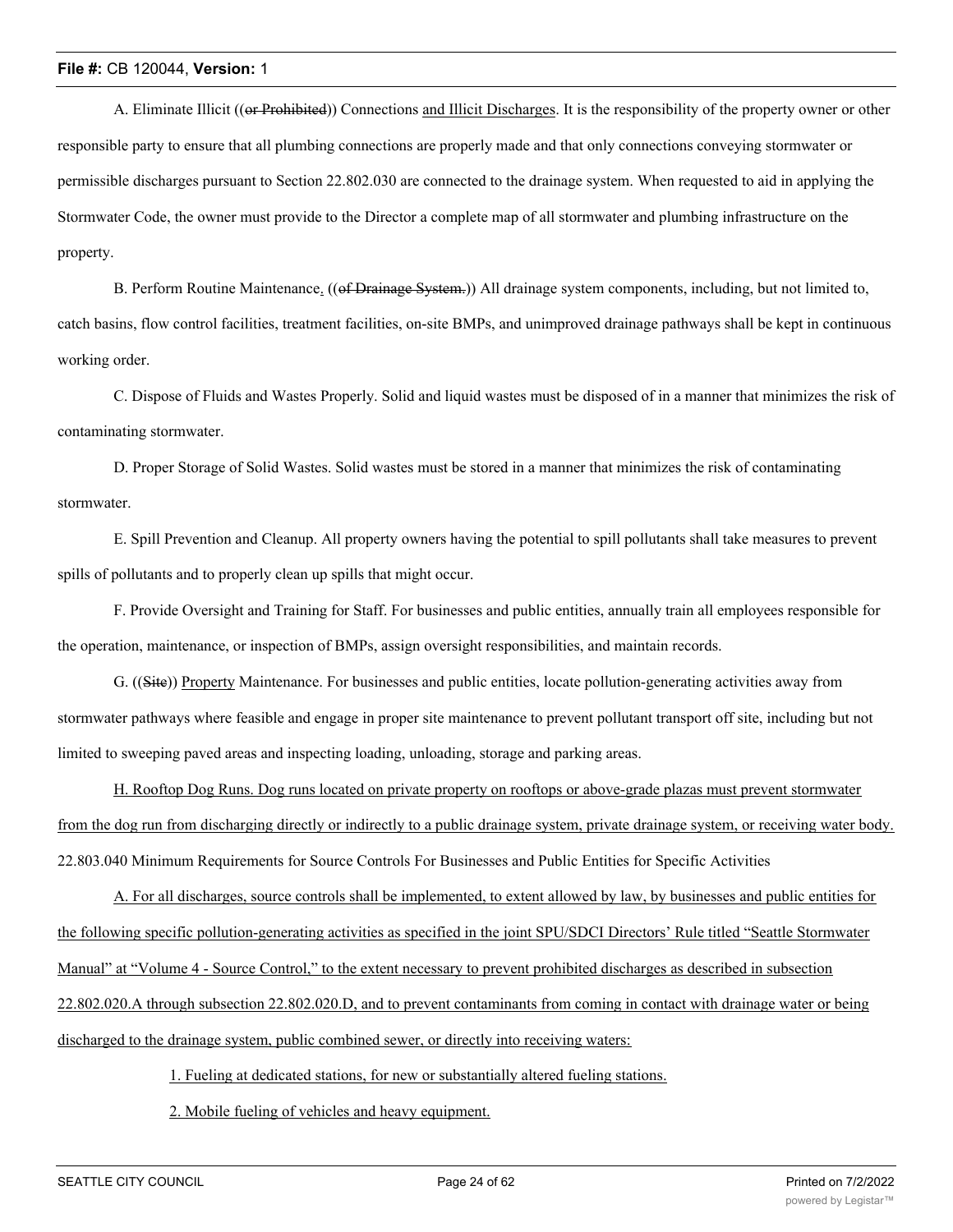A. Eliminate Illicit ((or Prohibited)) Connections and Illicit Discharges. It is the responsibility of the property owner or other responsible party to ensure that all plumbing connections are properly made and that only connections conveying stormwater or permissible discharges pursuant to Section 22.802.030 are connected to the drainage system. When requested to aid in applying the Stormwater Code, the owner must provide to the Director a complete map of all stormwater and plumbing infrastructure on the property.

B. Perform Routine Maintenance. ((of Drainage System.)) All drainage system components, including, but not limited to, catch basins, flow control facilities, treatment facilities, on-site BMPs, and unimproved drainage pathways shall be kept in continuous working order.

C. Dispose of Fluids and Wastes Properly. Solid and liquid wastes must be disposed of in a manner that minimizes the risk of contaminating stormwater.

D. Proper Storage of Solid Wastes. Solid wastes must be stored in a manner that minimizes the risk of contaminating stormwater.

E. Spill Prevention and Cleanup. All property owners having the potential to spill pollutants shall take measures to prevent spills of pollutants and to properly clean up spills that might occur.

F. Provide Oversight and Training for Staff. For businesses and public entities, annually train all employees responsible for the operation, maintenance, or inspection of BMPs, assign oversight responsibilities, and maintain records.

G. ((Site)) Property Maintenance. For businesses and public entities, locate pollution-generating activities away from stormwater pathways where feasible and engage in proper site maintenance to prevent pollutant transport off site, including but not limited to sweeping paved areas and inspecting loading, unloading, storage and parking areas.

H. Rooftop Dog Runs. Dog runs located on private property on rooftops or above-grade plazas must prevent stormwater from the dog run from discharging directly or indirectly to a public drainage system, private drainage system, or receiving water body. 22.803.040 Minimum Requirements for Source Controls For Businesses and Public Entities for Specific Activities

A. For all discharges, source controls shall be implemented, to extent allowed by law, by businesses and public entities for the following specific pollution-generating activities as specified in the joint SPU/SDCI Directors' Rule titled "Seattle Stormwater Manual" at "Volume 4 - Source Control," to the extent necessary to prevent prohibited discharges as described in subsection 22.802.020.A through subsection 22.802.020.D, and to prevent contaminants from coming in contact with drainage water or being discharged to the drainage system, public combined sewer, or directly into receiving waters:

1. Fueling at dedicated stations, for new or substantially altered fueling stations.

2. Mobile fueling of vehicles and heavy equipment.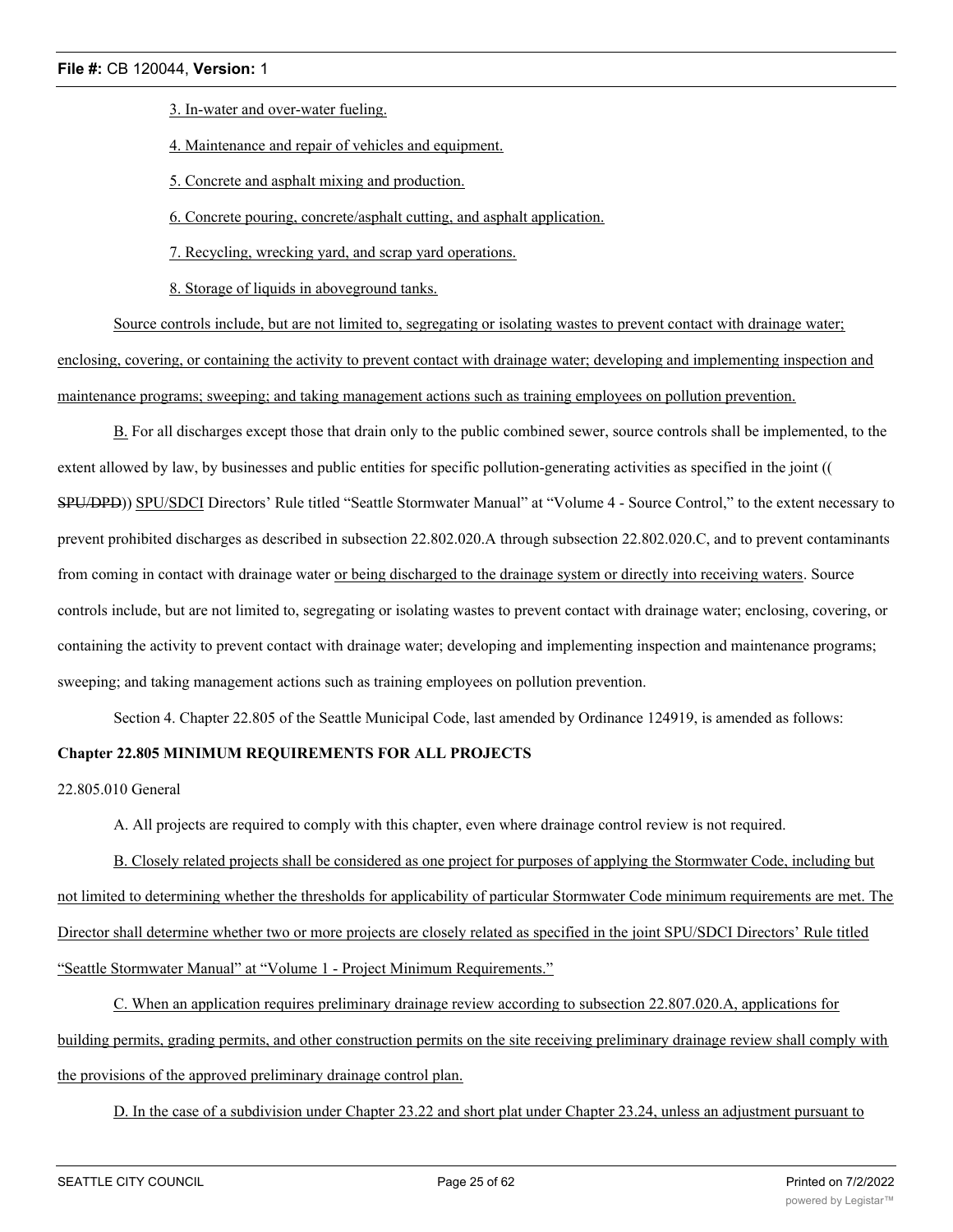3. In-water and over-water fueling.

4. Maintenance and repair of vehicles and equipment.

5. Concrete and asphalt mixing and production.

6. Concrete pouring, concrete/asphalt cutting, and asphalt application.

7. Recycling, wrecking yard, and scrap yard operations.

8. Storage of liquids in aboveground tanks.

Source controls include, but are not limited to, segregating or isolating wastes to prevent contact with drainage water; enclosing, covering, or containing the activity to prevent contact with drainage water; developing and implementing inspection and maintenance programs; sweeping; and taking management actions such as training employees on pollution prevention.

B. For all discharges except those that drain only to the public combined sewer, source controls shall be implemented, to the extent allowed by law, by businesses and public entities for specific pollution-generating activities as specified in the joint (( SPU/DPD)) SPU/SDCI Directors' Rule titled "Seattle Stormwater Manual" at "Volume 4 - Source Control," to the extent necessary to prevent prohibited discharges as described in subsection 22.802.020.A through subsection 22.802.020.C, and to prevent contaminants from coming in contact with drainage water or being discharged to the drainage system or directly into receiving waters. Source controls include, but are not limited to, segregating or isolating wastes to prevent contact with drainage water; enclosing, covering, or containing the activity to prevent contact with drainage water; developing and implementing inspection and maintenance programs; sweeping; and taking management actions such as training employees on pollution prevention.

Section 4. Chapter 22.805 of the Seattle Municipal Code, last amended by Ordinance 124919, is amended as follows:

## **Chapter 22.805 MINIMUM REQUIREMENTS FOR ALL PROJECTS**

22.805.010 General

A. All projects are required to comply with this chapter, even where drainage control review is not required.

B. Closely related projects shall be considered as one project for purposes of applying the Stormwater Code, including but not limited to determining whether the thresholds for applicability of particular Stormwater Code minimum requirements are met. The Director shall determine whether two or more projects are closely related as specified in the joint SPU/SDCI Directors' Rule titled "Seattle Stormwater Manual" at "Volume 1 - Project Minimum Requirements."

C. When an application requires preliminary drainage review according to subsection 22.807.020.A, applications for building permits, grading permits, and other construction permits on the site receiving preliminary drainage review shall comply with the provisions of the approved preliminary drainage control plan.

D. In the case of a subdivision under Chapter 23.22 and short plat under Chapter 23.24, unless an adjustment pursuant to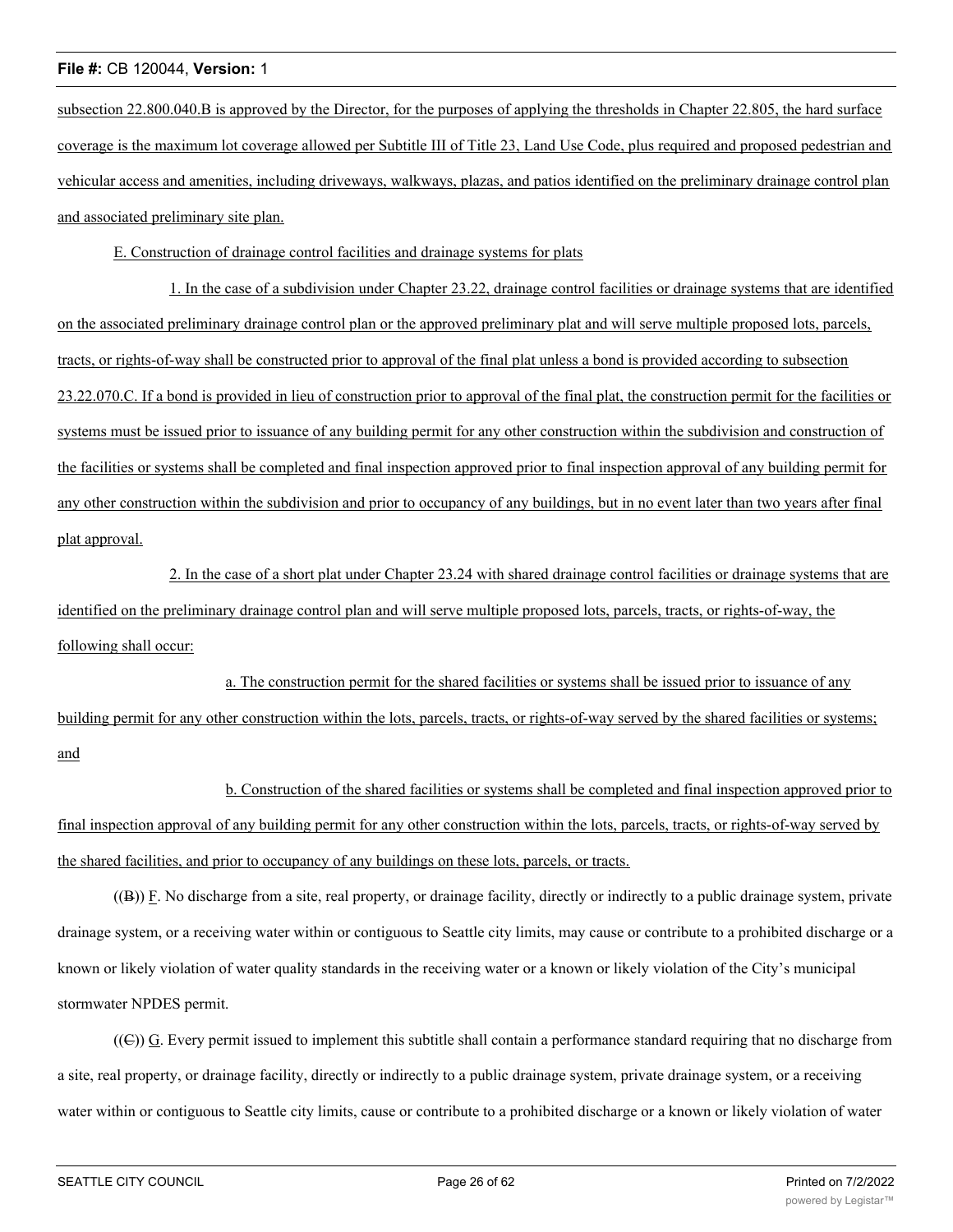subsection 22.800.040.B is approved by the Director, for the purposes of applying the thresholds in Chapter 22.805, the hard surface coverage is the maximum lot coverage allowed per Subtitle III of Title 23, Land Use Code, plus required and proposed pedestrian and vehicular access and amenities, including driveways, walkways, plazas, and patios identified on the preliminary drainage control plan and associated preliminary site plan.

E. Construction of drainage control facilities and drainage systems for plats

1. In the case of a subdivision under Chapter 23.22, drainage control facilities or drainage systems that are identified on the associated preliminary drainage control plan or the approved preliminary plat and will serve multiple proposed lots, parcels, tracts, or rights-of-way shall be constructed prior to approval of the final plat unless a bond is provided according to subsection 23.22.070.C. If a bond is provided in lieu of construction prior to approval of the final plat, the construction permit for the facilities or systems must be issued prior to issuance of any building permit for any other construction within the subdivision and construction of the facilities or systems shall be completed and final inspection approved prior to final inspection approval of any building permit for any other construction within the subdivision and prior to occupancy of any buildings, but in no event later than two years after final plat approval.

2. In the case of a short plat under Chapter 23.24 with shared drainage control facilities or drainage systems that are identified on the preliminary drainage control plan and will serve multiple proposed lots, parcels, tracts, or rights-of-way, the following shall occur:

a. The construction permit for the shared facilities or systems shall be issued prior to issuance of any building permit for any other construction within the lots, parcels, tracts, or rights-of-way served by the shared facilities or systems; and

b. Construction of the shared facilities or systems shall be completed and final inspection approved prior to final inspection approval of any building permit for any other construction within the lots, parcels, tracts, or rights-of-way served by the shared facilities, and prior to occupancy of any buildings on these lots, parcels, or tracts.

 $((B))$  F. No discharge from a site, real property, or drainage facility, directly or indirectly to a public drainage system, private drainage system, or a receiving water within or contiguous to Seattle city limits, may cause or contribute to a prohibited discharge or a known or likely violation of water quality standards in the receiving water or a known or likely violation of the City's municipal stormwater NPDES permit.

((C)) G. Every permit issued to implement this subtitle shall contain a performance standard requiring that no discharge from a site, real property, or drainage facility, directly or indirectly to a public drainage system, private drainage system, or a receiving water within or contiguous to Seattle city limits, cause or contribute to a prohibited discharge or a known or likely violation of water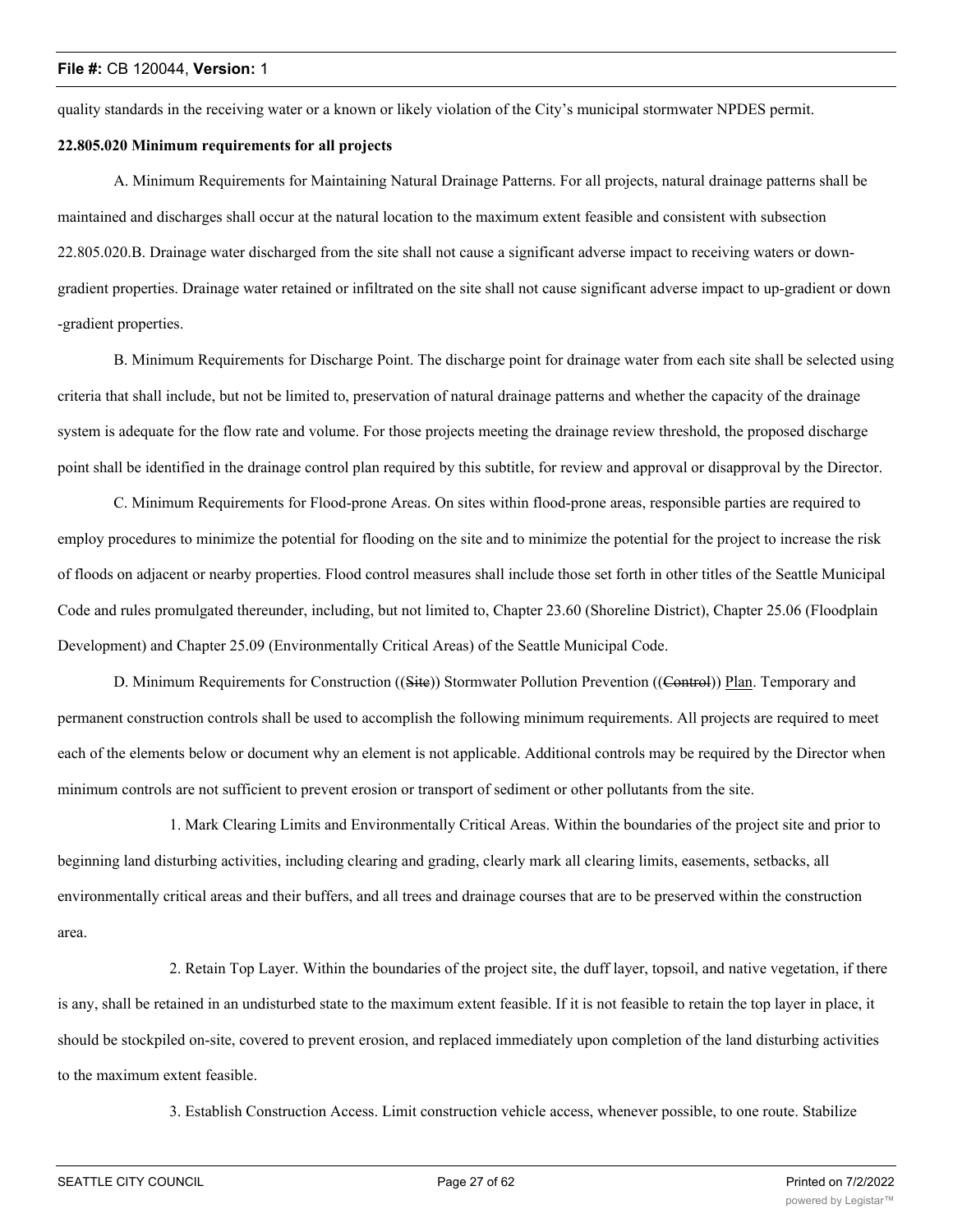quality standards in the receiving water or a known or likely violation of the City's municipal stormwater NPDES permit.

## **22.805.020 Minimum requirements for all projects**

A. Minimum Requirements for Maintaining Natural Drainage Patterns. For all projects, natural drainage patterns shall be maintained and discharges shall occur at the natural location to the maximum extent feasible and consistent with subsection 22.805.020.B. Drainage water discharged from the site shall not cause a significant adverse impact to receiving waters or downgradient properties. Drainage water retained or infiltrated on the site shall not cause significant adverse impact to up-gradient or down -gradient properties.

B. Minimum Requirements for Discharge Point. The discharge point for drainage water from each site shall be selected using criteria that shall include, but not be limited to, preservation of natural drainage patterns and whether the capacity of the drainage system is adequate for the flow rate and volume. For those projects meeting the drainage review threshold, the proposed discharge point shall be identified in the drainage control plan required by this subtitle, for review and approval or disapproval by the Director.

C. Minimum Requirements for Flood-prone Areas. On sites within flood-prone areas, responsible parties are required to employ procedures to minimize the potential for flooding on the site and to minimize the potential for the project to increase the risk of floods on adjacent or nearby properties. Flood control measures shall include those set forth in other titles of the Seattle Municipal Code and rules promulgated thereunder, including, but not limited to, Chapter 23.60 (Shoreline District), Chapter 25.06 (Floodplain Development) and Chapter 25.09 (Environmentally Critical Areas) of the Seattle Municipal Code.

D. Minimum Requirements for Construction ((Site)) Stormwater Pollution Prevention ((Control)) Plan. Temporary and permanent construction controls shall be used to accomplish the following minimum requirements. All projects are required to meet each of the elements below or document why an element is not applicable. Additional controls may be required by the Director when minimum controls are not sufficient to prevent erosion or transport of sediment or other pollutants from the site.

1. Mark Clearing Limits and Environmentally Critical Areas. Within the boundaries of the project site and prior to beginning land disturbing activities, including clearing and grading, clearly mark all clearing limits, easements, setbacks, all environmentally critical areas and their buffers, and all trees and drainage courses that are to be preserved within the construction area.

2. Retain Top Layer. Within the boundaries of the project site, the duff layer, topsoil, and native vegetation, if there is any, shall be retained in an undisturbed state to the maximum extent feasible. If it is not feasible to retain the top layer in place, it should be stockpiled on-site, covered to prevent erosion, and replaced immediately upon completion of the land disturbing activities to the maximum extent feasible.

3. Establish Construction Access. Limit construction vehicle access, whenever possible, to one route. Stabilize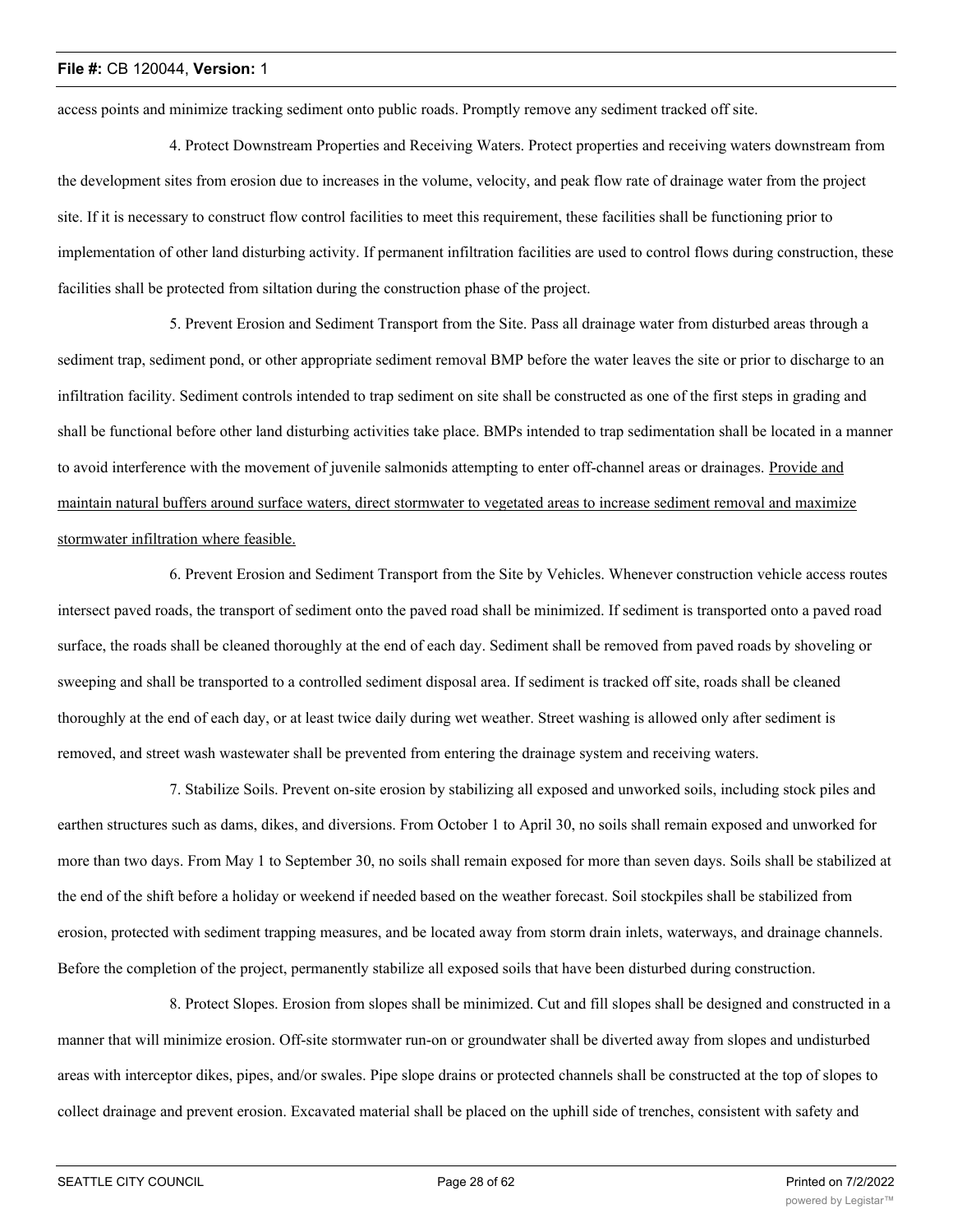access points and minimize tracking sediment onto public roads. Promptly remove any sediment tracked off site.

4. Protect Downstream Properties and Receiving Waters. Protect properties and receiving waters downstream from the development sites from erosion due to increases in the volume, velocity, and peak flow rate of drainage water from the project site. If it is necessary to construct flow control facilities to meet this requirement, these facilities shall be functioning prior to implementation of other land disturbing activity. If permanent infiltration facilities are used to control flows during construction, these facilities shall be protected from siltation during the construction phase of the project.

5. Prevent Erosion and Sediment Transport from the Site. Pass all drainage water from disturbed areas through a sediment trap, sediment pond, or other appropriate sediment removal BMP before the water leaves the site or prior to discharge to an infiltration facility. Sediment controls intended to trap sediment on site shall be constructed as one of the first steps in grading and shall be functional before other land disturbing activities take place. BMPs intended to trap sedimentation shall be located in a manner to avoid interference with the movement of juvenile salmonids attempting to enter off-channel areas or drainages. Provide and maintain natural buffers around surface waters, direct stormwater to vegetated areas to increase sediment removal and maximize stormwater infiltration where feasible.

6. Prevent Erosion and Sediment Transport from the Site by Vehicles. Whenever construction vehicle access routes intersect paved roads, the transport of sediment onto the paved road shall be minimized. If sediment is transported onto a paved road surface, the roads shall be cleaned thoroughly at the end of each day. Sediment shall be removed from paved roads by shoveling or sweeping and shall be transported to a controlled sediment disposal area. If sediment is tracked off site, roads shall be cleaned thoroughly at the end of each day, or at least twice daily during wet weather. Street washing is allowed only after sediment is removed, and street wash wastewater shall be prevented from entering the drainage system and receiving waters.

7. Stabilize Soils. Prevent on-site erosion by stabilizing all exposed and unworked soils, including stock piles and earthen structures such as dams, dikes, and diversions. From October 1 to April 30, no soils shall remain exposed and unworked for more than two days. From May 1 to September 30, no soils shall remain exposed for more than seven days. Soils shall be stabilized at the end of the shift before a holiday or weekend if needed based on the weather forecast. Soil stockpiles shall be stabilized from erosion, protected with sediment trapping measures, and be located away from storm drain inlets, waterways, and drainage channels. Before the completion of the project, permanently stabilize all exposed soils that have been disturbed during construction.

8. Protect Slopes. Erosion from slopes shall be minimized. Cut and fill slopes shall be designed and constructed in a manner that will minimize erosion. Off-site stormwater run-on or groundwater shall be diverted away from slopes and undisturbed areas with interceptor dikes, pipes, and/or swales. Pipe slope drains or protected channels shall be constructed at the top of slopes to collect drainage and prevent erosion. Excavated material shall be placed on the uphill side of trenches, consistent with safety and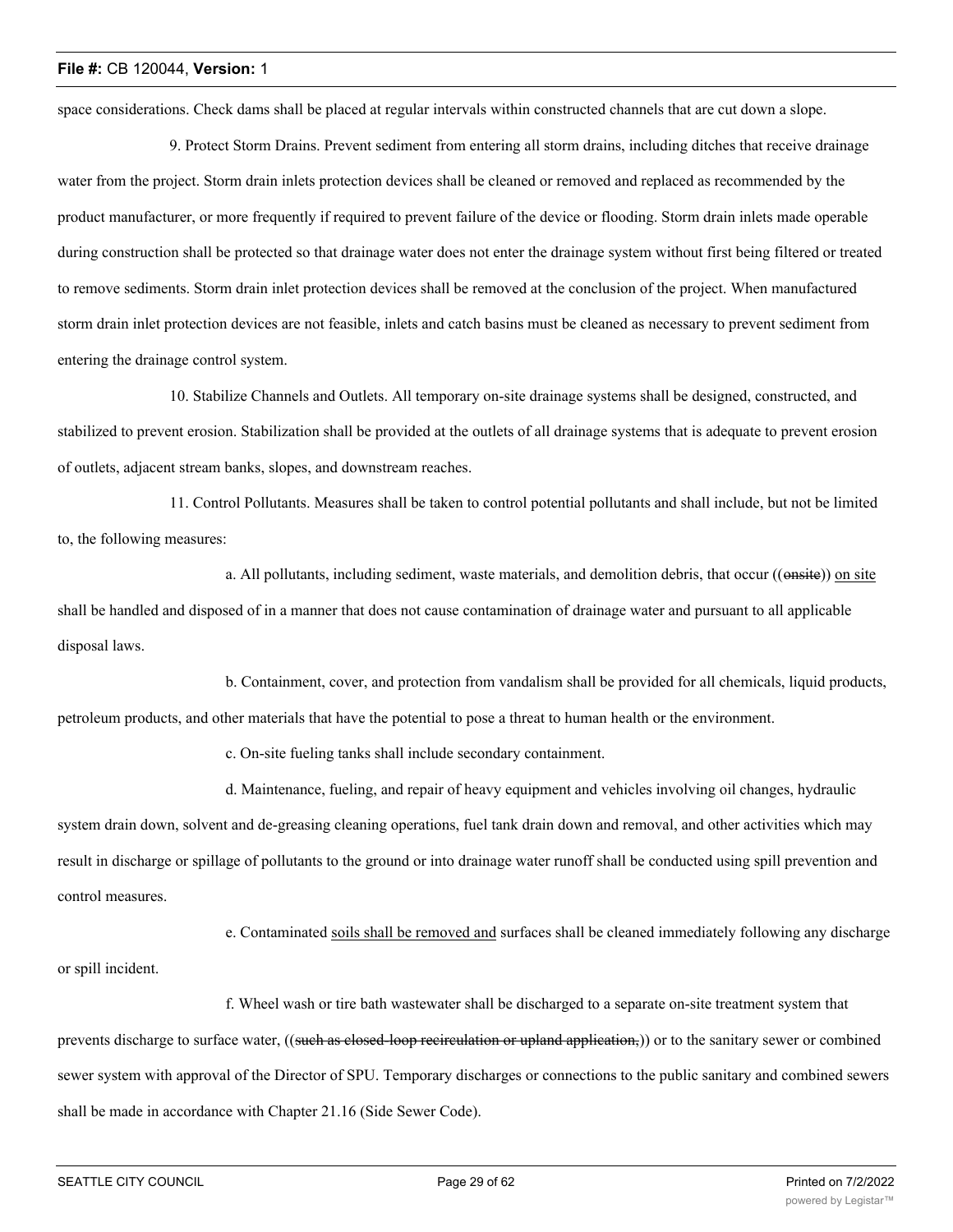space considerations. Check dams shall be placed at regular intervals within constructed channels that are cut down a slope.

9. Protect Storm Drains. Prevent sediment from entering all storm drains, including ditches that receive drainage water from the project. Storm drain inlets protection devices shall be cleaned or removed and replaced as recommended by the product manufacturer, or more frequently if required to prevent failure of the device or flooding. Storm drain inlets made operable during construction shall be protected so that drainage water does not enter the drainage system without first being filtered or treated to remove sediments. Storm drain inlet protection devices shall be removed at the conclusion of the project. When manufactured storm drain inlet protection devices are not feasible, inlets and catch basins must be cleaned as necessary to prevent sediment from entering the drainage control system.

10. Stabilize Channels and Outlets. All temporary on-site drainage systems shall be designed, constructed, and stabilized to prevent erosion. Stabilization shall be provided at the outlets of all drainage systems that is adequate to prevent erosion of outlets, adjacent stream banks, slopes, and downstream reaches.

11. Control Pollutants. Measures shall be taken to control potential pollutants and shall include, but not be limited to, the following measures:

a. All pollutants, including sediment, waste materials, and demolition debris, that occur ((onsite)) on site shall be handled and disposed of in a manner that does not cause contamination of drainage water and pursuant to all applicable disposal laws.

b. Containment, cover, and protection from vandalism shall be provided for all chemicals, liquid products, petroleum products, and other materials that have the potential to pose a threat to human health or the environment.

c. On-site fueling tanks shall include secondary containment.

d. Maintenance, fueling, and repair of heavy equipment and vehicles involving oil changes, hydraulic

system drain down, solvent and de-greasing cleaning operations, fuel tank drain down and removal, and other activities which may result in discharge or spillage of pollutants to the ground or into drainage water runoff shall be conducted using spill prevention and control measures.

e. Contaminated soils shall be removed and surfaces shall be cleaned immediately following any discharge or spill incident.

f. Wheel wash or tire bath wastewater shall be discharged to a separate on-site treatment system that prevents discharge to surface water, ((such as closed-loop recirculation or upland application,)) or to the sanitary sewer or combined sewer system with approval of the Director of SPU. Temporary discharges or connections to the public sanitary and combined sewers shall be made in accordance with Chapter 21.16 (Side Sewer Code).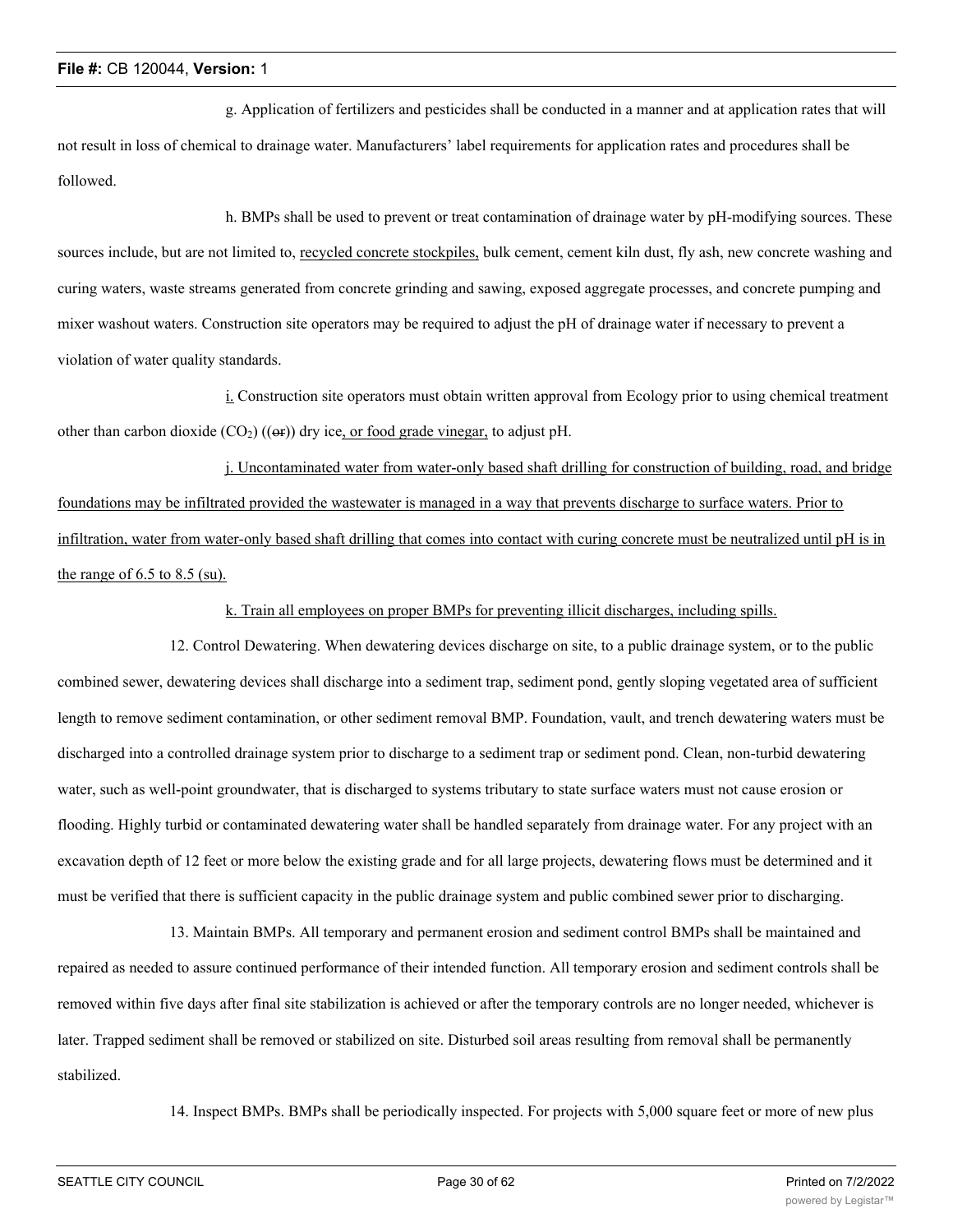g. Application of fertilizers and pesticides shall be conducted in a manner and at application rates that will not result in loss of chemical to drainage water. Manufacturers' label requirements for application rates and procedures shall be followed.

h. BMPs shall be used to prevent or treat contamination of drainage water by pH-modifying sources. These sources include, but are not limited to, recycled concrete stockpiles, bulk cement, cement kiln dust, fly ash, new concrete washing and curing waters, waste streams generated from concrete grinding and sawing, exposed aggregate processes, and concrete pumping and mixer washout waters. Construction site operators may be required to adjust the pH of drainage water if necessary to prevent a violation of water quality standards.

i. Construction site operators must obtain written approval from Ecology prior to using chemical treatment other than carbon dioxide  $(CO_2)$  (( $\Theta$ )) dry ice, or food grade vinegar, to adjust pH.

j. Uncontaminated water from water-only based shaft drilling for construction of building, road, and bridge foundations may be infiltrated provided the wastewater is managed in a way that prevents discharge to surface waters. Prior to infiltration, water from water-only based shaft drilling that comes into contact with curing concrete must be neutralized until pH is in the range of  $6.5$  to  $8.5$  (su).

k. Train all employees on proper BMPs for preventing illicit discharges, including spills.

12. Control Dewatering. When dewatering devices discharge on site, to a public drainage system, or to the public combined sewer, dewatering devices shall discharge into a sediment trap, sediment pond, gently sloping vegetated area of sufficient length to remove sediment contamination, or other sediment removal BMP. Foundation, vault, and trench dewatering waters must be discharged into a controlled drainage system prior to discharge to a sediment trap or sediment pond. Clean, non-turbid dewatering water, such as well-point groundwater, that is discharged to systems tributary to state surface waters must not cause erosion or flooding. Highly turbid or contaminated dewatering water shall be handled separately from drainage water. For any project with an excavation depth of 12 feet or more below the existing grade and for all large projects, dewatering flows must be determined and it must be verified that there is sufficient capacity in the public drainage system and public combined sewer prior to discharging.

13. Maintain BMPs. All temporary and permanent erosion and sediment control BMPs shall be maintained and repaired as needed to assure continued performance of their intended function. All temporary erosion and sediment controls shall be removed within five days after final site stabilization is achieved or after the temporary controls are no longer needed, whichever is later. Trapped sediment shall be removed or stabilized on site. Disturbed soil areas resulting from removal shall be permanently stabilized.

14. Inspect BMPs. BMPs shall be periodically inspected. For projects with 5,000 square feet or more of new plus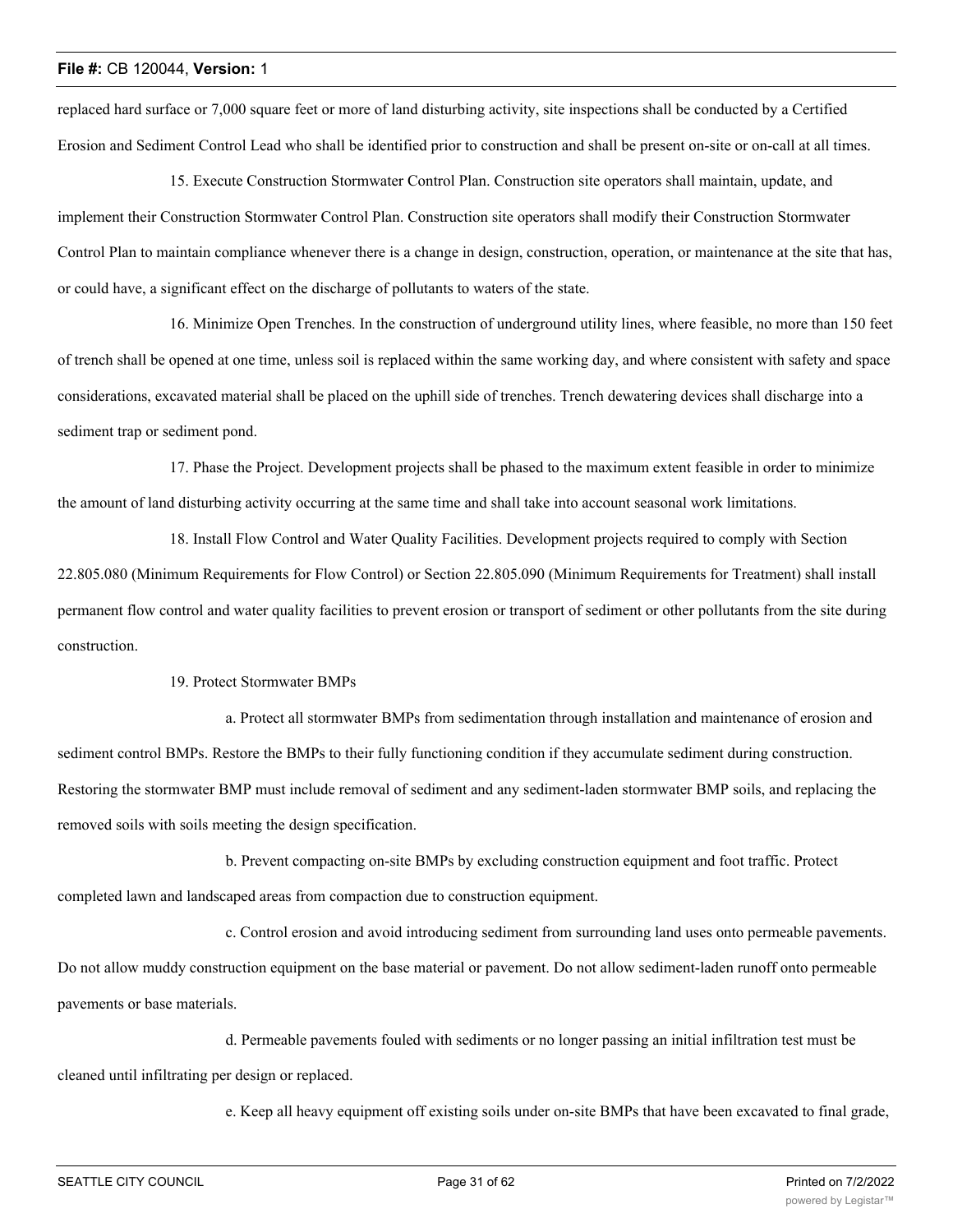replaced hard surface or 7,000 square feet or more of land disturbing activity, site inspections shall be conducted by a Certified Erosion and Sediment Control Lead who shall be identified prior to construction and shall be present on-site or on-call at all times.

15. Execute Construction Stormwater Control Plan. Construction site operators shall maintain, update, and implement their Construction Stormwater Control Plan. Construction site operators shall modify their Construction Stormwater Control Plan to maintain compliance whenever there is a change in design, construction, operation, or maintenance at the site that has, or could have, a significant effect on the discharge of pollutants to waters of the state.

16. Minimize Open Trenches. In the construction of underground utility lines, where feasible, no more than 150 feet of trench shall be opened at one time, unless soil is replaced within the same working day, and where consistent with safety and space considerations, excavated material shall be placed on the uphill side of trenches. Trench dewatering devices shall discharge into a sediment trap or sediment pond.

17. Phase the Project. Development projects shall be phased to the maximum extent feasible in order to minimize the amount of land disturbing activity occurring at the same time and shall take into account seasonal work limitations.

18. Install Flow Control and Water Quality Facilities. Development projects required to comply with Section 22.805.080 (Minimum Requirements for Flow Control) or Section 22.805.090 (Minimum Requirements for Treatment) shall install permanent flow control and water quality facilities to prevent erosion or transport of sediment or other pollutants from the site during construction.

19. Protect Stormwater BMPs

a. Protect all stormwater BMPs from sedimentation through installation and maintenance of erosion and sediment control BMPs. Restore the BMPs to their fully functioning condition if they accumulate sediment during construction. Restoring the stormwater BMP must include removal of sediment and any sediment-laden stormwater BMP soils, and replacing the removed soils with soils meeting the design specification.

b. Prevent compacting on-site BMPs by excluding construction equipment and foot traffic. Protect completed lawn and landscaped areas from compaction due to construction equipment.

c. Control erosion and avoid introducing sediment from surrounding land uses onto permeable pavements. Do not allow muddy construction equipment on the base material or pavement. Do not allow sediment-laden runoff onto permeable pavements or base materials.

d. Permeable pavements fouled with sediments or no longer passing an initial infiltration test must be cleaned until infiltrating per design or replaced.

e. Keep all heavy equipment off existing soils under on-site BMPs that have been excavated to final grade,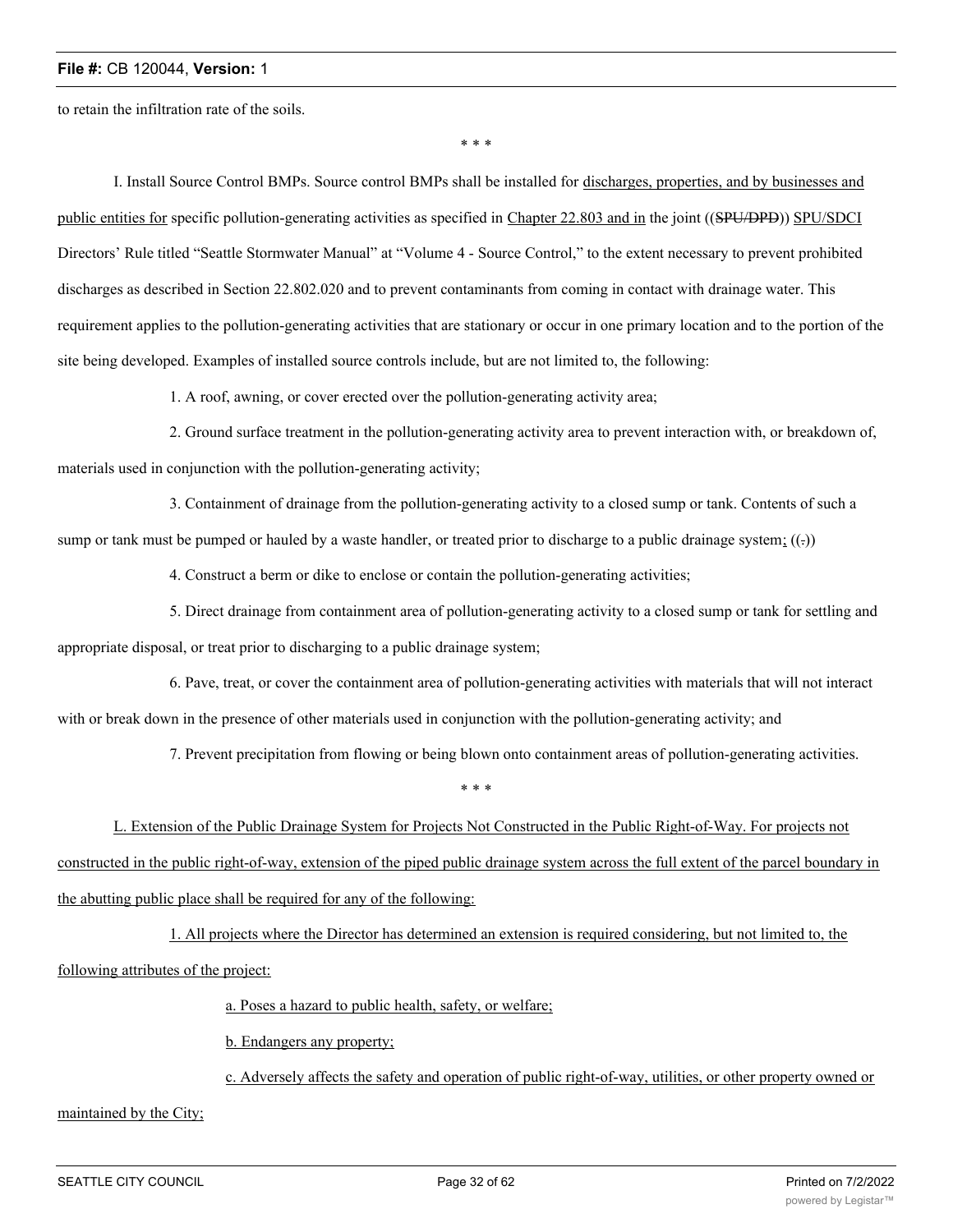to retain the infiltration rate of the soils.

\* \* \*

I. Install Source Control BMPs. Source control BMPs shall be installed for discharges, properties, and by businesses and public entities for specific pollution-generating activities as specified in Chapter 22.803 and in the joint ((SPU/DPD)) SPU/SDCI Directors' Rule titled "Seattle Stormwater Manual" at "Volume 4 - Source Control," to the extent necessary to prevent prohibited discharges as described in Section 22.802.020 and to prevent contaminants from coming in contact with drainage water. This requirement applies to the pollution-generating activities that are stationary or occur in one primary location and to the portion of the site being developed. Examples of installed source controls include, but are not limited to, the following:

1. A roof, awning, or cover erected over the pollution-generating activity area;

2. Ground surface treatment in the pollution-generating activity area to prevent interaction with, or breakdown of, materials used in conjunction with the pollution-generating activity;

3. Containment of drainage from the pollution-generating activity to a closed sump or tank. Contents of such a sump or tank must be pumped or hauled by a waste handler, or treated prior to discharge to a public drainage system;  $((.)$ 

4. Construct a berm or dike to enclose or contain the pollution-generating activities;

5. Direct drainage from containment area of pollution-generating activity to a closed sump or tank for settling and appropriate disposal, or treat prior to discharging to a public drainage system;

6. Pave, treat, or cover the containment area of pollution-generating activities with materials that will not interact with or break down in the presence of other materials used in conjunction with the pollution-generating activity; and

7. Prevent precipitation from flowing or being blown onto containment areas of pollution-generating activities.

\* \* \*

L. Extension of the Public Drainage System for Projects Not Constructed in the Public Right-of-Way. For projects not constructed in the public right-of-way, extension of the piped public drainage system across the full extent of the parcel boundary in the abutting public place shall be required for any of the following:

1. All projects where the Director has determined an extension is required considering, but not limited to, the following attributes of the project:

a. Poses a hazard to public health, safety, or welfare;

b. Endangers any property;

c. Adversely affects the safety and operation of public right-of-way, utilities, or other property owned or

maintained by the City;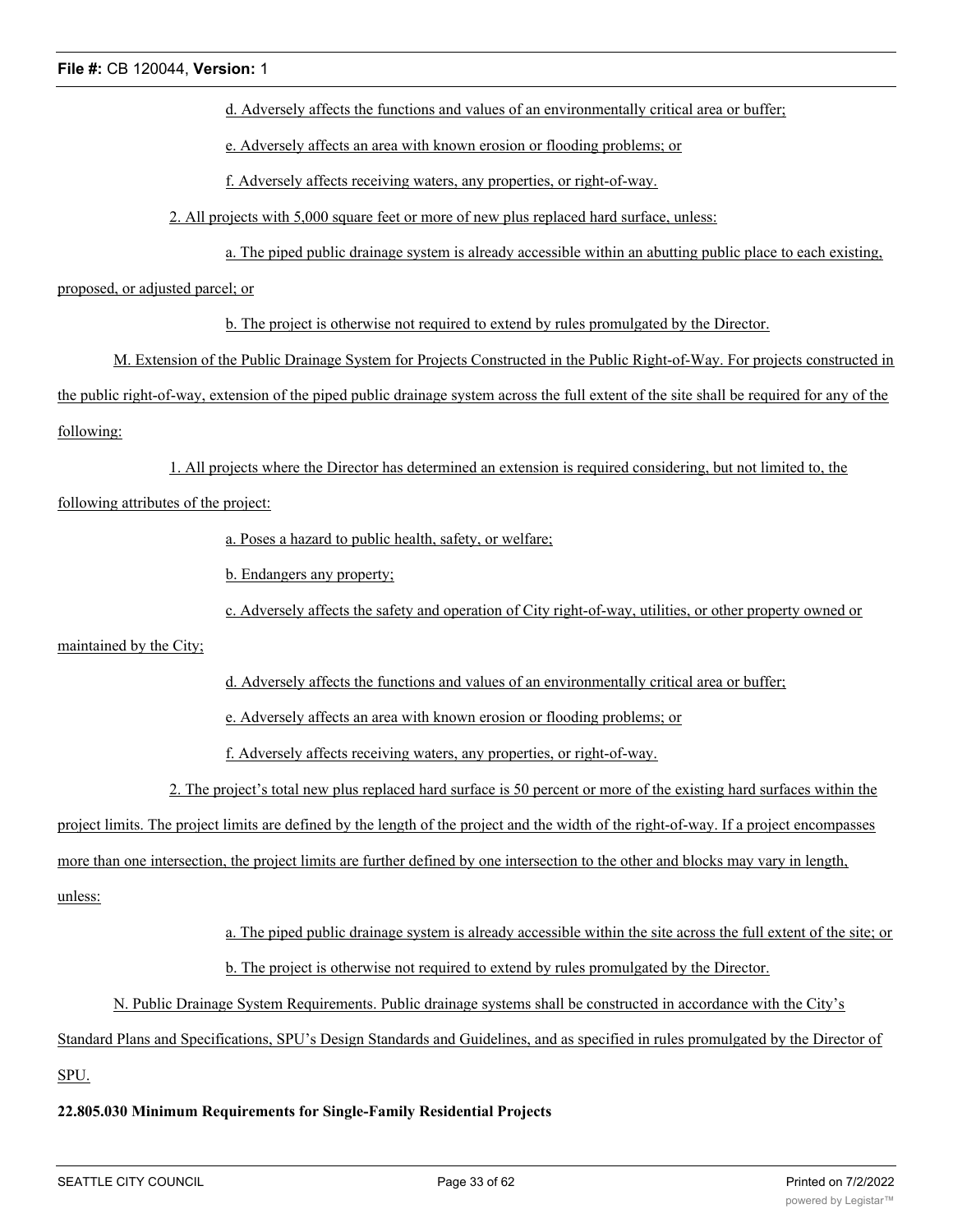d. Adversely affects the functions and values of an environmentally critical area or buffer;

e. Adversely affects an area with known erosion or flooding problems; or

f. Adversely affects receiving waters, any properties, or right-of-way.

2. All projects with 5,000 square feet or more of new plus replaced hard surface, unless:

a. The piped public drainage system is already accessible within an abutting public place to each existing,

proposed, or adjusted parcel; or

b. The project is otherwise not required to extend by rules promulgated by the Director.

M. Extension of the Public Drainage System for Projects Constructed in the Public Right-of-Way. For projects constructed in the public right-of-way, extension of the piped public drainage system across the full extent of the site shall be required for any of the following:

1. All projects where the Director has determined an extension is required considering, but not limited to, the

following attributes of the project:

a. Poses a hazard to public health, safety, or welfare;

b. Endangers any property;

c. Adversely affects the safety and operation of City right-of-way, utilities, or other property owned or

maintained by the City;

d. Adversely affects the functions and values of an environmentally critical area or buffer;

e. Adversely affects an area with known erosion or flooding problems; or

f. Adversely affects receiving waters, any properties, or right-of-way.

2. The project's total new plus replaced hard surface is 50 percent or more of the existing hard surfaces within the

project limits. The project limits are defined by the length of the project and the width of the right-of-way. If a project encompasses

more than one intersection, the project limits are further defined by one intersection to the other and blocks may vary in length,

unless:

a. The piped public drainage system is already accessible within the site across the full extent of the site; or

b. The project is otherwise not required to extend by rules promulgated by the Director.

N. Public Drainage System Requirements. Public drainage systems shall be constructed in accordance with the City's

Standard Plans and Specifications, SPU's Design Standards and Guidelines, and as specified in rules promulgated by the Director of

SPU.

## **22.805.030 Minimum Requirements for Single-Family Residential Projects**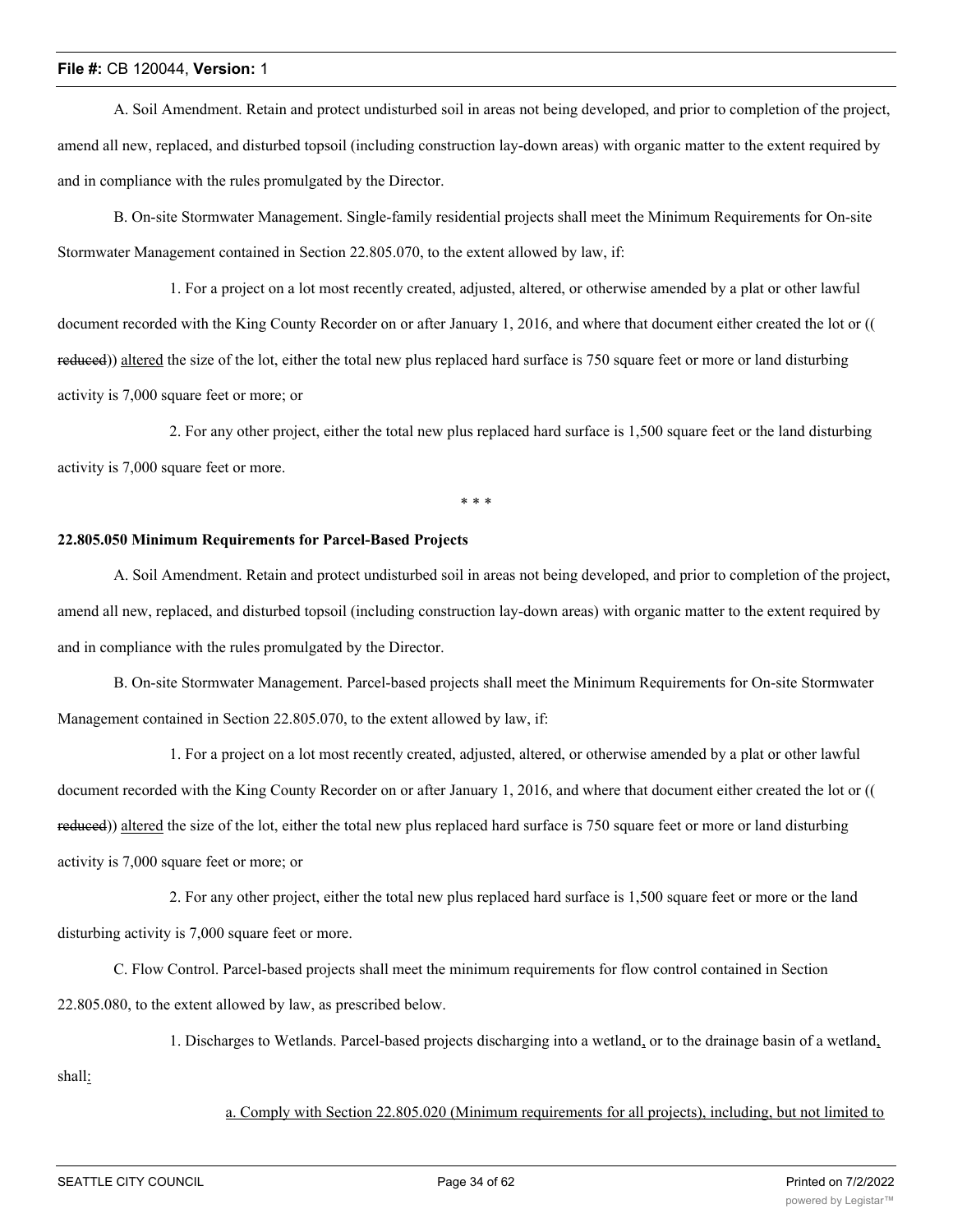A. Soil Amendment. Retain and protect undisturbed soil in areas not being developed, and prior to completion of the project, amend all new, replaced, and disturbed topsoil (including construction lay-down areas) with organic matter to the extent required by and in compliance with the rules promulgated by the Director.

B. On-site Stormwater Management. Single-family residential projects shall meet the Minimum Requirements for On-site Stormwater Management contained in Section 22.805.070, to the extent allowed by law, if:

1. For a project on a lot most recently created, adjusted, altered, or otherwise amended by a plat or other lawful document recorded with the King County Recorder on or after January 1, 2016, and where that document either created the lot or (( reduced)) altered the size of the lot, either the total new plus replaced hard surface is 750 square feet or more or land disturbing activity is 7,000 square feet or more; or

2. For any other project, either the total new plus replaced hard surface is 1,500 square feet or the land disturbing activity is 7,000 square feet or more.

\* \* \*

#### **22.805.050 Minimum Requirements for Parcel-Based Projects**

A. Soil Amendment. Retain and protect undisturbed soil in areas not being developed, and prior to completion of the project, amend all new, replaced, and disturbed topsoil (including construction lay-down areas) with organic matter to the extent required by and in compliance with the rules promulgated by the Director.

B. On-site Stormwater Management. Parcel-based projects shall meet the Minimum Requirements for On-site Stormwater Management contained in Section 22.805.070, to the extent allowed by law, if:

1. For a project on a lot most recently created, adjusted, altered, or otherwise amended by a plat or other lawful document recorded with the King County Recorder on or after January 1, 2016, and where that document either created the lot or (( reduced)) altered the size of the lot, either the total new plus replaced hard surface is 750 square feet or more or land disturbing activity is 7,000 square feet or more; or

2. For any other project, either the total new plus replaced hard surface is 1,500 square feet or more or the land disturbing activity is 7,000 square feet or more.

C. Flow Control. Parcel-based projects shall meet the minimum requirements for flow control contained in Section 22.805.080, to the extent allowed by law, as prescribed below.

1. Discharges to Wetlands. Parcel-based projects discharging into a wetland, or to the drainage basin of a wetland,

shall:

a. Comply with Section 22.805.020 (Minimum requirements for all projects), including, but not limited to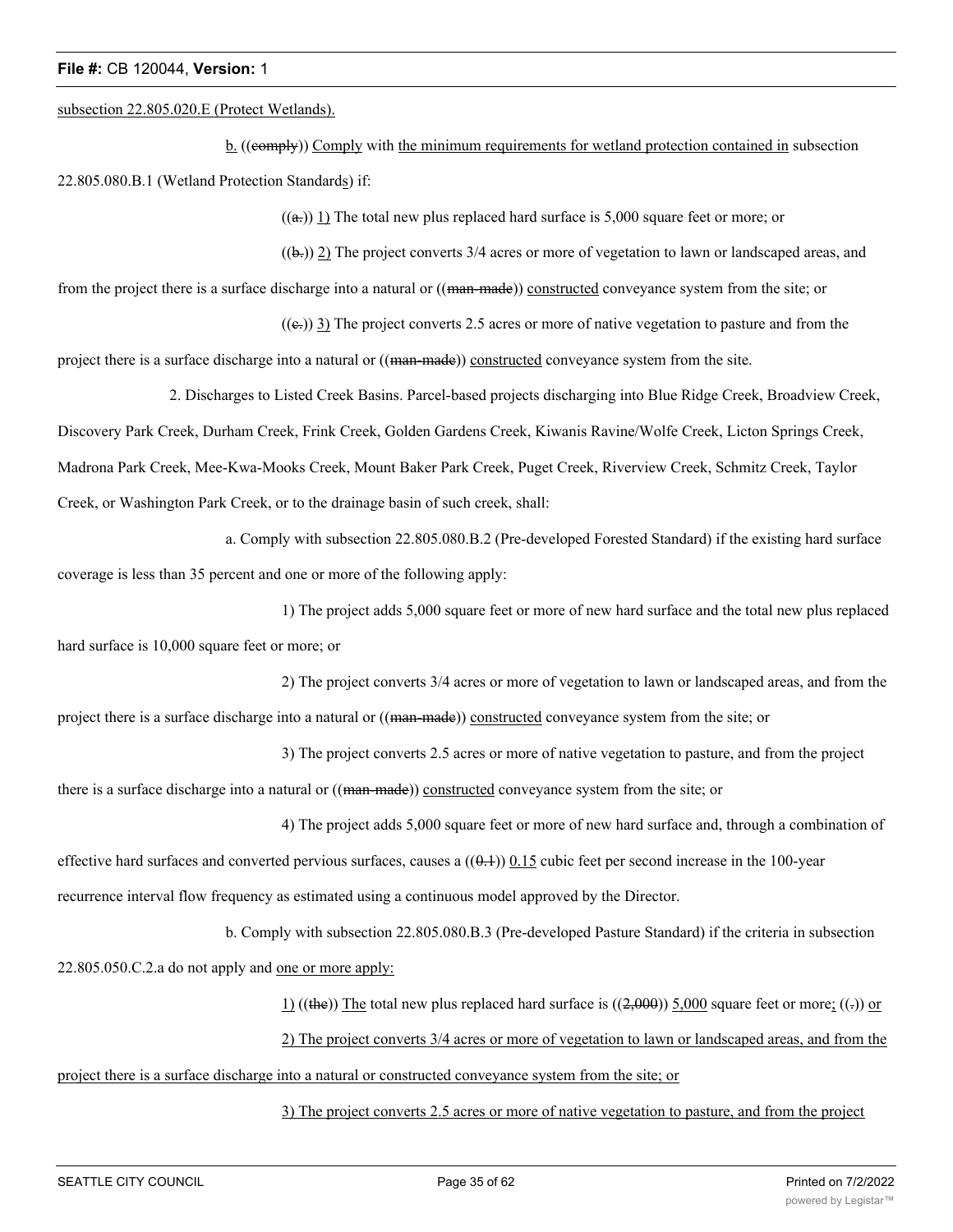#### subsection 22.805.020.E (Protect Wetlands).

b. ((eemply)) Comply with the minimum requirements for wetland protection contained in subsection 22.805.080.B.1 (Wetland Protection Standards) if:

 $((a))$  1) The total new plus replaced hard surface is 5,000 square feet or more; or

 $((\mathbf{b})$ ) 2) The project converts 3/4 acres or more of vegetation to lawn or landscaped areas, and

from the project there is a surface discharge into a natural or ((man-made)) constructed conveyance system from the site; or

 $((e))$  3) The project converts 2.5 acres or more of native vegetation to pasture and from the

project there is a surface discharge into a natural or ((man-made)) constructed conveyance system from the site.

2. Discharges to Listed Creek Basins. Parcel-based projects discharging into Blue Ridge Creek, Broadview Creek,

Discovery Park Creek, Durham Creek, Frink Creek, Golden Gardens Creek, Kiwanis Ravine/Wolfe Creek, Licton Springs Creek,

Madrona Park Creek, Mee-Kwa-Mooks Creek, Mount Baker Park Creek, Puget Creek, Riverview Creek, Schmitz Creek, Taylor

Creek, or Washington Park Creek, or to the drainage basin of such creek, shall:

a. Comply with subsection 22.805.080.B.2 (Pre-developed Forested Standard) if the existing hard surface

coverage is less than 35 percent and one or more of the following apply:

1) The project adds 5,000 square feet or more of new hard surface and the total new plus replaced

hard surface is 10,000 square feet or more; or

2) The project converts 3/4 acres or more of vegetation to lawn or landscaped areas, and from the project there is a surface discharge into a natural or ((man-made)) constructed conveyance system from the site; or

3) The project converts 2.5 acres or more of native vegetation to pasture, and from the project there is a surface discharge into a natural or ((man-made)) constructed conveyance system from the site; or

4) The project adds 5,000 square feet or more of new hard surface and, through a combination of effective hard surfaces and converted pervious surfaces, causes a  $((0.1))$  0.15 cubic feet per second increase in the 100-year recurrence interval flow frequency as estimated using a continuous model approved by the Director.

b. Comply with subsection 22.805.080.B.3 (Pre-developed Pasture Standard) if the criteria in subsection

22.805.050.C.2.a do not apply and one or more apply:

 $1)$  ((the)) The total new plus replaced hard surface is ((2,000)) 5,000 square feet or more; ((-)) or

2) The project converts 3/4 acres or more of vegetation to lawn or landscaped areas, and from the

project there is a surface discharge into a natural or constructed conveyance system from the site; or

3) The project converts 2.5 acres or more of native vegetation to pasture, and from the project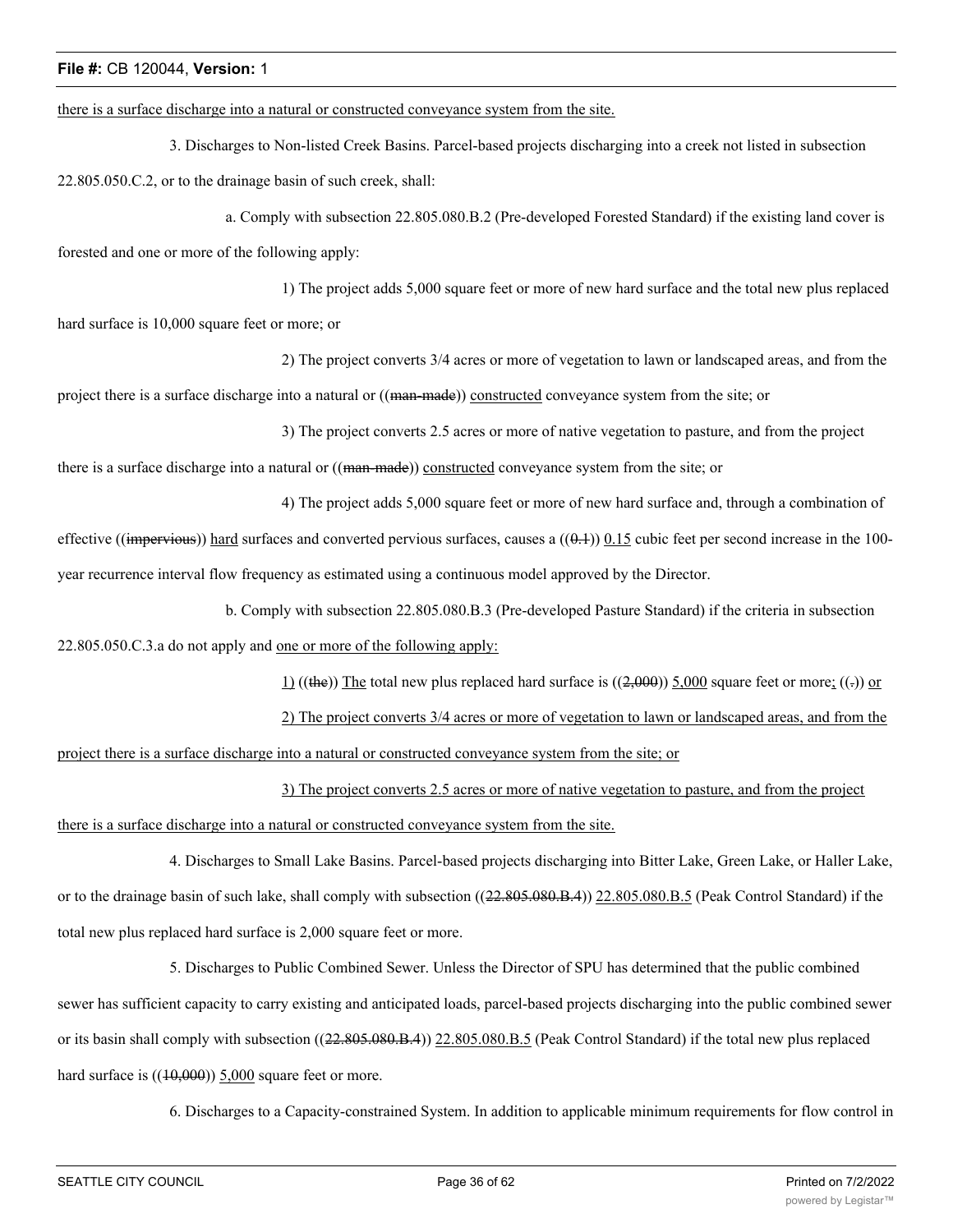there is a surface discharge into a natural or constructed conveyance system from the site.

3. Discharges to Non-listed Creek Basins. Parcel-based projects discharging into a creek not listed in subsection 22.805.050.C.2, or to the drainage basin of such creek, shall:

a. Comply with subsection 22.805.080.B.2 (Pre-developed Forested Standard) if the existing land cover is forested and one or more of the following apply:

1) The project adds 5,000 square feet or more of new hard surface and the total new plus replaced hard surface is 10,000 square feet or more; or

2) The project converts 3/4 acres or more of vegetation to lawn or landscaped areas, and from the project there is a surface discharge into a natural or ((man-made)) constructed conveyance system from the site; or

3) The project converts 2.5 acres or more of native vegetation to pasture, and from the project

there is a surface discharge into a natural or ((man-made)) constructed conveyance system from the site; or

4) The project adds 5,000 square feet or more of new hard surface and, through a combination of effective ((impervious)) hard surfaces and converted pervious surfaces, causes a  $((0.1))$  0.15 cubic feet per second increase in the 100year recurrence interval flow frequency as estimated using a continuous model approved by the Director.

b. Comply with subsection 22.805.080.B.3 (Pre-developed Pasture Standard) if the criteria in subsection

22.805.050.C.3.a do not apply and one or more of the following apply:

 $1)$  ((the)) The total new plus replaced hard surface is ((2,000)) 5,000 square feet or more; ((-)) or

2) The project converts 3/4 acres or more of vegetation to lawn or landscaped areas, and from the project there is a surface discharge into a natural or constructed conveyance system from the site; or

3) The project converts 2.5 acres or more of native vegetation to pasture, and from the project

there is a surface discharge into a natural or constructed conveyance system from the site.

4. Discharges to Small Lake Basins. Parcel-based projects discharging into Bitter Lake, Green Lake, or Haller Lake, or to the drainage basin of such lake, shall comply with subsection ((22.805.080.B.4)) 22.805.080.B.5 (Peak Control Standard) if the total new plus replaced hard surface is 2,000 square feet or more.

5. Discharges to Public Combined Sewer. Unless the Director of SPU has determined that the public combined sewer has sufficient capacity to carry existing and anticipated loads, parcel-based projects discharging into the public combined sewer or its basin shall comply with subsection ((22.805.080.B.4)) 22.805.080.B.5 (Peak Control Standard) if the total new plus replaced hard surface is  $((10,000))$  5,000 square feet or more.

6. Discharges to a Capacity-constrained System. In addition to applicable minimum requirements for flow control in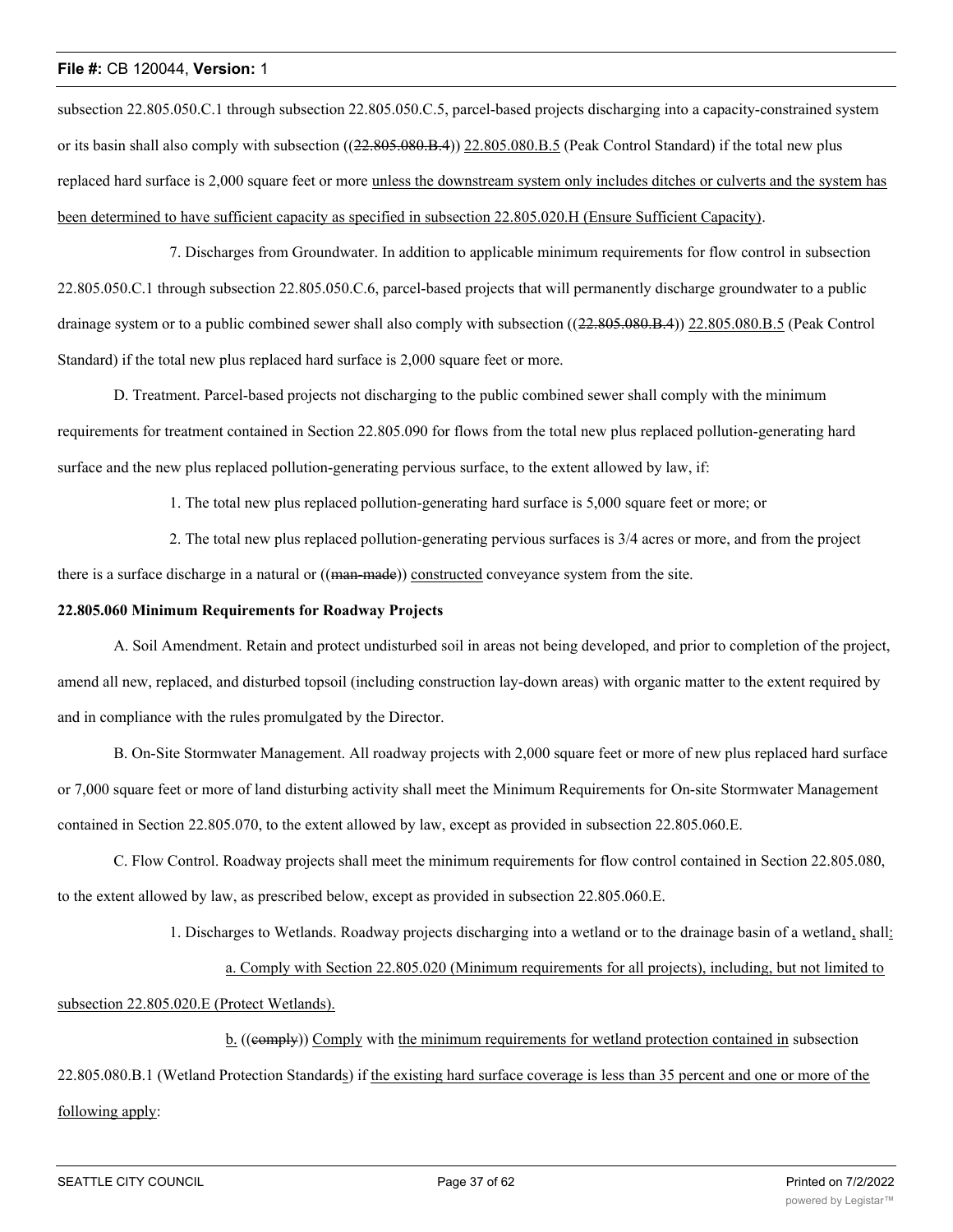subsection 22.805.050.C.1 through subsection 22.805.050.C.5, parcel-based projects discharging into a capacity-constrained system or its basin shall also comply with subsection ((22.805.080.B.4)) 22.805.080.B.5 (Peak Control Standard) if the total new plus replaced hard surface is 2,000 square feet or more unless the downstream system only includes ditches or culverts and the system has been determined to have sufficient capacity as specified in subsection 22.805.020.H (Ensure Sufficient Capacity).

7. Discharges from Groundwater. In addition to applicable minimum requirements for flow control in subsection 22.805.050.C.1 through subsection 22.805.050.C.6, parcel-based projects that will permanently discharge groundwater to a public drainage system or to a public combined sewer shall also comply with subsection ((22.805.080.B.4)) 22.805.080.B.5 (Peak Control Standard) if the total new plus replaced hard surface is 2,000 square feet or more.

D. Treatment. Parcel-based projects not discharging to the public combined sewer shall comply with the minimum requirements for treatment contained in Section 22.805.090 for flows from the total new plus replaced pollution-generating hard surface and the new plus replaced pollution-generating pervious surface, to the extent allowed by law, if:

1. The total new plus replaced pollution-generating hard surface is 5,000 square feet or more; or

2. The total new plus replaced pollution-generating pervious surfaces is 3/4 acres or more, and from the project there is a surface discharge in a natural or ((man-made)) constructed conveyance system from the site.

## **22.805.060 Minimum Requirements for Roadway Projects**

A. Soil Amendment. Retain and protect undisturbed soil in areas not being developed, and prior to completion of the project, amend all new, replaced, and disturbed topsoil (including construction lay-down areas) with organic matter to the extent required by and in compliance with the rules promulgated by the Director.

B. On-Site Stormwater Management. All roadway projects with 2,000 square feet or more of new plus replaced hard surface or 7,000 square feet or more of land disturbing activity shall meet the Minimum Requirements for On-site Stormwater Management contained in Section 22.805.070, to the extent allowed by law, except as provided in subsection 22.805.060.E.

C. Flow Control. Roadway projects shall meet the minimum requirements for flow control contained in Section 22.805.080, to the extent allowed by law, as prescribed below, except as provided in subsection 22.805.060.E.

1. Discharges to Wetlands. Roadway projects discharging into a wetland or to the drainage basin of a wetland, shall:

a. Comply with Section 22.805.020 (Minimum requirements for all projects), including, but not limited to

subsection 22.805.020.E (Protect Wetlands).

b. ((e<del>omply</del>)) Comply with the minimum requirements for wetland protection contained in subsection 22.805.080.B.1 (Wetland Protection Standards) if the existing hard surface coverage is less than 35 percent and one or more of the following apply: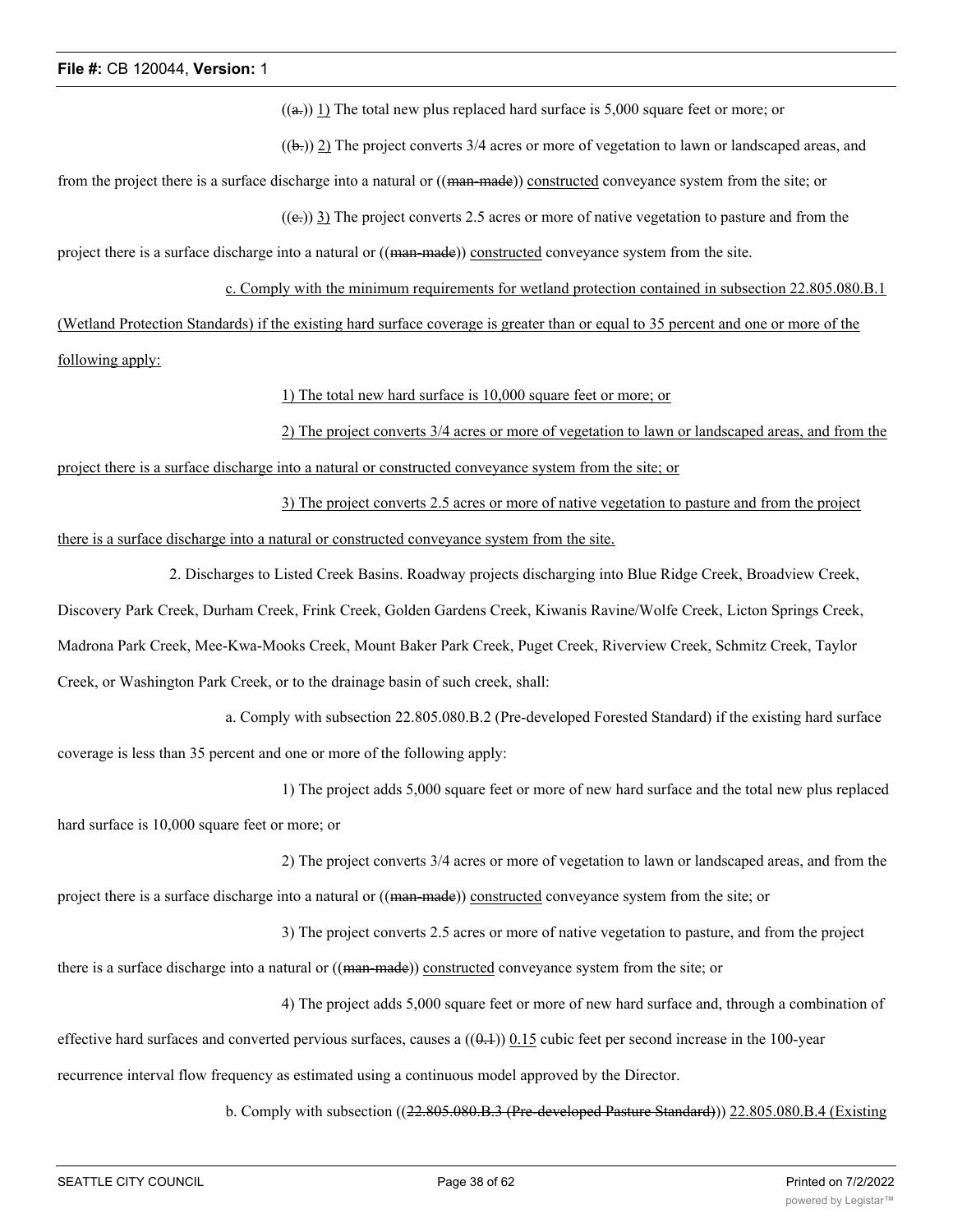$((a))$  1) The total new plus replaced hard surface is 5,000 square feet or more; or

 $((\mathbf{b})$ ) 2) The project converts 3/4 acres or more of vegetation to lawn or landscaped areas, and

from the project there is a surface discharge into a natural or ((man-made)) constructed conveyance system from the site; or

 $((e))$  3) The project converts 2.5 acres or more of native vegetation to pasture and from the

project there is a surface discharge into a natural or ((man-made)) constructed conveyance system from the site.

c. Comply with the minimum requirements for wetland protection contained in subsection 22.805.080.B.1 (Wetland Protection Standards) if the existing hard surface coverage is greater than or equal to 35 percent and one or more of the following apply:

1) The total new hard surface is 10,000 square feet or more; or

2) The project converts 3/4 acres or more of vegetation to lawn or landscaped areas, and from the project there is a surface discharge into a natural or constructed conveyance system from the site; or

3) The project converts 2.5 acres or more of native vegetation to pasture and from the project there is a surface discharge into a natural or constructed conveyance system from the site.

2. Discharges to Listed Creek Basins. Roadway projects discharging into Blue Ridge Creek, Broadview Creek, Discovery Park Creek, Durham Creek, Frink Creek, Golden Gardens Creek, Kiwanis Ravine/Wolfe Creek, Licton Springs Creek, Madrona Park Creek, Mee-Kwa-Mooks Creek, Mount Baker Park Creek, Puget Creek, Riverview Creek, Schmitz Creek, Taylor Creek, or Washington Park Creek, or to the drainage basin of such creek, shall:

a. Comply with subsection 22.805.080.B.2 (Pre-developed Forested Standard) if the existing hard surface coverage is less than 35 percent and one or more of the following apply:

1) The project adds 5,000 square feet or more of new hard surface and the total new plus replaced hard surface is 10,000 square feet or more; or

2) The project converts 3/4 acres or more of vegetation to lawn or landscaped areas, and from the

project there is a surface discharge into a natural or ((man-made)) constructed conveyance system from the site; or

3) The project converts 2.5 acres or more of native vegetation to pasture, and from the project

there is a surface discharge into a natural or ((man-made)) constructed conveyance system from the site; or

4) The project adds 5,000 square feet or more of new hard surface and, through a combination of

effective hard surfaces and converted pervious surfaces, causes a  $((0.1))$  0.15 cubic feet per second increase in the 100-year

recurrence interval flow frequency as estimated using a continuous model approved by the Director.

b. Comply with subsection ((22.805.080.B.3 (Pre-developed Pasture Standard))) 22.805.080.B.4 (Existing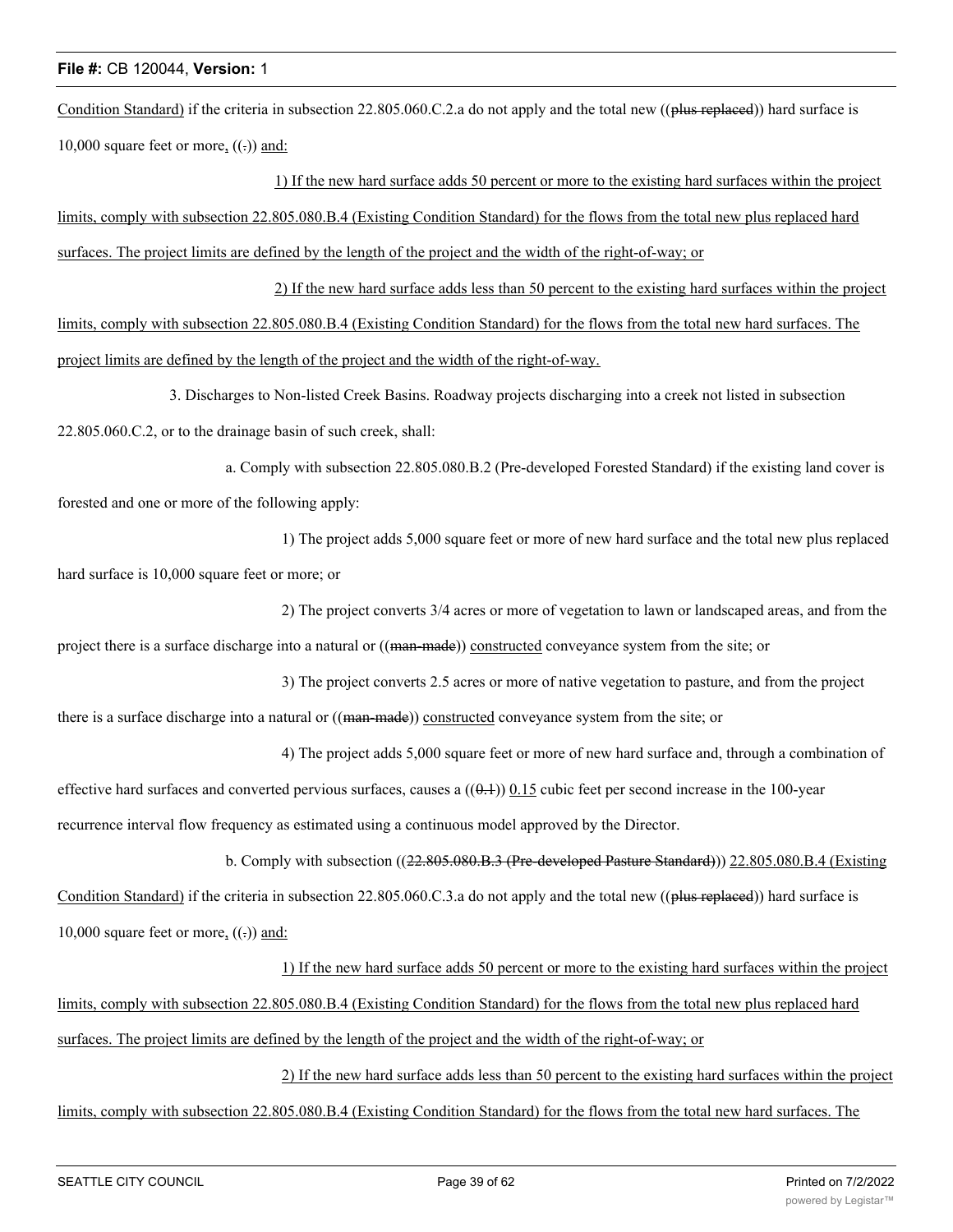Condition Standard) if the criteria in subsection 22.805.060.C.2.a do not apply and the total new ((plus replaced)) hard surface is 10,000 square feet or more,  $((.)$  and:

1) If the new hard surface adds 50 percent or more to the existing hard surfaces within the project limits, comply with subsection 22.805.080.B.4 (Existing Condition Standard) for the flows from the total new plus replaced hard surfaces. The project limits are defined by the length of the project and the width of the right-of-way; or

2) If the new hard surface adds less than 50 percent to the existing hard surfaces within the project limits, comply with subsection 22.805.080.B.4 (Existing Condition Standard) for the flows from the total new hard surfaces. The project limits are defined by the length of the project and the width of the right-of-way.

3. Discharges to Non-listed Creek Basins. Roadway projects discharging into a creek not listed in subsection 22.805.060.C.2, or to the drainage basin of such creek, shall:

a. Comply with subsection 22.805.080.B.2 (Pre-developed Forested Standard) if the existing land cover is forested and one or more of the following apply:

1) The project adds 5,000 square feet or more of new hard surface and the total new plus replaced

hard surface is 10,000 square feet or more; or

2) The project converts 3/4 acres or more of vegetation to lawn or landscaped areas, and from the

project there is a surface discharge into a natural or ((man-made)) constructed conveyance system from the site; or

3) The project converts 2.5 acres or more of native vegetation to pasture, and from the project there is a surface discharge into a natural or ((man-made)) constructed conveyance system from the site; or

4) The project adds 5,000 square feet or more of new hard surface and, through a combination of

effective hard surfaces and converted pervious surfaces, causes a  $((0,1))$  0.15 cubic feet per second increase in the 100-year recurrence interval flow frequency as estimated using a continuous model approved by the Director.

b. Comply with subsection ((22.805.080.B.3 (Pre-developed Pasture Standard))) 22.805.080.B.4 (Existing

Condition Standard) if the criteria in subsection 22.805.060.C.3.a do not apply and the total new ((plus replaced)) hard surface is 10,000 square feet or more,  $((.)$  and:

1) If the new hard surface adds 50 percent or more to the existing hard surfaces within the project

limits, comply with subsection 22.805.080.B.4 (Existing Condition Standard) for the flows from the total new plus replaced hard surfaces. The project limits are defined by the length of the project and the width of the right-of-way; or

2) If the new hard surface adds less than 50 percent to the existing hard surfaces within the project

limits, comply with subsection 22.805.080.B.4 (Existing Condition Standard) for the flows from the total new hard surfaces. The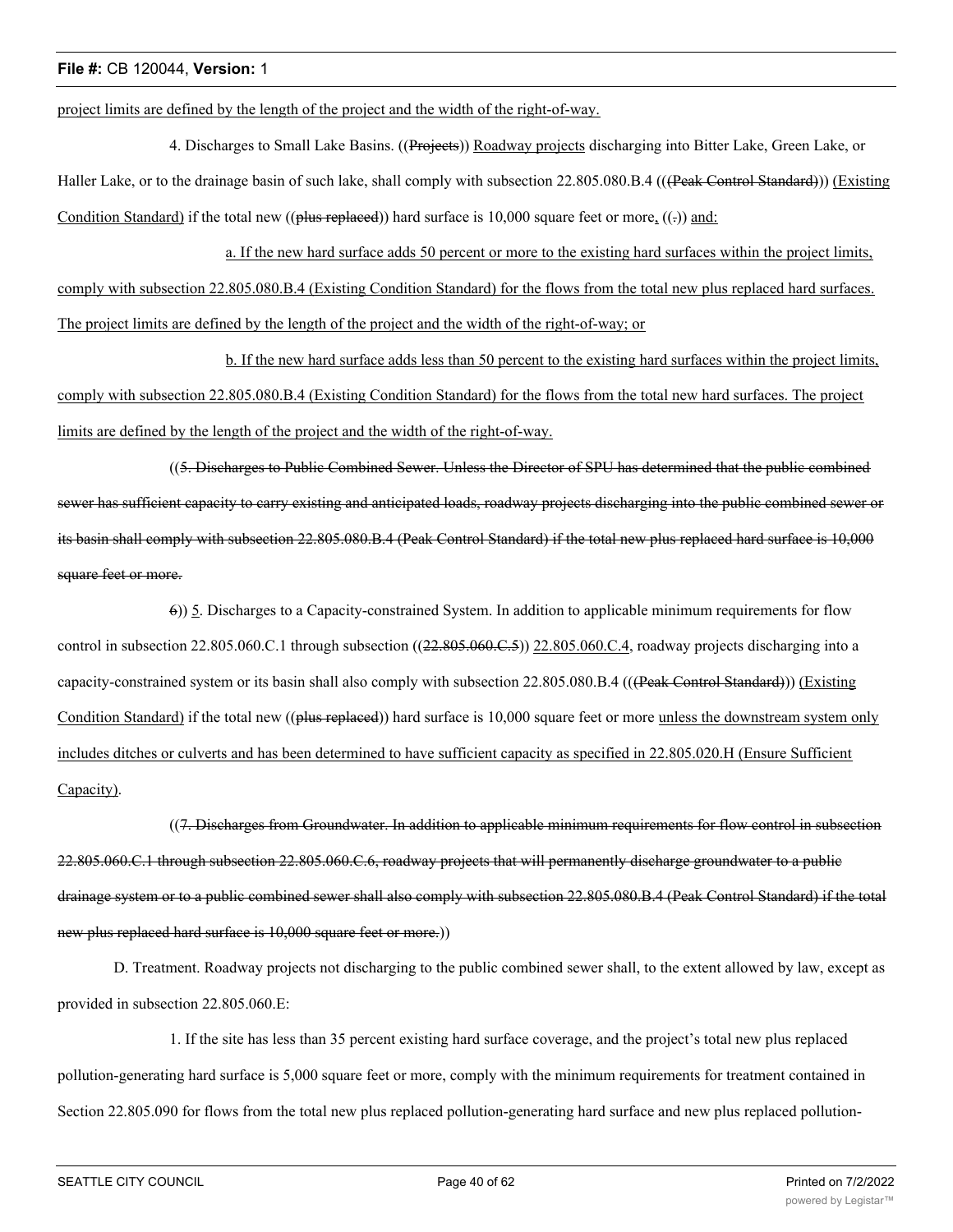project limits are defined by the length of the project and the width of the right-of-way.

4. Discharges to Small Lake Basins. ((Projects)) Roadway projects discharging into Bitter Lake, Green Lake, or Haller Lake, or to the drainage basin of such lake, shall comply with subsection 22.805.080.B.4 (((Peak Control Standard))) (Existing Condition Standard) if the total new (( $\theta$ lus replaced)) hard surface is 10,000 square feet or more, (( $\epsilon$ )) and:

a. If the new hard surface adds 50 percent or more to the existing hard surfaces within the project limits, comply with subsection 22.805.080.B.4 (Existing Condition Standard) for the flows from the total new plus replaced hard surfaces. The project limits are defined by the length of the project and the width of the right-of-way; or

b. If the new hard surface adds less than 50 percent to the existing hard surfaces within the project limits, comply with subsection 22.805.080.B.4 (Existing Condition Standard) for the flows from the total new hard surfaces. The project limits are defined by the length of the project and the width of the right-of-way.

((5. Discharges to Public Combined Sewer. Unless the Director of SPU has determined that the public combined sewer has sufficient capacity to carry existing and anticipated loads, roadway projects discharging into the public combined sewer or its basin shall comply with subsection 22.805.080.B.4 (Peak Control Standard) if the total new plus replaced hard surface is 10,000 square feet or more.

6)) 5. Discharges to a Capacity-constrained System. In addition to applicable minimum requirements for flow control in subsection 22.805.060.C.1 through subsection ((22.805.060.C.5)) 22.805.060.C.4, roadway projects discharging into a capacity-constrained system or its basin shall also comply with subsection 22.805.080.B.4 (((Peak Control Standard))) (Existing Condition Standard) if the total new ((plus replaced)) hard surface is 10,000 square feet or more unless the downstream system only includes ditches or culverts and has been determined to have sufficient capacity as specified in 22.805.020.H (Ensure Sufficient Capacity).

((7. Discharges from Groundwater. In addition to applicable minimum requirements for flow control in subsection 22.805.060.C.1 through subsection 22.805.060.C.6, roadway projects that will permanently discharge groundwater to a public drainage system or to a public combined sewer shall also comply with subsection 22.805.080.B.4 (Peak Control Standard) if the total new plus replaced hard surface is 10,000 square feet or more.)

D. Treatment. Roadway projects not discharging to the public combined sewer shall, to the extent allowed by law, except as provided in subsection 22.805.060.E:

1. If the site has less than 35 percent existing hard surface coverage, and the project's total new plus replaced pollution-generating hard surface is 5,000 square feet or more, comply with the minimum requirements for treatment contained in Section 22.805.090 for flows from the total new plus replaced pollution-generating hard surface and new plus replaced pollution-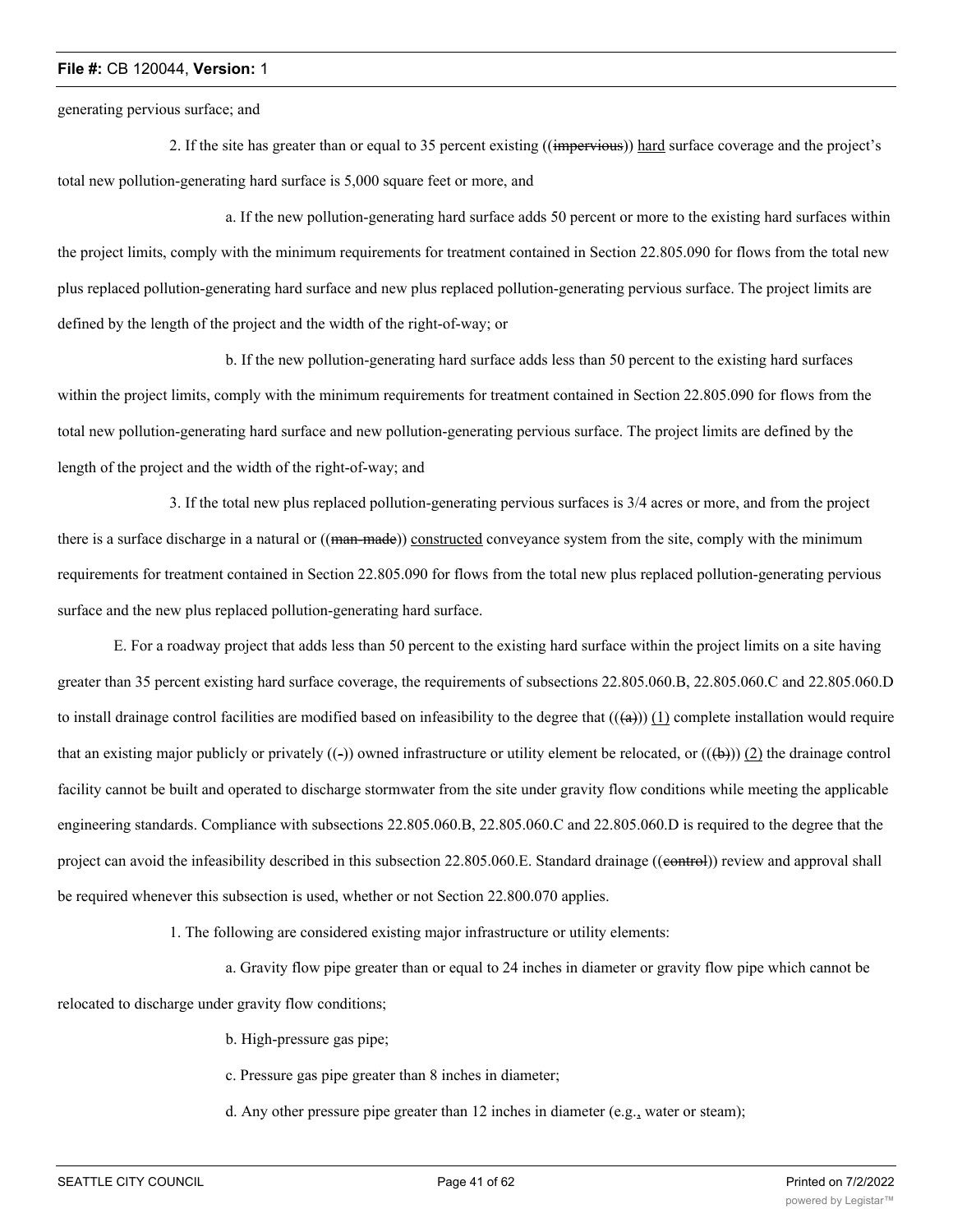generating pervious surface; and

2. If the site has greater than or equal to 35 percent existing ((impervious)) hard surface coverage and the project's total new pollution-generating hard surface is 5,000 square feet or more, and

a. If the new pollution-generating hard surface adds 50 percent or more to the existing hard surfaces within the project limits, comply with the minimum requirements for treatment contained in Section 22.805.090 for flows from the total new plus replaced pollution-generating hard surface and new plus replaced pollution-generating pervious surface. The project limits are defined by the length of the project and the width of the right-of-way; or

b. If the new pollution-generating hard surface adds less than 50 percent to the existing hard surfaces within the project limits, comply with the minimum requirements for treatment contained in Section 22.805.090 for flows from the total new pollution-generating hard surface and new pollution-generating pervious surface. The project limits are defined by the length of the project and the width of the right-of-way; and

3. If the total new plus replaced pollution-generating pervious surfaces is 3/4 acres or more, and from the project there is a surface discharge in a natural or ((man-made)) constructed conveyance system from the site, comply with the minimum requirements for treatment contained in Section 22.805.090 for flows from the total new plus replaced pollution-generating pervious surface and the new plus replaced pollution-generating hard surface.

E. For a roadway project that adds less than 50 percent to the existing hard surface within the project limits on a site having greater than 35 percent existing hard surface coverage, the requirements of subsections 22.805.060.B, 22.805.060.C and 22.805.060.D to install drainage control facilities are modified based on infeasibility to the degree that  $((a))$  (1) complete installation would require that an existing major publicly or privately  $((-)$ ) owned infrastructure or utility element be relocated, or  $((+)$ ) (2) the drainage control facility cannot be built and operated to discharge stormwater from the site under gravity flow conditions while meeting the applicable engineering standards. Compliance with subsections 22.805.060.B, 22.805.060.C and 22.805.060.D is required to the degree that the project can avoid the infeasibility described in this subsection 22.805.060.E. Standard drainage ((eontrol)) review and approval shall be required whenever this subsection is used, whether or not Section 22.800.070 applies.

1. The following are considered existing major infrastructure or utility elements:

a. Gravity flow pipe greater than or equal to 24 inches in diameter or gravity flow pipe which cannot be relocated to discharge under gravity flow conditions;

- b. High-pressure gas pipe;
- c. Pressure gas pipe greater than 8 inches in diameter;
- d. Any other pressure pipe greater than 12 inches in diameter (e.g., water or steam);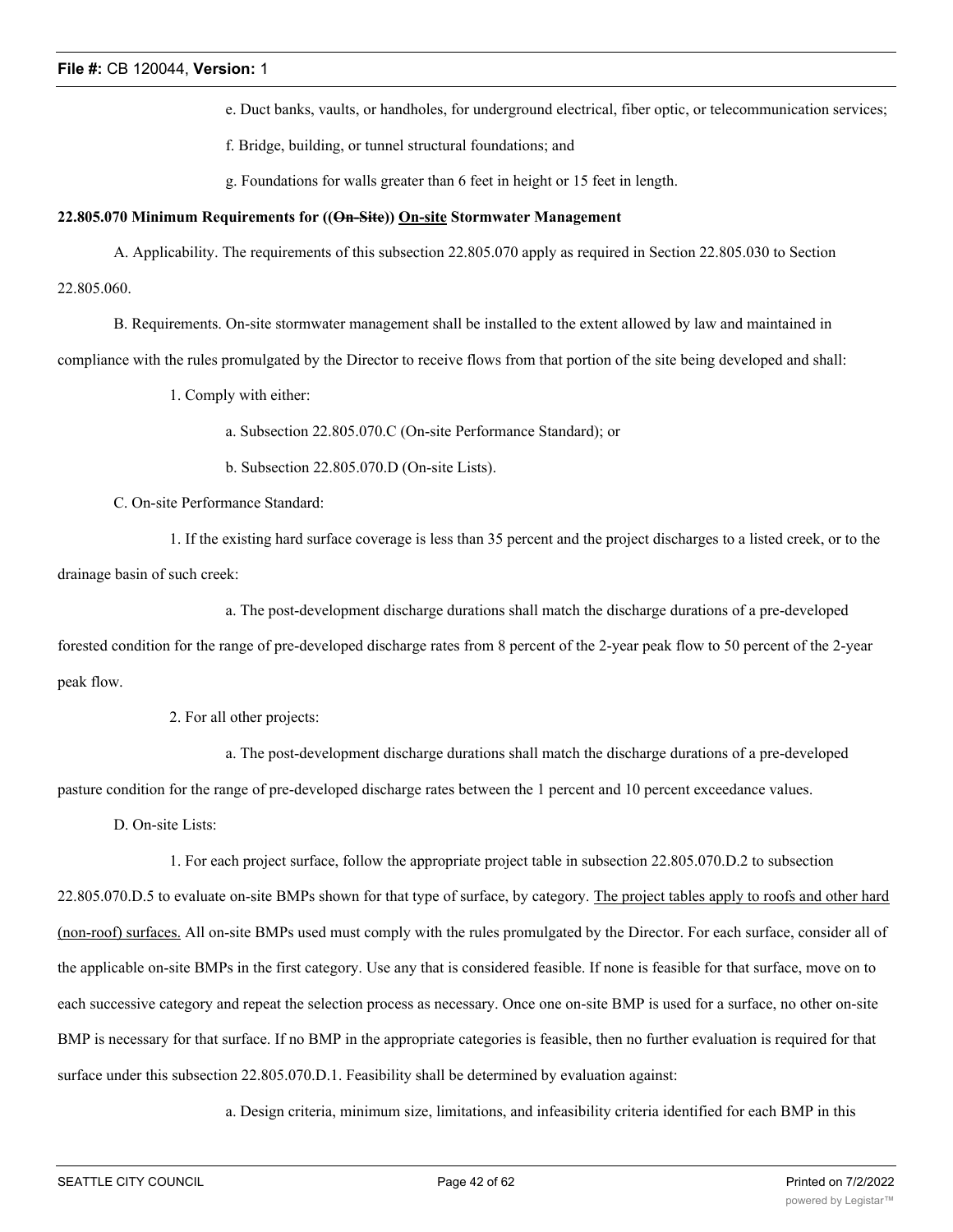e. Duct banks, vaults, or handholes, for underground electrical, fiber optic, or telecommunication services;

f. Bridge, building, or tunnel structural foundations; and

g. Foundations for walls greater than 6 feet in height or 15 feet in length.

## **22.805.070 Minimum Requirements for ((On-Site)) On-site Stormwater Management**

A. Applicability. The requirements of this subsection 22.805.070 apply as required in Section 22.805.030 to Section 22.805.060.

B. Requirements. On-site stormwater management shall be installed to the extent allowed by law and maintained in

compliance with the rules promulgated by the Director to receive flows from that portion of the site being developed and shall:

1. Comply with either:

a. Subsection 22.805.070.C (On-site Performance Standard); or

b. Subsection 22.805.070.D (On-site Lists).

C. On-site Performance Standard:

1. If the existing hard surface coverage is less than 35 percent and the project discharges to a listed creek, or to the drainage basin of such creek:

a. The post-development discharge durations shall match the discharge durations of a pre-developed

forested condition for the range of pre-developed discharge rates from 8 percent of the 2-year peak flow to 50 percent of the 2-year peak flow.

2. For all other projects:

a. The post-development discharge durations shall match the discharge durations of a pre-developed

pasture condition for the range of pre-developed discharge rates between the 1 percent and 10 percent exceedance values.

D. On-site Lists:

1. For each project surface, follow the appropriate project table in subsection 22.805.070.D.2 to subsection

22.805.070.D.5 to evaluate on-site BMPs shown for that type of surface, by category. The project tables apply to roofs and other hard (non-roof) surfaces. All on-site BMPs used must comply with the rules promulgated by the Director. For each surface, consider all of the applicable on-site BMPs in the first category. Use any that is considered feasible. If none is feasible for that surface, move on to each successive category and repeat the selection process as necessary. Once one on-site BMP is used for a surface, no other on-site BMP is necessary for that surface. If no BMP in the appropriate categories is feasible, then no further evaluation is required for that surface under this subsection 22.805.070.D.1. Feasibility shall be determined by evaluation against:

a. Design criteria, minimum size, limitations, and infeasibility criteria identified for each BMP in this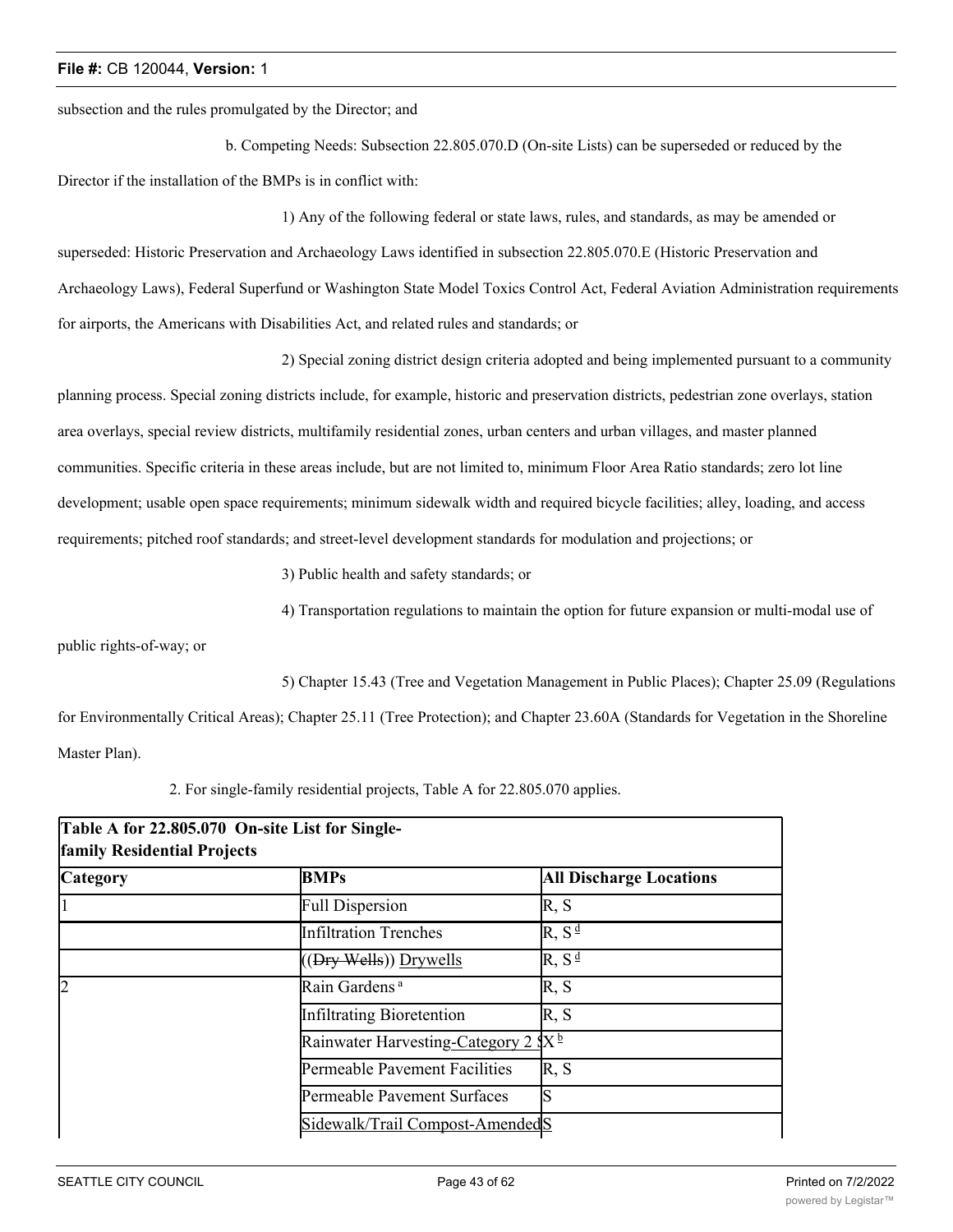subsection and the rules promulgated by the Director; and

b. Competing Needs: Subsection 22.805.070.D (On-site Lists) can be superseded or reduced by the Director if the installation of the BMPs is in conflict with:

1) Any of the following federal or state laws, rules, and standards, as may be amended or superseded: Historic Preservation and Archaeology Laws identified in subsection 22.805.070.E (Historic Preservation and Archaeology Laws), Federal Superfund or Washington State Model Toxics Control Act, Federal Aviation Administration requirements for airports, the Americans with Disabilities Act, and related rules and standards; or

2) Special zoning district design criteria adopted and being implemented pursuant to a community

planning process. Special zoning districts include, for example, historic and preservation districts, pedestrian zone overlays, station area overlays, special review districts, multifamily residential zones, urban centers and urban villages, and master planned communities. Specific criteria in these areas include, but are not limited to, minimum Floor Area Ratio standards; zero lot line development; usable open space requirements; minimum sidewalk width and required bicycle facilities; alley, loading, and access requirements; pitched roof standards; and street-level development standards for modulation and projections; or

3) Public health and safety standards; or

4) Transportation regulations to maintain the option for future expansion or multi-modal use of

public rights-of-way; or

5) Chapter 15.43 (Tree and Vegetation Management in Public Places); Chapter 25.09 (Regulations

for Environmentally Critical Areas); Chapter 25.11 (Tree Protection); and Chapter 23.60A (Standards for Vegetation in the Shoreline Master Plan).

2. For single-family residential projects, Table A for 22.805.070 applies.

| Table A for 22.805.070 On-site List for Single-<br><b>family Residential Projects</b> |                                                 |                                |  |  |  |
|---------------------------------------------------------------------------------------|-------------------------------------------------|--------------------------------|--|--|--|
| <b>Category</b>                                                                       | <b>BMPs</b>                                     | <b>All Discharge Locations</b> |  |  |  |
|                                                                                       | <b>Full Dispersion</b>                          | R, S                           |  |  |  |
|                                                                                       | <b>Infiltration Trenches</b>                    | $R, S^{\underline{d}}$         |  |  |  |
|                                                                                       | ((Dry Wells)) Drywells                          | $R, S^{\underline{d}}$         |  |  |  |
| $\overline{2}$                                                                        | Rain Gardens <sup>a</sup>                       | R, S                           |  |  |  |
|                                                                                       | Infiltrating Bioretention                       | R, S                           |  |  |  |
|                                                                                       | Rainwater Harvesting-Category 2 SX <sup>b</sup> |                                |  |  |  |
|                                                                                       | Permeable Pavement Facilities                   | R, S                           |  |  |  |
|                                                                                       | Permeable Pavement Surfaces                     | lS                             |  |  |  |
|                                                                                       | Sidewalk/Trail Compost-AmendedS                 |                                |  |  |  |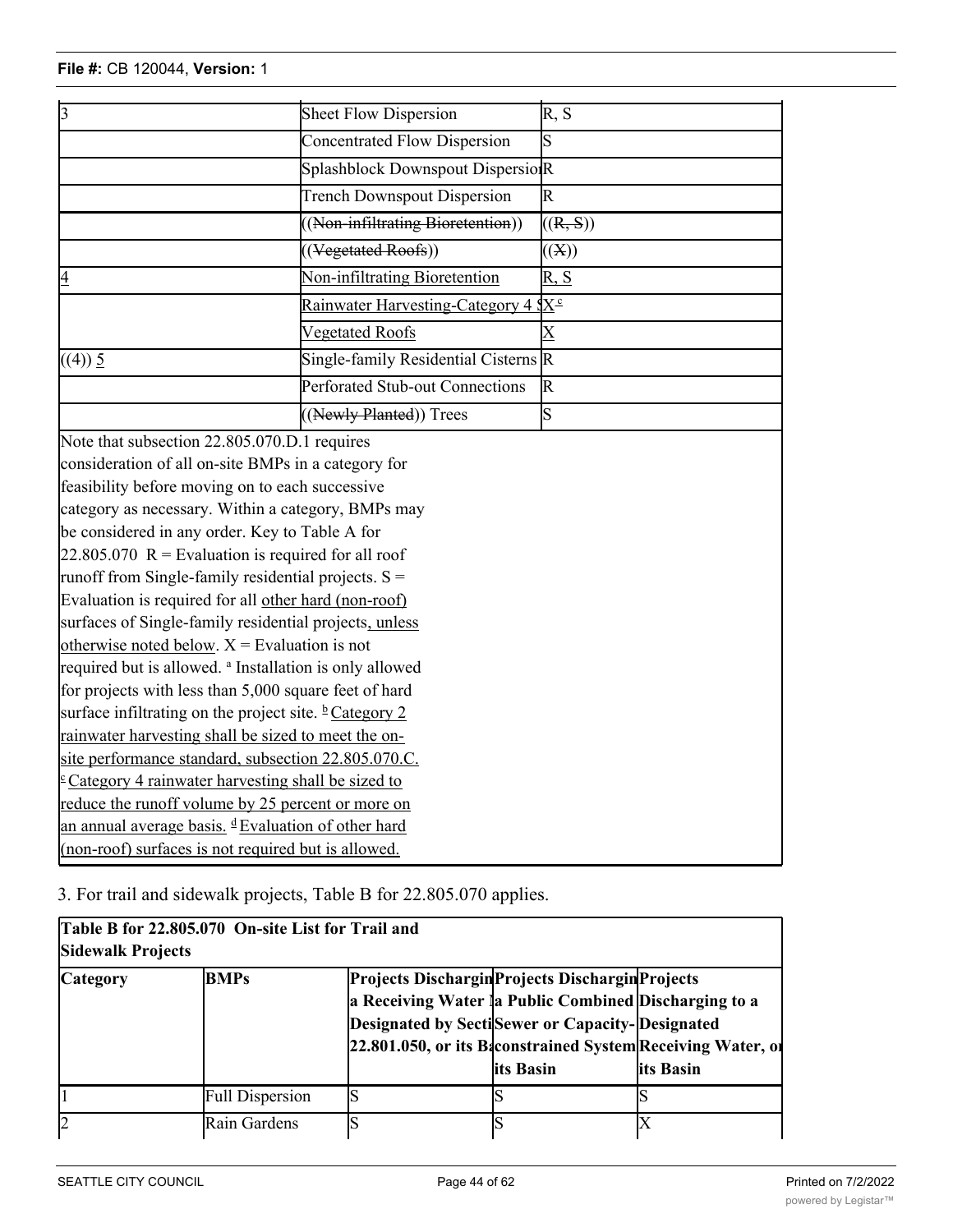| $\overline{3}$                                                     | Sheet Flow Dispersion                             | $\overline{R, S}$       |
|--------------------------------------------------------------------|---------------------------------------------------|-------------------------|
|                                                                    | <b>Concentrated Flow Dispersion</b>               | $\overline{\mathrm{s}}$ |
|                                                                    | Splashblock Downspout DispersioR                  |                         |
|                                                                    | <b>Trench Downspout Dispersion</b>                | $\mathbb{R}$            |
|                                                                    | ((Non-infiltrating Bioretention))                 | ((R, S))                |
|                                                                    | ((Vegetated Roofs))                               |                         |
|                                                                    |                                                   | ((X))                   |
| $\overline{4}$                                                     | Non-infiltrating Bioretention                     | R, S                    |
|                                                                    | Rainwater Harvesting-Category 4 $X^{\mathcal{L}}$ |                         |
|                                                                    | <b>Vegetated Roofs</b>                            | $\overline{\mathrm{X}}$ |
| ((4)) 5                                                            | Single-family Residential Cisterns R              |                         |
|                                                                    | Perforated Stub-out Connections                   | $\mathbb R$             |
|                                                                    | ((Newly Planted)) Trees                           | S                       |
| Note that subsection 22.805.070.D.1 requires                       |                                                   |                         |
| consideration of all on-site BMPs in a category for                |                                                   |                         |
| feasibility before moving on to each successive                    |                                                   |                         |
| category as necessary. Within a category, BMPs may                 |                                                   |                         |
| be considered in any order. Key to Table A for                     |                                                   |                         |
| $22.805.070$ R = Evaluation is required for all roof               |                                                   |                         |
| runoff from Single-family residential projects. $S =$              |                                                   |                         |
| Evaluation is required for all other hard (non-roof)               |                                                   |                         |
| surfaces of Single-family residential projects, unless             |                                                   |                         |
| otherwise noted below. $X =$ Evaluation is not                     |                                                   |                         |
| required but is allowed. <sup>a</sup> Installation is only allowed |                                                   |                         |
| for projects with less than 5,000 square feet of hard              |                                                   |                         |
| surface infiltrating on the project site. $\frac{b}{c}$ Category 2 |                                                   |                         |
| rainwater harvesting shall be sized to meet the on-                |                                                   |                         |
| site performance standard, subsection 22.805.070.C.                |                                                   |                         |
| $\epsilon$ Category 4 rainwater harvesting shall be sized to       |                                                   |                         |
| reduce the runoff volume by 25 percent or more on                  |                                                   |                         |
| an annual average basis. <sup>d</sup> Evaluation of other hard     |                                                   |                         |

Permeable Pavement Surfaces S

3. For trail and sidewalk projects, Table B for 22.805.070 applies.

(non-roof) surfaces is not required but is allowed.

| <b>Sidewalk Projects</b> | Table B for 22.805.070 On-site List for Trail and |                                                       |                                                                                                                   |                                                                          |
|--------------------------|---------------------------------------------------|-------------------------------------------------------|-------------------------------------------------------------------------------------------------------------------|--------------------------------------------------------------------------|
| <b>Category</b>          | <b>BMPs</b>                                       | a Receiving Water la Public Combined Discharging to a | Projects Dischargin Projects Dischargin Projects<br>Designated by SectiSewer or Capacity-Designated<br>lits Basin | 22.801.050, or its Baconstrained System Receiving Water, of<br>its Basin |
|                          | <b>Full Dispersion</b>                            |                                                       |                                                                                                                   |                                                                          |
|                          | Rain Gardens                                      |                                                       |                                                                                                                   |                                                                          |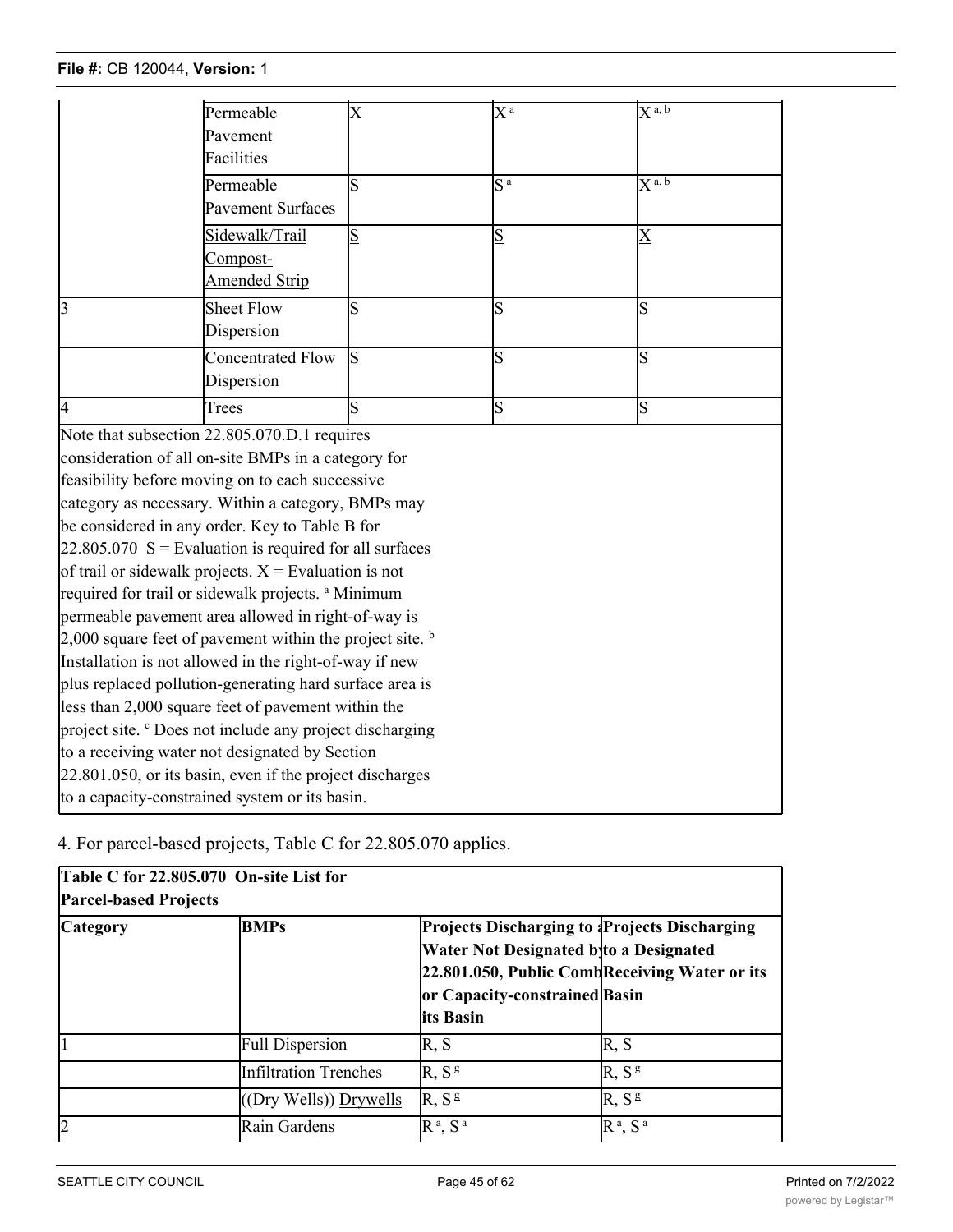|                                                          | Permeable<br>Pavement                                                | $\overline{\mathrm{X}}$ | $\overline{X}^{\,a}$ | $X^{a, b}$              |  |
|----------------------------------------------------------|----------------------------------------------------------------------|-------------------------|----------------------|-------------------------|--|
|                                                          | Facilities                                                           |                         |                      |                         |  |
|                                                          | Permeable<br><b>Pavement Surfaces</b>                                | $\overline{\mathrm{s}}$ | $\overline{S^a}$     | $\overline{X^{a, b}}$   |  |
|                                                          | Sidewalk/Trail<br>Compost-<br><b>Amended Strip</b>                   | S                       | $\overline{S}$       | $\overline{\mathrm{X}}$ |  |
| $\overline{3}$                                           | <b>Sheet Flow</b><br>Dispersion                                      | S                       | S                    | ls                      |  |
|                                                          | <b>Concentrated Flow</b><br>Dispersion                               | ls.                     | S                    | ls                      |  |
| $\overline{4}$                                           | Trees                                                                | S                       | $S_{\text{}}$        | $\overline{\mathbf{S}}$ |  |
|                                                          | Note that subsection 22.805.070.D.1 requires                         |                         |                      |                         |  |
|                                                          | consideration of all on-site BMPs in a category for                  |                         |                      |                         |  |
|                                                          | feasibility before moving on to each successive                      |                         |                      |                         |  |
|                                                          | category as necessary. Within a category, BMPs may                   |                         |                      |                         |  |
|                                                          | be considered in any order. Key to Table B for                       |                         |                      |                         |  |
|                                                          | $22.805.070$ S = Evaluation is required for all surfaces             |                         |                      |                         |  |
|                                                          | of trail or sidewalk projects. $X =$ Evaluation is not               |                         |                      |                         |  |
|                                                          | required for trail or sidewalk projects. <sup>a</sup> Minimum        |                         |                      |                         |  |
|                                                          | permeable pavement area allowed in right-of-way is                   |                         |                      |                         |  |
|                                                          | 2,000 square feet of pavement within the project site. $\frac{b}{2}$ |                         |                      |                         |  |
|                                                          | Installation is not allowed in the right-of-way if new               |                         |                      |                         |  |
|                                                          | plus replaced pollution-generating hard surface area is              |                         |                      |                         |  |
|                                                          | less than 2,000 square feet of pavement within the                   |                         |                      |                         |  |
|                                                          | project site. <sup>c</sup> Does not include any project discharging  |                         |                      |                         |  |
|                                                          | to a receiving water not designated by Section                       |                         |                      |                         |  |
| 22.801.050, or its basin, even if the project discharges |                                                                      |                         |                      |                         |  |
| to a capacity-constrained system or its basin.           |                                                                      |                         |                      |                         |  |

4. For parcel-based projects, Table C for 22.805.070 applies.

| Table C for 22.805.070 On-site List for<br><b>Parcel-based Projects</b> |                              |                                                                                                                                                                                               |                   |  |  |
|-------------------------------------------------------------------------|------------------------------|-----------------------------------------------------------------------------------------------------------------------------------------------------------------------------------------------|-------------------|--|--|
| <b>Category</b>                                                         | <b>BMPs</b>                  | <b>Projects Discharging to Projects Discharging</b><br>Water Not Designated bito a Designated<br>22.801.050, Public Comb Receiving Water or its<br>or Capacity-constrained Basin<br>its Basin |                   |  |  |
|                                                                         | <b>Full Dispersion</b>       | R, S                                                                                                                                                                                          | R, S              |  |  |
|                                                                         | <b>Infiltration Trenches</b> | R, S <sup>g</sup>                                                                                                                                                                             | R, S <sup>g</sup> |  |  |
|                                                                         | ((Dry Wells)) Drywells       | R, S <sup>g</sup>                                                                                                                                                                             | R, S <sup>g</sup> |  |  |
| 2                                                                       | Rain Gardens                 | $R^a$ , $S^a$                                                                                                                                                                                 | $R^a$ , $S^a$     |  |  |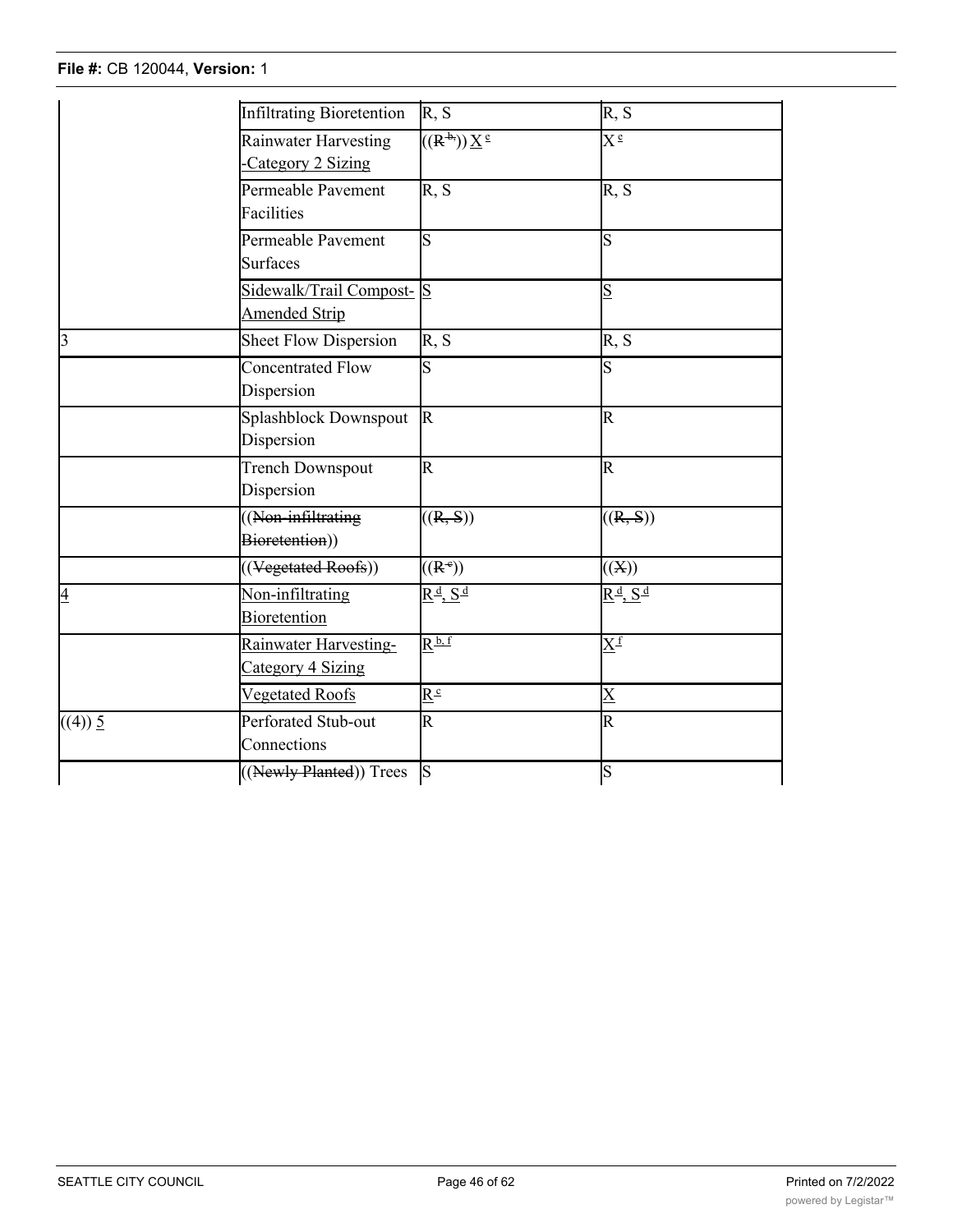#### **File #:** CB 120044, **Version:** 1  $(0, 1)$ 2 Rain Gardens R a, S a Rain Gardens R a, S a Rain Gardens R a, S a Rain Gardens R a, S a Rain Gardens R a, S

|                | <b>Infiltrating Bioretention</b>                 | R, S                                             | R, S                                                           |
|----------------|--------------------------------------------------|--------------------------------------------------|----------------------------------------------------------------|
|                | Rainwater Harvesting<br>Category 2 Sizing        | $((R^{\frac{1}{2}}))\underline{X}^{\frac{1}{2}}$ | $X^{\frac{e}{}}$                                               |
|                | Permeable Pavement<br>Facilities                 | R, S                                             | R, S                                                           |
|                | Permeable Pavement<br><b>Surfaces</b>            | S                                                | ls                                                             |
|                | Sidewalk/Trail Compost-S<br><b>Amended Strip</b> |                                                  | $\overline{\mathsf{S}}$                                        |
| $\overline{3}$ | <b>Sheet Flow Dispersion</b>                     | R, S                                             | R, S                                                           |
|                | <b>Concentrated Flow</b><br>Dispersion           | S                                                | ls                                                             |
|                | Splashblock Downspout<br>Dispersion              | $\mathbb{R}$                                     | R                                                              |
|                | Trench Downspout<br>Dispersion                   | R                                                | R                                                              |
|                | ((Non-infiltrating<br>Bioretention))             | ((R, S))                                         | ((R, S))                                                       |
|                | $\overline{((\text{Vegetated Roots}))}$          | $((R^*)$                                         | ((X))                                                          |
| $\overline{4}$ | Non-infiltrating<br>Bioretention                 | $R^{\underline{d}}, S^{\underline{d}}$           | $\underline{R}^{\underline{d}}, \underline{S}^{\underline{d}}$ |
|                | Rainwater Harvesting-<br>Category 4 Sizing       | $\underline{R}^{\underline{b},\,\underline{f}}$  | $\overline{X^f}$                                               |
|                | Vegetated Roofs                                  | $\overline{R^c}$                                 | $\overline{\text{X}}$                                          |
| ((4)) 5        | Perforated Stub-out<br>Connections               | $\overline{\mathbb{R}}$                          | $\overline{\mathsf{R}}$                                        |
|                | ((Newly Planted)) Trees                          | S                                                | S                                                              |

22.805.090 (Minimum Requirements for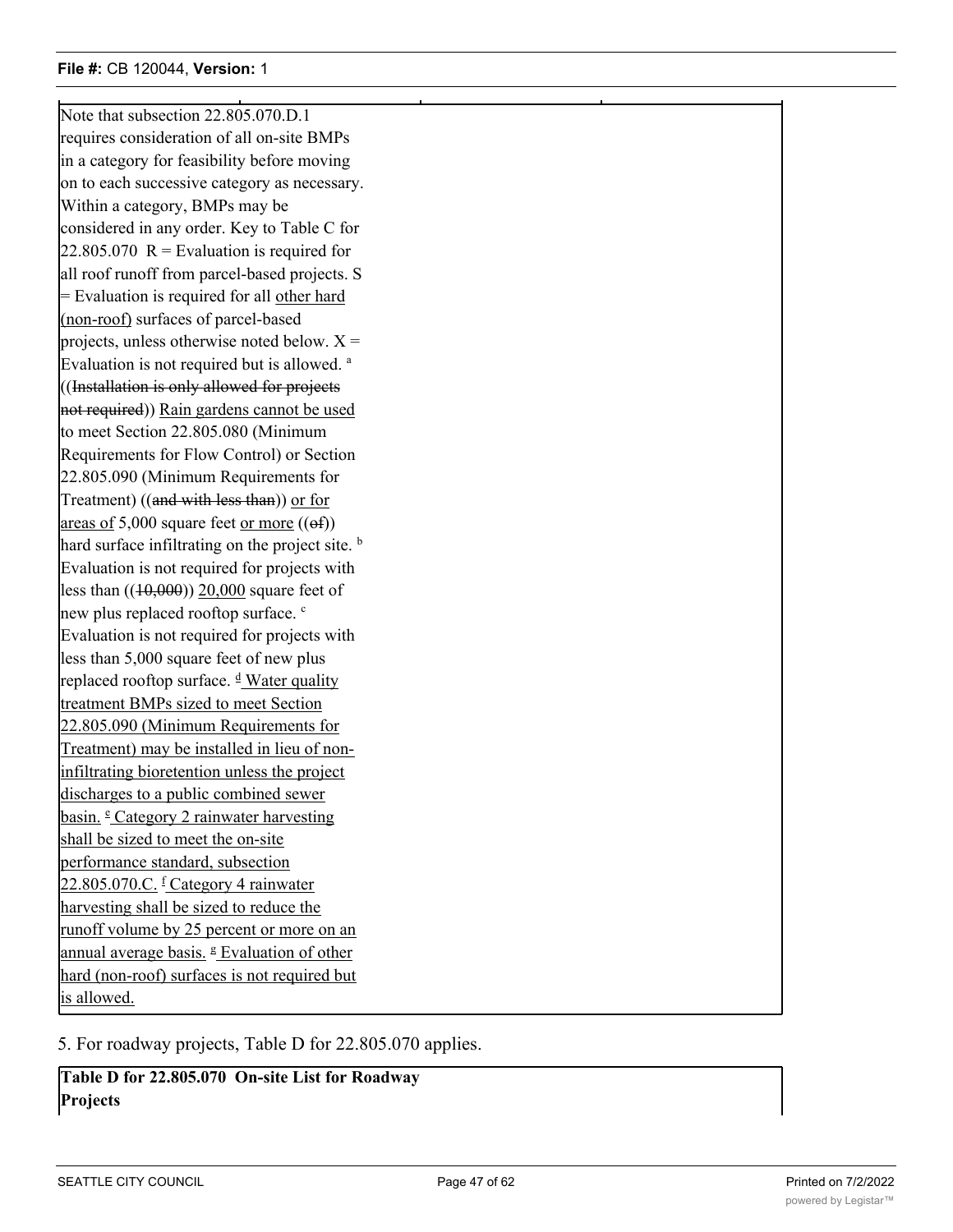$(1+\frac{1}{2})$  , which is a set of the set of the set of the set of the set of the set of the set of the set of the set of the set of the set of the set of the set of the set of the set of the set of the set of the set of th

Note that subsection 22,805,070.D.1 requires consideration of all on-site BMPs in a category for feasibility before moving on to each successive category as necessary. Within a category, BMPs may be considered in any order. Key to Table C for  $22.805.070 \text{ R} =$  Evaluation is required for all roof runoff from parcel-based projects. S = Evaluation is required for all other hard (non-roof) surfaces of parcel-based projects, unless otherwise noted below.  $X =$ Evaluation is not required but is allowed.<sup>a</sup> ((Installation is only allowed for projects not required)) Rain gardens cannot be used to meet Section 22.805.080 (Minimum Requirements for Flow Control) or Section 22.805.090 (Minimum Requirements for Treatment) ((and with less than)) or for areas of  $5,000$  square feet or more  $((ef))$ hard surface infiltrating on the project site. **b** Evaluation is not required for projects with less than  $((10,000))$  20,000 square feet of new plus replaced rooftop surface. <sup>c</sup> Evaluation is not required for projects with less than 5,000 square feet of new plus replaced rooftop surface. <sup>d</sup> Water quality treatment BMPs sized to meet Section 22.805.090 (Minimum Requirements for Treatment) may be installed in lieu of noninfiltrating bioretention unless the project discharges to a public combined sewer basin. <sup>e</sup> Category 2 rainwater harvesting shall be sized to meet the on-site performance standard, subsection 22.805.070.C. <sup>f</sup> Category 4 rainwater harvesting shall be sized to reduce the runoff volume by 25 percent or more on an annual average basis. <sup>g</sup> Evaluation of other hard (non-roof) surfaces is not required but is allowed.

5. For roadway projects, Table D for 22.805.070 applies.

**Table D for 22.805.070 On-site List for Roadway Projects**

**Designated**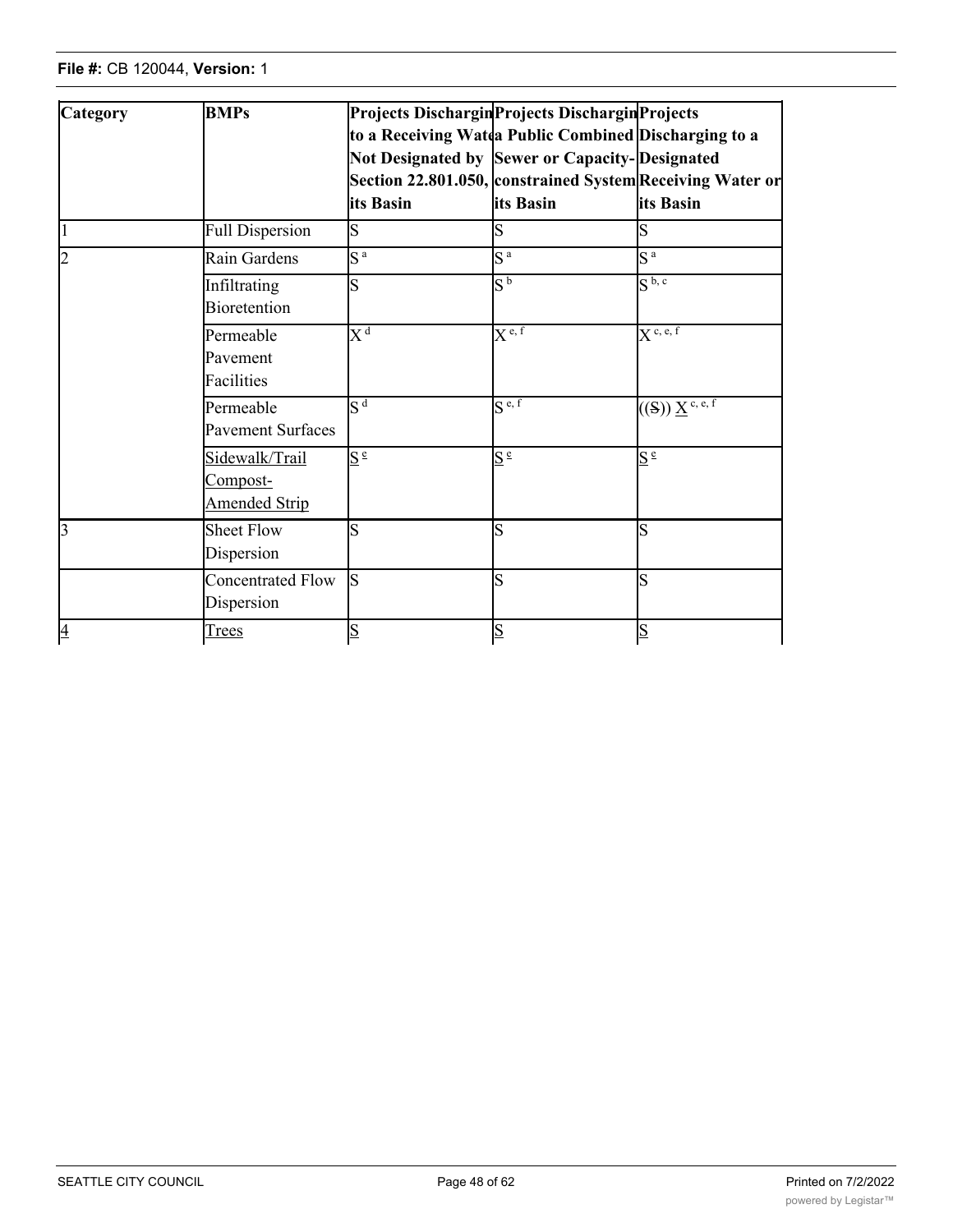| Category       | <b>BMPs</b>                                        | its Basin        | <b>Projects Dischargin Projects Dischargin Projects</b><br>to a Receiving Watda Public Combined Discharging to a<br>Not Designated by Sewer or Capacity-Designated<br>its Basin | Section 22.801.050, constrained System Receiving Water or<br>its Basin                       |
|----------------|----------------------------------------------------|------------------|---------------------------------------------------------------------------------------------------------------------------------------------------------------------------------|----------------------------------------------------------------------------------------------|
| $\overline{1}$ | <b>Full Dispersion</b>                             | S                |                                                                                                                                                                                 |                                                                                              |
| $\overline{2}$ | Rain Gardens                                       | S <sup>a</sup>   | $S^a$                                                                                                                                                                           | $\overline{S^a}$                                                                             |
|                | Infiltrating<br><b>Bioretention</b>                | S                | $\overline{S^b}$                                                                                                                                                                | S <sup>b, c</sup>                                                                            |
|                | Permeable<br>Pavement<br>Facilities                | $\overline{X^d}$ | $\overline{X}$ e, f                                                                                                                                                             | $\overline{X}$ c, e, f                                                                       |
|                | Permeable<br><b>Pavement Surfaces</b>              | $\mathbf{c}$ d   | $\overline{S^{e,f}}$                                                                                                                                                            | $\overline{(\mathrm{(S)})\,\underline{\mathrm{X}}^{\,\mathrm{c},\,\mathrm{e},\,\mathrm{f}}}$ |
|                | Sidewalk/Trail<br>Compost-<br><b>Amended Strip</b> | $S^{\text{e}}$   | $S^{\,\rm e}$                                                                                                                                                                   | $S^e$                                                                                        |
| $\overline{3}$ | <b>Sheet Flow</b><br>Dispersion                    | S                | Ś                                                                                                                                                                               | S                                                                                            |
|                | <b>Concentrated Flow</b><br>Dispersion             | S                | S                                                                                                                                                                               | S                                                                                            |
| $\overline{4}$ | Trees                                              | $\overline{S}$   | S                                                                                                                                                                               | $\overline{\mathbf{S}}$                                                                      |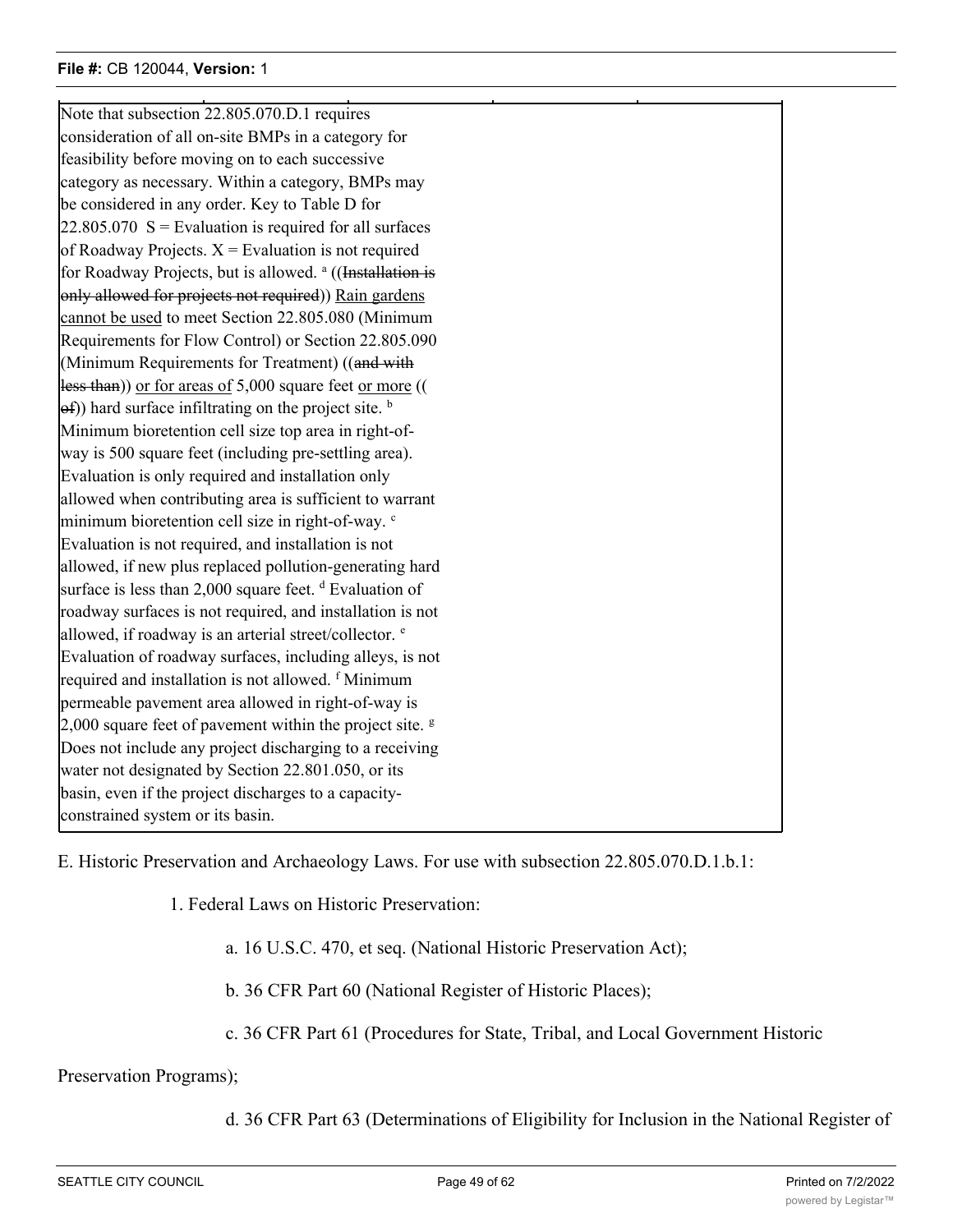Note that subsection 22.805.070.D.1 requires consideration of all on-site BMPs in a category for feasibility before moving on to each successive category as necessary. Within a category, BMPs may be considered in any order. Key to Table D for  $22.805.070$  S = Evaluation is required for all surfaces of Roadway Projects.  $X =$  Evaluation is not required for Roadway Projects, but is allowed. <sup>a</sup> ((Installation is only allowed for projects not required)) Rain gardens cannot be used to meet Section 22.805.080 (Minimum Requirements for Flow Control) or Section 22.805.090 (Minimum Requirements for Treatment) ((and with less than)) or for areas of 5,000 square feet or more ((  $(\Theta$ f)) hard surface infiltrating on the project site. b Minimum bioretention cell size top area in right-ofway is 500 square feet (including pre-settling area). Evaluation is only required and installation only allowed when contributing area is sufficient to warrant minimum bioretention cell size in right-of-way. <sup>c</sup> Evaluation is not required, and installation is not allowed, if new plus replaced pollution-generating hard surface is less than 2,000 square feet. <sup>d</sup> Evaluation of roadway surfaces is not required, and installation is not allowed, if roadway is an arterial street/collector. <sup>e</sup> Evaluation of roadway surfaces, including alleys, is not required and installation is not allowed. <sup>f</sup> Minimum permeable pavement area allowed in right-of-way is 2,000 square feet of pavement within the project site.  $\frac{g}{g}$ Does not include any project discharging to a receiving water not designated by Section 22.801.050, or its basin, even if the project discharges to a capacityconstrained system or its basin.

 $\mathcal{A} = \{A, B, C, \ldots, C, A, \ldots, C, \ldots, C, \ldots, C, \ldots, C, \ldots, C, \ldots, C, \ldots, C, \ldots, C, \ldots, C, \ldots, C, \ldots, C, \ldots, C, \ldots, C, \ldots, C, \ldots, C, \ldots, C, \ldots, C, \ldots, C, \ldots, C, \ldots, C, \ldots, C, \ldots, C, \ldots, C, \ldots, C, \ldots, C, \ldots, C, \ldots, C, \ldots, C, \ldots, C, \ldots, C, \ldots, C, \ldots, C, \ldots, C$ 

E. Historic Preservation and Archaeology Laws. For use with subsection 22.805.070.D.1.b.1:

1. Federal Laws on Historic Preservation:

a. 16 U.S.C. 470, et seq. (National Historic Preservation Act);

b. 36 CFR Part 60 (National Register of Historic Places);

c. 36 CFR Part 61 (Procedures for State, Tribal, and Local Government Historic

Preservation Programs);

d. 36 CFR Part 63 (Determinations of Eligibility for Inclusion in the National Register of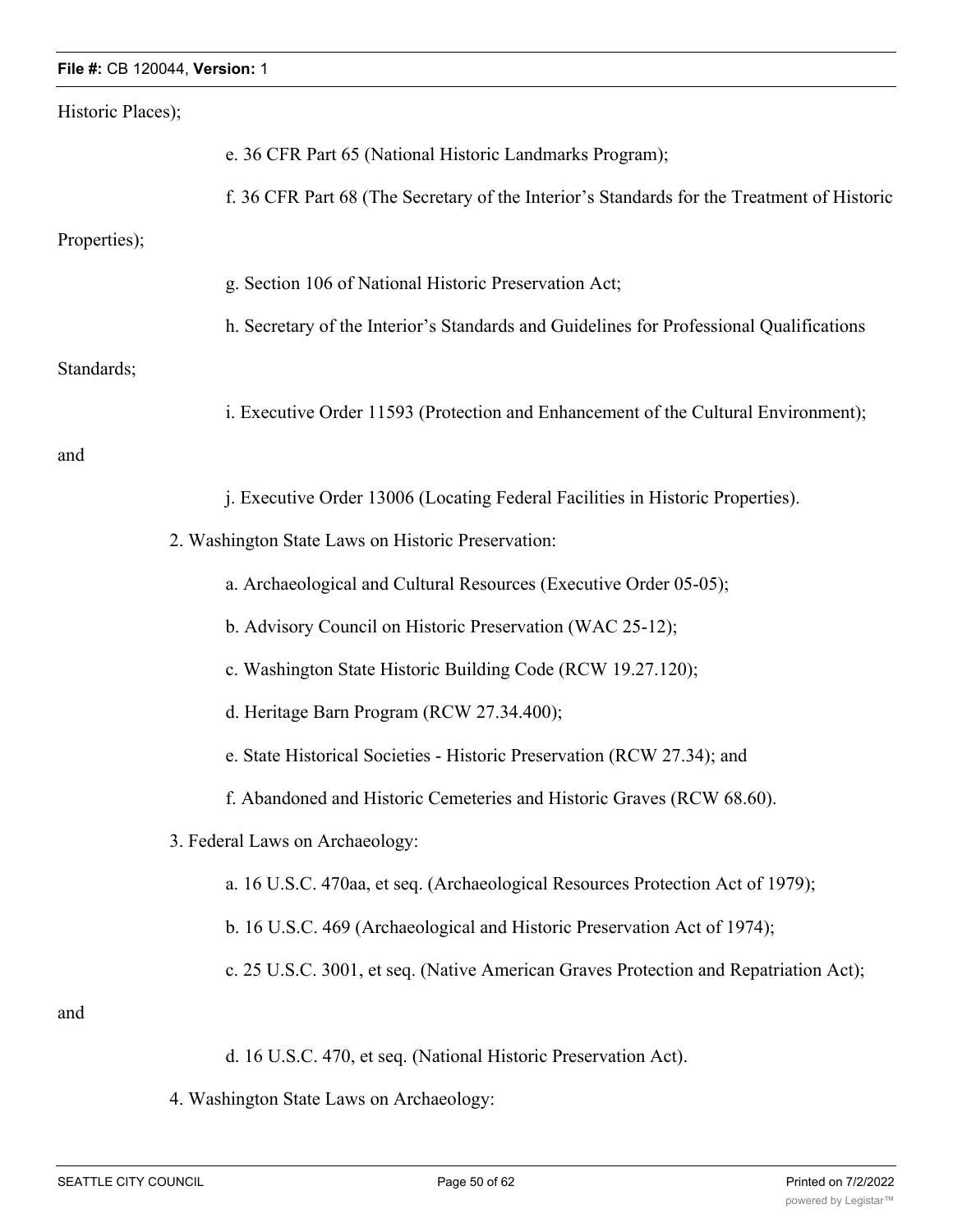| Historic Places); |                                                                                            |
|-------------------|--------------------------------------------------------------------------------------------|
|                   | e. 36 CFR Part 65 (National Historic Landmarks Program);                                   |
|                   | f. 36 CFR Part 68 (The Secretary of the Interior's Standards for the Treatment of Historic |
| Properties);      |                                                                                            |
|                   | g. Section 106 of National Historic Preservation Act;                                      |
|                   | h. Secretary of the Interior's Standards and Guidelines for Professional Qualifications    |
| Standards;        |                                                                                            |
|                   | i. Executive Order 11593 (Protection and Enhancement of the Cultural Environment);         |
| and               |                                                                                            |
|                   | j. Executive Order 13006 (Locating Federal Facilities in Historic Properties).             |
|                   | 2. Washington State Laws on Historic Preservation:                                         |
|                   | a. Archaeological and Cultural Resources (Executive Order 05-05);                          |
|                   | b. Advisory Council on Historic Preservation (WAC 25-12);                                  |
|                   | c. Washington State Historic Building Code (RCW 19.27.120);                                |
|                   | d. Heritage Barn Program (RCW 27.34.400);                                                  |
|                   | e. State Historical Societies - Historic Preservation (RCW 27.34); and                     |
|                   | f. Abandoned and Historic Cemeteries and Historic Graves (RCW 68.60).                      |
|                   | 3. Federal Laws on Archaeology:                                                            |
|                   | a. 16 U.S.C. 470aa, et seq. (Archaeological Resources Protection Act of 1979);             |
|                   | b. 16 U.S.C. 469 (Archaeological and Historic Preservation Act of 1974);                   |
|                   | c. 25 U.S.C. 3001, et seq. (Native American Graves Protection and Repatriation Act);       |
| and               |                                                                                            |
|                   | d. 16 U.S.C. 470, et seq. (National Historic Preservation Act).                            |

4. Washington State Laws on Archaeology: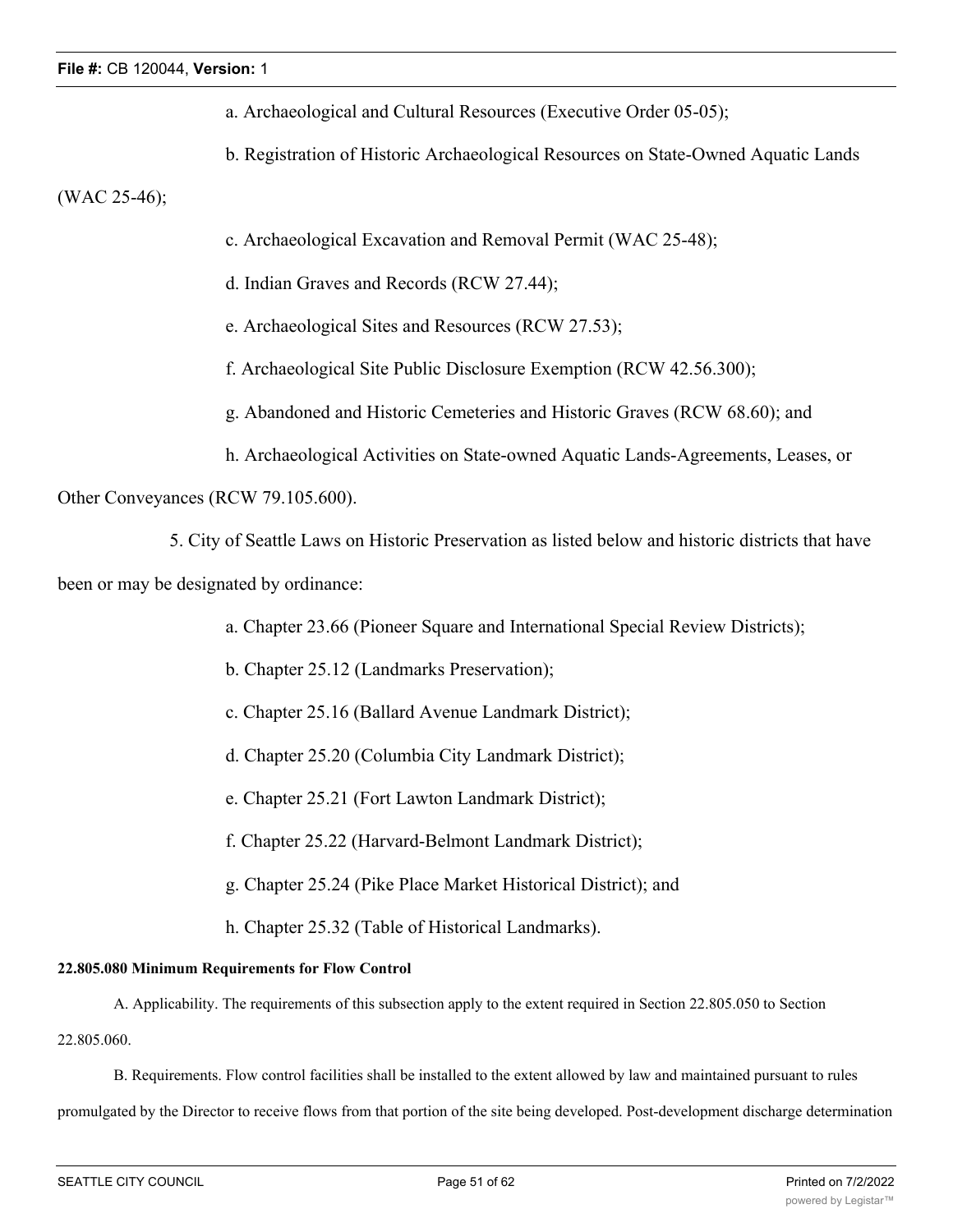- a. Archaeological and Cultural Resources (Executive Order 05-05);
- b. Registration of Historic Archaeological Resources on State-Owned Aquatic Lands

(WAC 25-46);

- c. Archaeological Excavation and Removal Permit (WAC 25-48);
- d. Indian Graves and Records (RCW 27.44);
- e. Archaeological Sites and Resources (RCW 27.53);
- f. Archaeological Site Public Disclosure Exemption (RCW 42.56.300);
- g. Abandoned and Historic Cemeteries and Historic Graves (RCW 68.60); and
- h. Archaeological Activities on State-owned Aquatic Lands-Agreements, Leases, or

Other Conveyances (RCW 79.105.600).

5. City of Seattle Laws on Historic Preservation as listed below and historic districts that have

been or may be designated by ordinance:

- a. Chapter 23.66 (Pioneer Square and International Special Review Districts);
- b. Chapter 25.12 (Landmarks Preservation);
- c. Chapter 25.16 (Ballard Avenue Landmark District);
- d. Chapter 25.20 (Columbia City Landmark District);
- e. Chapter 25.21 (Fort Lawton Landmark District);
- f. Chapter 25.22 (Harvard-Belmont Landmark District);
- g. Chapter 25.24 (Pike Place Market Historical District); and
- h. Chapter 25.32 (Table of Historical Landmarks).

## **22.805.080 Minimum Requirements for Flow Control**

A. Applicability. The requirements of this subsection apply to the extent required in Section 22.805.050 to Section

22.805.060.

B. Requirements. Flow control facilities shall be installed to the extent allowed by law and maintained pursuant to rules

promulgated by the Director to receive flows from that portion of the site being developed. Post-development discharge determination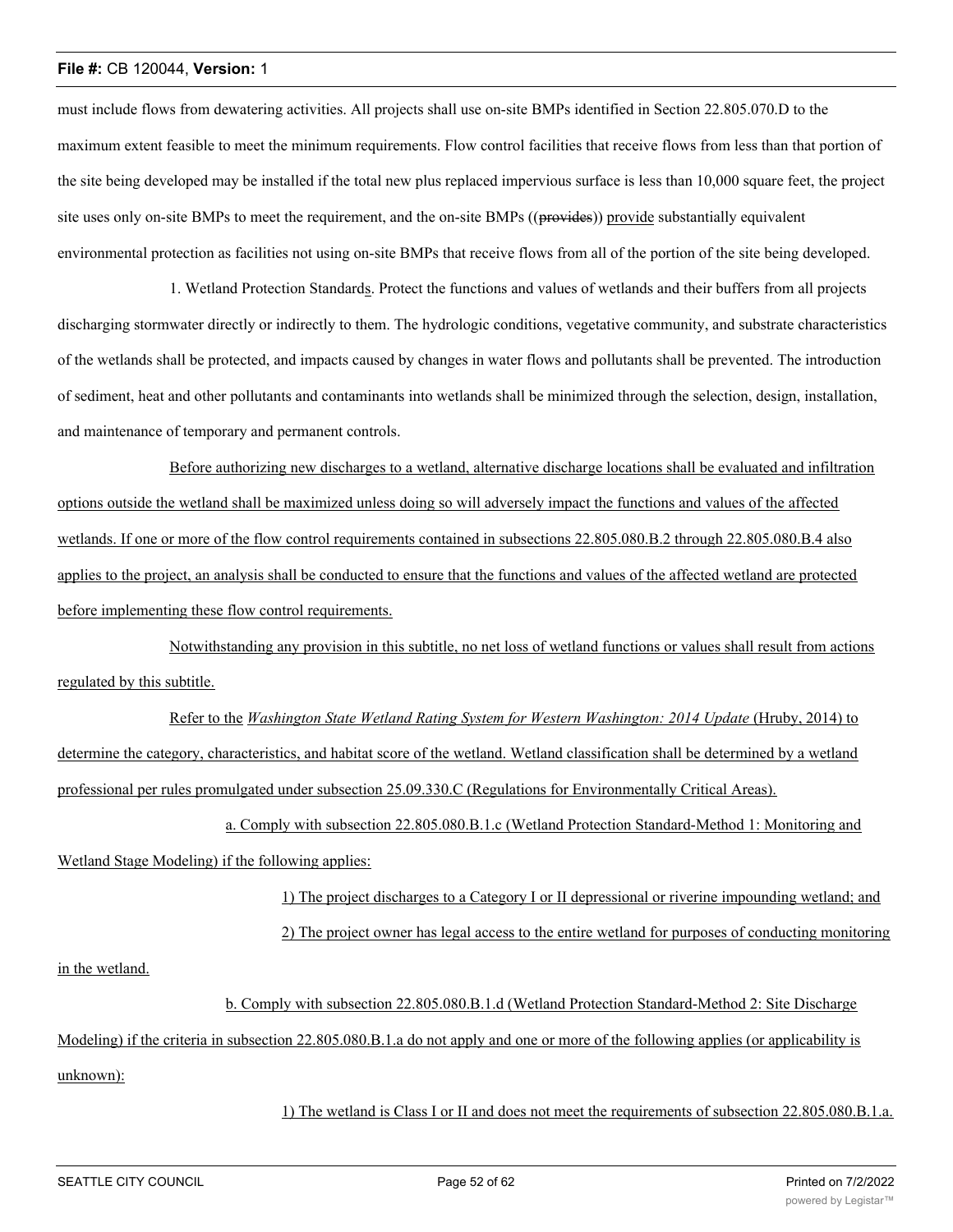must include flows from dewatering activities. All projects shall use on-site BMPs identified in Section 22.805.070.D to the maximum extent feasible to meet the minimum requirements. Flow control facilities that receive flows from less than that portion of the site being developed may be installed if the total new plus replaced impervious surface is less than 10,000 square feet, the project site uses only on-site BMPs to meet the requirement, and the on-site BMPs ((provides)) provide substantially equivalent environmental protection as facilities not using on-site BMPs that receive flows from all of the portion of the site being developed.

1. Wetland Protection Standards. Protect the functions and values of wetlands and their buffers from all projects discharging stormwater directly or indirectly to them. The hydrologic conditions, vegetative community, and substrate characteristics of the wetlands shall be protected, and impacts caused by changes in water flows and pollutants shall be prevented. The introduction of sediment, heat and other pollutants and contaminants into wetlands shall be minimized through the selection, design, installation, and maintenance of temporary and permanent controls.

Before authorizing new discharges to a wetland, alternative discharge locations shall be evaluated and infiltration options outside the wetland shall be maximized unless doing so will adversely impact the functions and values of the affected wetlands. If one or more of the flow control requirements contained in subsections 22.805.080.B.2 through 22.805.080.B.4 also applies to the project, an analysis shall be conducted to ensure that the functions and values of the affected wetland are protected before implementing these flow control requirements.

Notwithstanding any provision in this subtitle, no net loss of wetland functions or values shall result from actions regulated by this subtitle.

Refer to the *Washington State Wetland Rating System for Western Washington: 2014 Update* (Hruby, 2014) to determine the category, characteristics, and habitat score of the wetland. Wetland classification shall be determined by a wetland professional per rules promulgated under subsection 25.09.330.C (Regulations for Environmentally Critical Areas).

a. Comply with subsection 22.805.080.B.1.c (Wetland Protection Standard-Method 1: Monitoring and Wetland Stage Modeling) if the following applies:

> 1) The project discharges to a Category I or II depressional or riverine impounding wetland; and 2) The project owner has legal access to the entire wetland for purposes of conducting monitoring

in the wetland.

b. Comply with subsection 22.805.080.B.1.d (Wetland Protection Standard-Method 2: Site Discharge

Modeling) if the criteria in subsection 22.805.080.B.1.a do not apply and one or more of the following applies (or applicability is unknown):

1) The wetland is Class I or II and does not meet the requirements of subsection 22.805.080.B.1.a.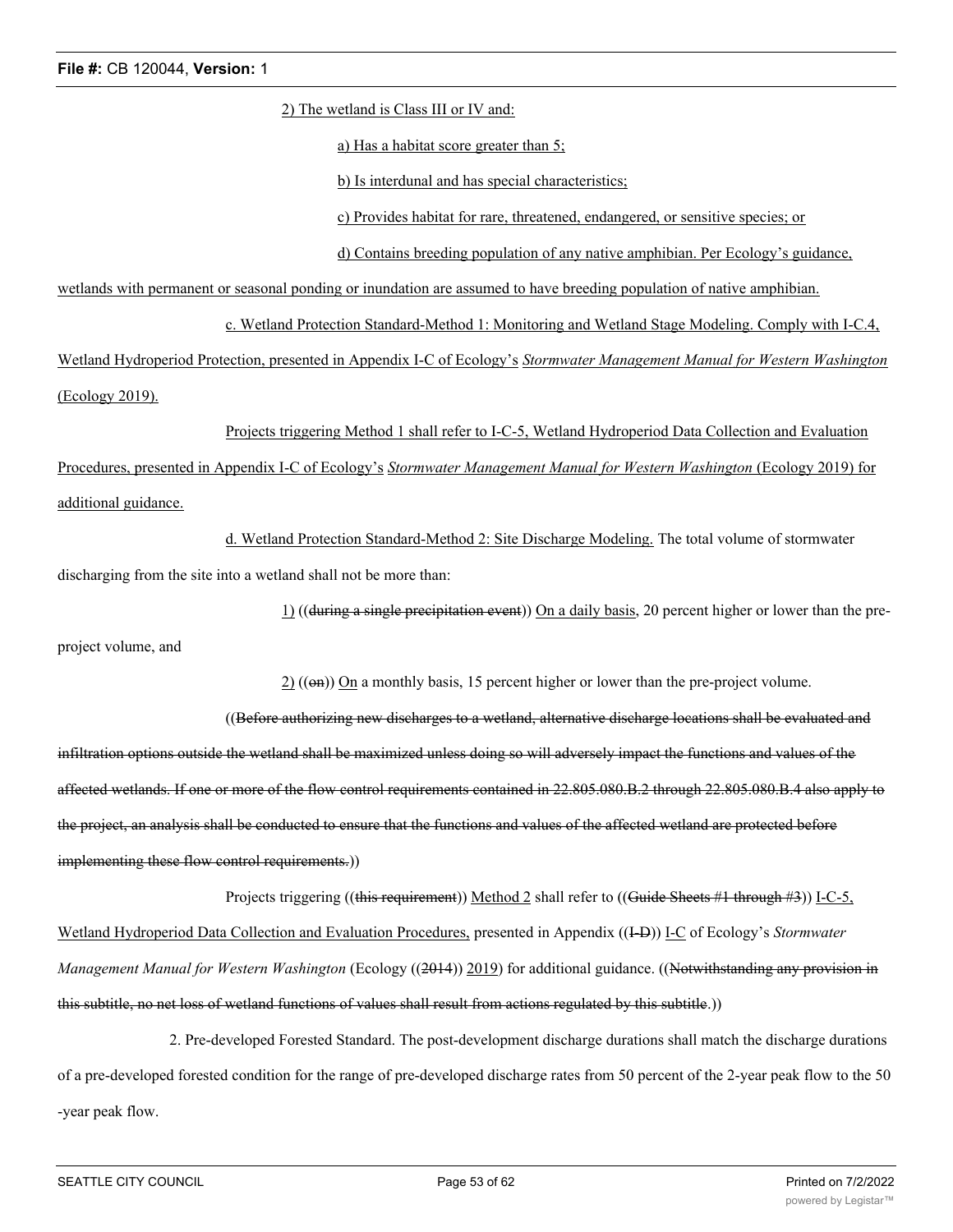2) The wetland is Class III or IV and:

a) Has a habitat score greater than 5;

b) Is interdunal and has special characteristics;

c) Provides habitat for rare, threatened, endangered, or sensitive species; or

d) Contains breeding population of any native amphibian. Per Ecology's guidance,

wetlands with permanent or seasonal ponding or inundation are assumed to have breeding population of native amphibian.

c. Wetland Protection Standard-Method 1: Monitoring and Wetland Stage Modeling. Comply with I-C.4,

Wetland Hydroperiod Protection, presented in Appendix I-C of Ecology's *Stormwater Management Manual for Western Washington* (Ecology 2019).

Projects triggering Method 1 shall refer to I-C-5, Wetland Hydroperiod Data Collection and Evaluation Procedures, presented in Appendix I-C of Ecology's *Stormwater Management Manual for Western Washington* (Ecology 2019) for additional guidance.

d. Wetland Protection Standard-Method 2: Site Discharge Modeling. The total volume of stormwater discharging from the site into a wetland shall not be more than:

1) ((during a single precipitation event)) On a daily basis, 20 percent higher or lower than the preproject volume, and

 $2)$  (( $\Theta$ m)) On a monthly basis, 15 percent higher or lower than the pre-project volume.

((Before authorizing new discharges to a wetland, alternative discharge locations shall be evaluated and infiltration options outside the wetland shall be maximized unless doing so will adversely impact the functions and values of the affected wetlands. If one or more of the flow control requirements contained in 22.805.080.B.2 through 22.805.080.B.4 also apply to the project, an analysis shall be conducted to ensure that the functions and values of the affected wetland are protected before implementing these flow control requirements.))

Projects triggering ((this requirement)) Method 2 shall refer to ((Guide Sheets #1 through #3)) I-C-5, Wetland Hydroperiod Data Collection and Evaluation Procedures, presented in Appendix ((I-D)) I-C of Ecology's *Stormwater Management Manual for Western Washington* (Ecology ((2014)) 2019) for additional guidance. ((Notwithstanding any provision in this subtitle, no net loss of wetland functions of values shall result from actions regulated by this subtitle.))

2. Pre-developed Forested Standard. The post-development discharge durations shall match the discharge durations of a pre-developed forested condition for the range of pre-developed discharge rates from 50 percent of the 2-year peak flow to the 50 -year peak flow.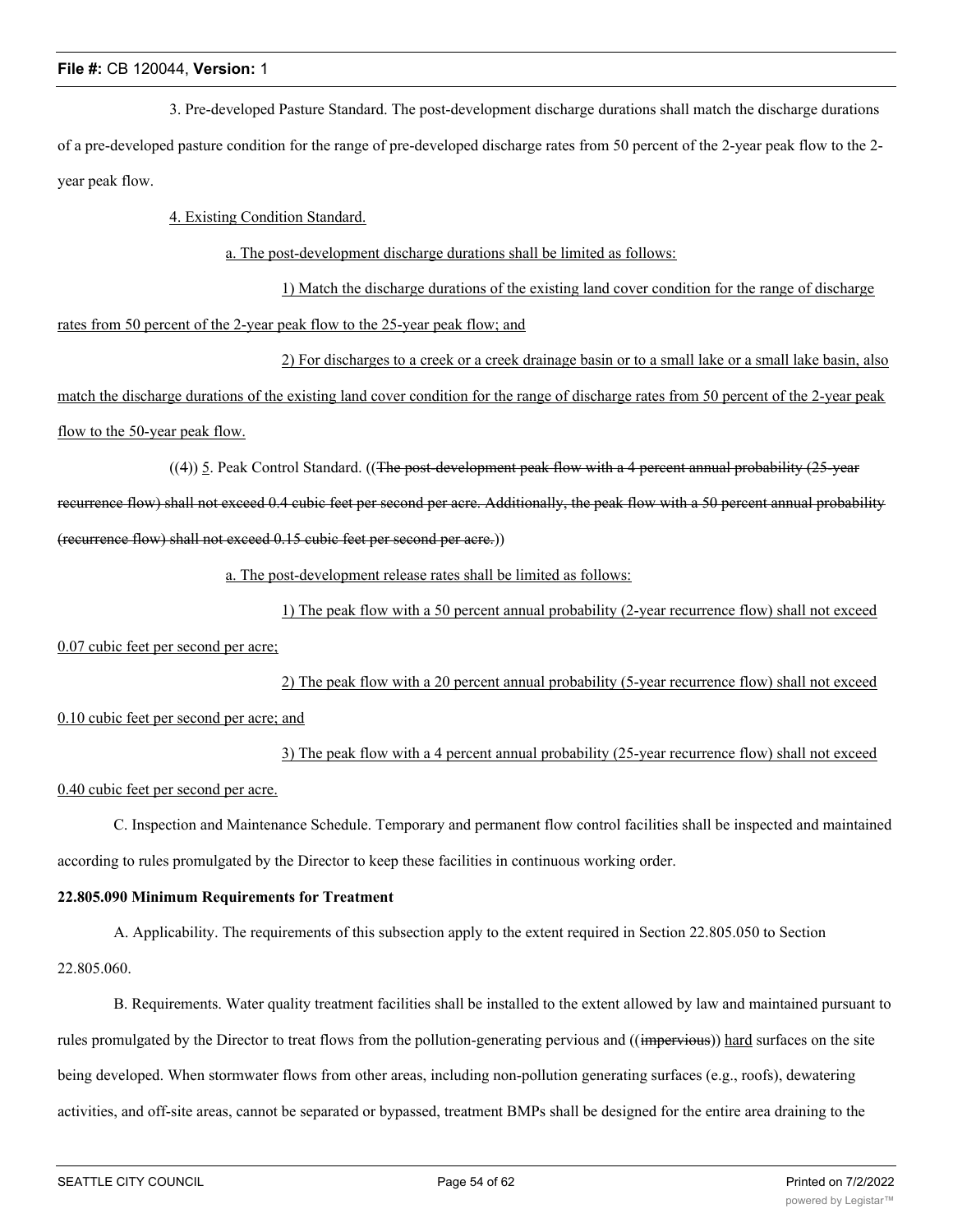3. Pre-developed Pasture Standard. The post-development discharge durations shall match the discharge durations of a pre-developed pasture condition for the range of pre-developed discharge rates from 50 percent of the 2-year peak flow to the 2 year peak flow.

4. Existing Condition Standard.

a. The post-development discharge durations shall be limited as follows:

1) Match the discharge durations of the existing land cover condition for the range of discharge rates from 50 percent of the 2-year peak flow to the 25-year peak flow; and

2) For discharges to a creek or a creek drainage basin or to a small lake or a small lake basin, also match the discharge durations of the existing land cover condition for the range of discharge rates from 50 percent of the 2-year peak flow to the 50-year peak flow.

 $((4))$  5. Peak Control Standard.  $((The post-dependent peak flow with a 4 percent annual probability (25-year$ 

recurrence flow) shall not exceed 0.4 cubic feet per second per acre. Additionally, the peak flow with a 50 percent annual probability (recurrence flow) shall not exceed 0.15 cubic feet per second per acre.))

a. The post-development release rates shall be limited as follows:

1) The peak flow with a 50 percent annual probability (2-year recurrence flow) shall not exceed

0.07 cubic feet per second per acre;

2) The peak flow with a 20 percent annual probability (5-year recurrence flow) shall not exceed

0.10 cubic feet per second per acre; and

3) The peak flow with a 4 percent annual probability (25-year recurrence flow) shall not exceed

0.40 cubic feet per second per acre.

C. Inspection and Maintenance Schedule. Temporary and permanent flow control facilities shall be inspected and maintained according to rules promulgated by the Director to keep these facilities in continuous working order.

## **22.805.090 Minimum Requirements for Treatment**

A. Applicability. The requirements of this subsection apply to the extent required in Section 22.805.050 to Section 22.805.060.

B. Requirements. Water quality treatment facilities shall be installed to the extent allowed by law and maintained pursuant to rules promulgated by the Director to treat flows from the pollution-generating pervious and ((impervious)) hard surfaces on the site being developed. When stormwater flows from other areas, including non-pollution generating surfaces (e.g., roofs), dewatering activities, and off-site areas, cannot be separated or bypassed, treatment BMPs shall be designed for the entire area draining to the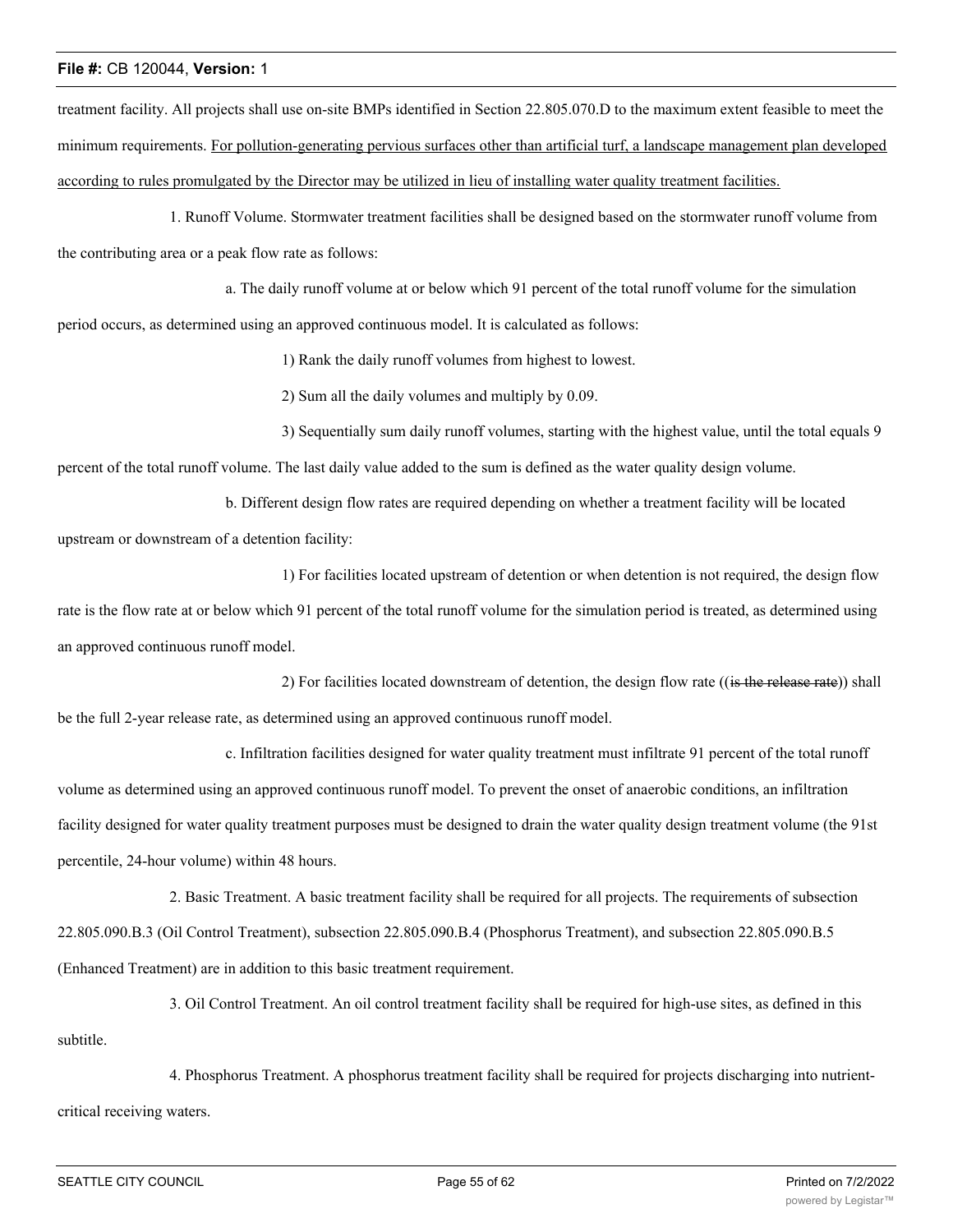treatment facility. All projects shall use on-site BMPs identified in Section 22.805.070.D to the maximum extent feasible to meet the minimum requirements. For pollution-generating pervious surfaces other than artificial turf, a landscape management plan developed according to rules promulgated by the Director may be utilized in lieu of installing water quality treatment facilities.

1. Runoff Volume. Stormwater treatment facilities shall be designed based on the stormwater runoff volume from the contributing area or a peak flow rate as follows:

a. The daily runoff volume at or below which 91 percent of the total runoff volume for the simulation

period occurs, as determined using an approved continuous model. It is calculated as follows:

1) Rank the daily runoff volumes from highest to lowest.

2) Sum all the daily volumes and multiply by 0.09.

3) Sequentially sum daily runoff volumes, starting with the highest value, until the total equals 9 percent of the total runoff volume. The last daily value added to the sum is defined as the water quality design volume.

b. Different design flow rates are required depending on whether a treatment facility will be located upstream or downstream of a detention facility:

1) For facilities located upstream of detention or when detention is not required, the design flow rate is the flow rate at or below which 91 percent of the total runoff volume for the simulation period is treated, as determined using an approved continuous runoff model.

2) For facilities located downstream of detention, the design flow rate ((is the release rate)) shall be the full 2-year release rate, as determined using an approved continuous runoff model.

c. Infiltration facilities designed for water quality treatment must infiltrate 91 percent of the total runoff volume as determined using an approved continuous runoff model. To prevent the onset of anaerobic conditions, an infiltration facility designed for water quality treatment purposes must be designed to drain the water quality design treatment volume (the 91st percentile, 24-hour volume) within 48 hours.

2. Basic Treatment. A basic treatment facility shall be required for all projects. The requirements of subsection 22.805.090.B.3 (Oil Control Treatment), subsection 22.805.090.B.4 (Phosphorus Treatment), and subsection 22.805.090.B.5 (Enhanced Treatment) are in addition to this basic treatment requirement.

3. Oil Control Treatment. An oil control treatment facility shall be required for high-use sites, as defined in this subtitle.

4. Phosphorus Treatment. A phosphorus treatment facility shall be required for projects discharging into nutrientcritical receiving waters.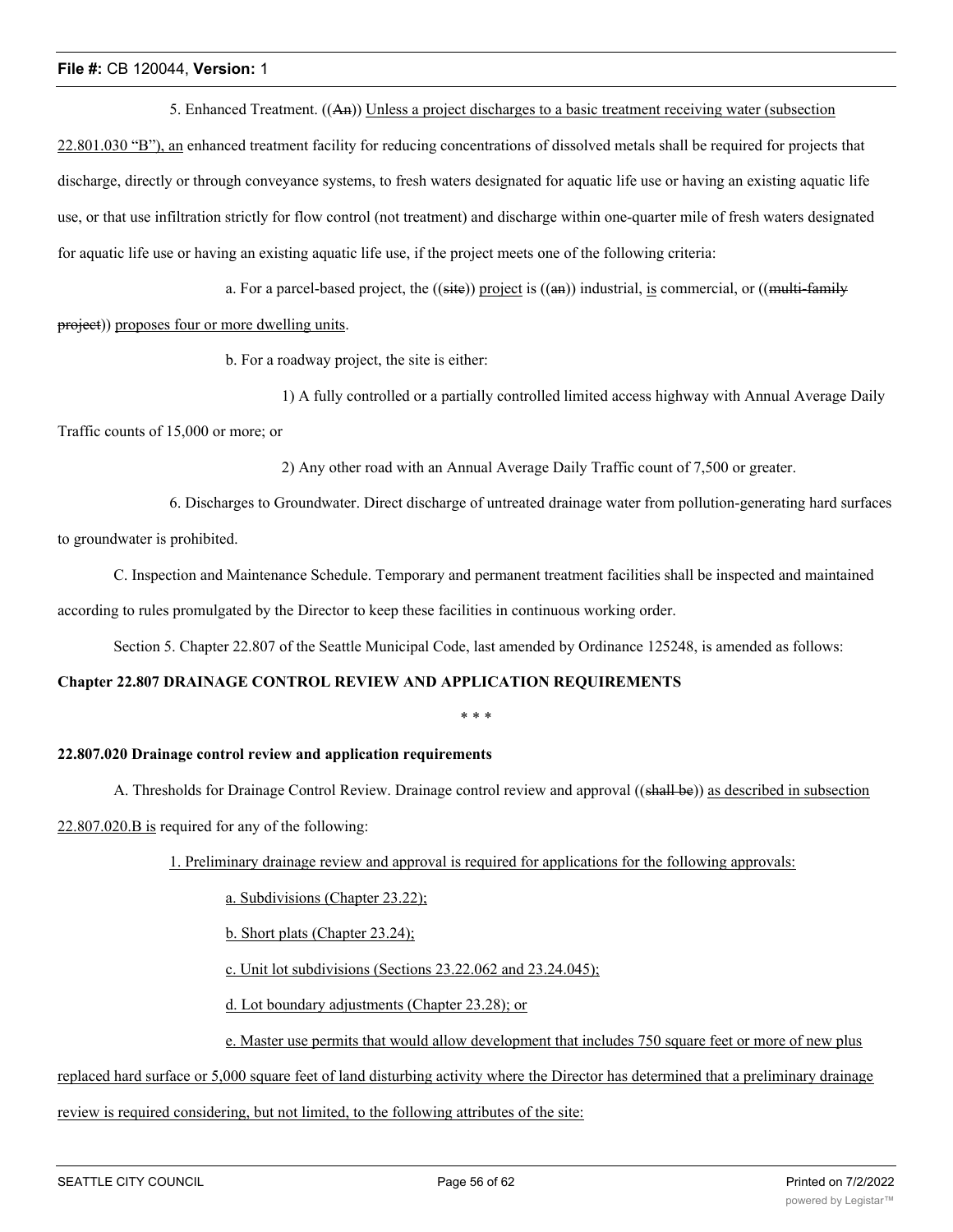5. Enhanced Treatment. ((An)) Unless a project discharges to a basic treatment receiving water (subsection

22.801.030 "B"), an enhanced treatment facility for reducing concentrations of dissolved metals shall be required for projects that discharge, directly or through conveyance systems, to fresh waters designated for aquatic life use or having an existing aquatic life use, or that use infiltration strictly for flow control (not treatment) and discharge within one-quarter mile of fresh waters designated for aquatic life use or having an existing aquatic life use, if the project meets one of the following criteria:

a. For a parcel-based project, the  $((\text{site}))$  project is  $((\text{an}))$  industrial, is commercial, or  $((\text{multi-familiar})$ project)) proposes four or more dwelling units.

b. For a roadway project, the site is either:

1) A fully controlled or a partially controlled limited access highway with Annual Average Daily

Traffic counts of 15,000 or more; or

2) Any other road with an Annual Average Daily Traffic count of 7,500 or greater.

6. Discharges to Groundwater. Direct discharge of untreated drainage water from pollution-generating hard surfaces to groundwater is prohibited.

C. Inspection and Maintenance Schedule. Temporary and permanent treatment facilities shall be inspected and maintained according to rules promulgated by the Director to keep these facilities in continuous working order.

Section 5. Chapter 22.807 of the Seattle Municipal Code, last amended by Ordinance 125248, is amended as follows:

#### **Chapter 22.807 DRAINAGE CONTROL REVIEW AND APPLICATION REQUIREMENTS**

\* \* \*

#### **22.807.020 Drainage control review and application requirements**

A. Thresholds for Drainage Control Review. Drainage control review and approval ((shall be)) as described in subsection

22.807.020.B is required for any of the following:

1. Preliminary drainage review and approval is required for applications for the following approvals:

a. Subdivisions (Chapter 23.22);

b. Short plats (Chapter 23.24);

c. Unit lot subdivisions (Sections 23.22.062 and 23.24.045);

d. Lot boundary adjustments (Chapter 23.28); or

e. Master use permits that would allow development that includes 750 square feet or more of new plus

## replaced hard surface or 5,000 square feet of land disturbing activity where the Director has determined that a preliminary drainage

review is required considering, but not limited, to the following attributes of the site: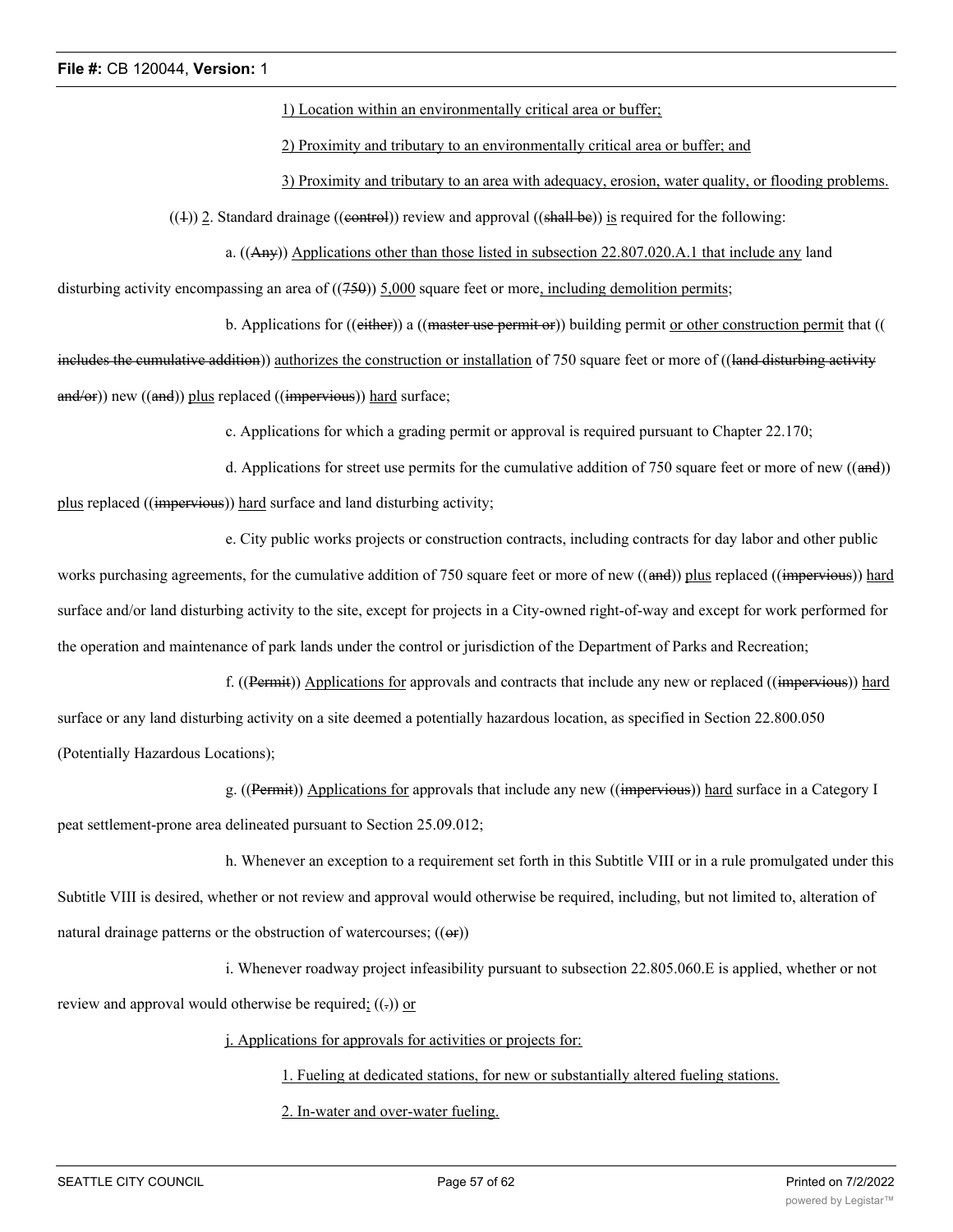1) Location within an environmentally critical area or buffer;

2) Proximity and tributary to an environmentally critical area or buffer; and

3) Proximity and tributary to an area with adequacy, erosion, water quality, or flooding problems.

 $((+))$  2. Standard drainage ((eontrol)) review and approval ((shall be)) is required for the following:

a. ((Any)) Applications other than those listed in subsection 22.807.020.A.1 that include any land

disturbing activity encompassing an area of  $((750))$  5,000 square feet or more, including demolition permits;

b. Applications for ((either)) a ((master use permit or)) building permit or other construction permit that ((

includes the cumulative addition)) authorizes the construction or installation of 750 square feet or more of ((land disturbing activity and/or)) new ((and)) plus replaced ((impervious)) hard surface;

c. Applications for which a grading permit or approval is required pursuant to Chapter 22.170;

d. Applications for street use permits for the cumulative addition of 750 square feet or more of new ((and)) plus replaced ((impervious)) hard surface and land disturbing activity;

e. City public works projects or construction contracts, including contracts for day labor and other public

works purchasing agreements, for the cumulative addition of 750 square feet or more of new ((and)) plus replaced ((impervious)) hard surface and/or land disturbing activity to the site, except for projects in a City-owned right-of-way and except for work performed for the operation and maintenance of park lands under the control or jurisdiction of the Department of Parks and Recreation;

f. ((Permit)) Applications for approvals and contracts that include any new or replaced ((impervious)) hard surface or any land disturbing activity on a site deemed a potentially hazardous location, as specified in Section 22.800.050 (Potentially Hazardous Locations);

g. ((Permit)) Applications for approvals that include any new ((impervious)) hard surface in a Category I peat settlement-prone area delineated pursuant to Section 25.09.012;

h. Whenever an exception to a requirement set forth in this Subtitle VIII or in a rule promulgated under this Subtitle VIII is desired, whether or not review and approval would otherwise be required, including, but not limited to, alteration of natural drainage patterns or the obstruction of watercourses;  $((\Theta$ r $))$ 

i. Whenever roadway project infeasibility pursuant to subsection 22.805.060.E is applied, whether or not review and approval would otherwise be required;  $((.) )$  or

j. Applications for approvals for activities or projects for:

1. Fueling at dedicated stations, for new or substantially altered fueling stations.

2. In-water and over-water fueling.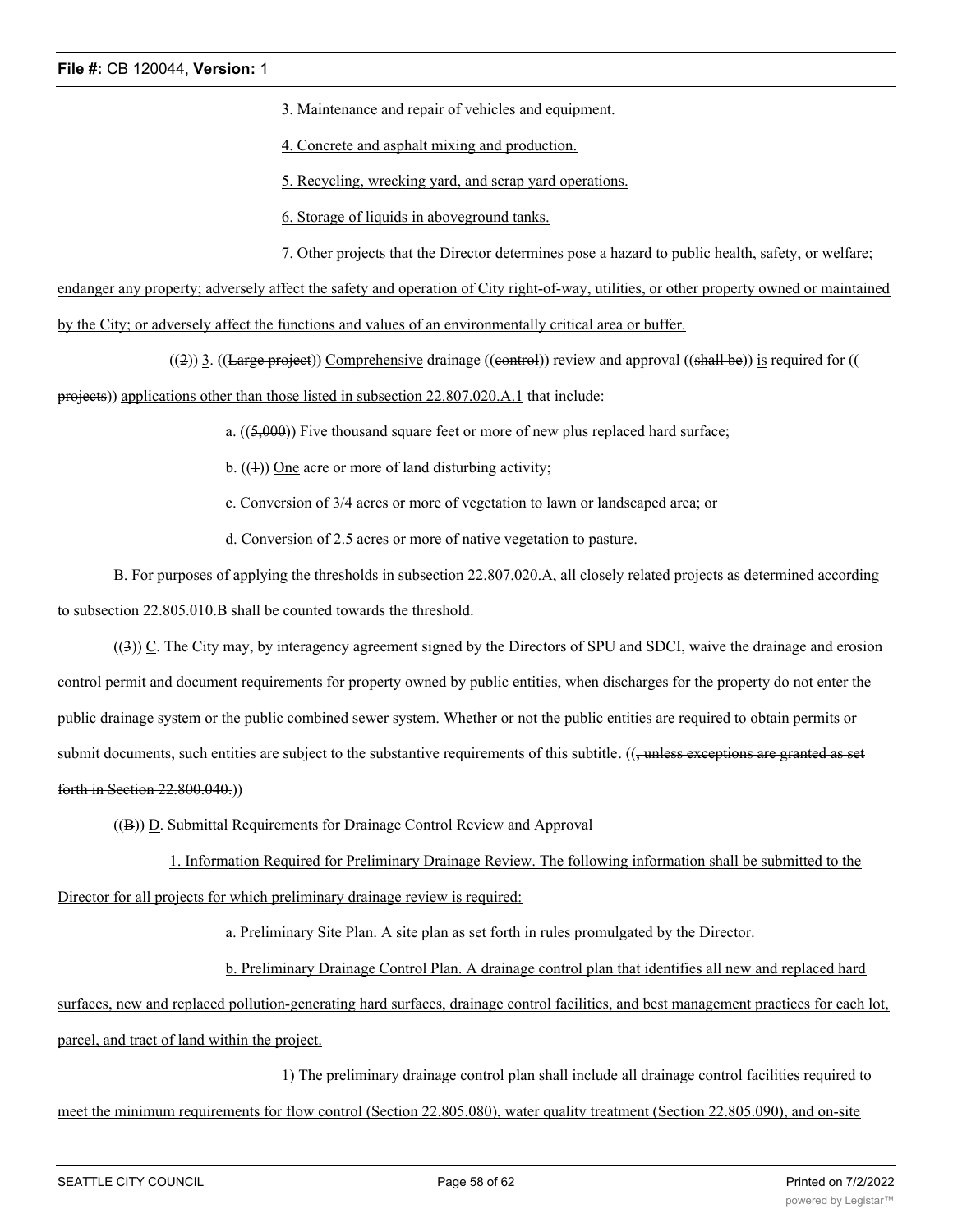3. Maintenance and repair of vehicles and equipment.

4. Concrete and asphalt mixing and production.

5. Recycling, wrecking yard, and scrap yard operations.

6. Storage of liquids in aboveground tanks.

7. Other projects that the Director determines pose a hazard to public health, safety, or welfare;

endanger any property; adversely affect the safety and operation of City right-of-way, utilities, or other property owned or maintained by the City; or adversely affect the functions and values of an environmentally critical area or buffer.

 $((2))$  3. ((Large project)) Comprehensive drainage ((control)) review and approval ((shall be)) is required for ((

projects)) applications other than those listed in subsection 22.807.020.A.1 that include:

a.  $((5,000))$  Five thousand square feet or more of new plus replaced hard surface;

b.  $((1))$  One acre or more of land disturbing activity;

c. Conversion of 3/4 acres or more of vegetation to lawn or landscaped area; or

d. Conversion of 2.5 acres or more of native vegetation to pasture.

B. For purposes of applying the thresholds in subsection 22.807.020.A, all closely related projects as determined according to subsection 22.805.010.B shall be counted towards the threshold.

((3)) C. The City may, by interagency agreement signed by the Directors of SPU and SDCI, waive the drainage and erosion control permit and document requirements for property owned by public entities, when discharges for the property do not enter the public drainage system or the public combined sewer system. Whether or not the public entities are required to obtain permits or submit documents, such entities are subject to the substantive requirements of this subtitle.  $((\tau$ unless exceptions are granted as set forth in Section 22.800.040.))

((B)) D. Submittal Requirements for Drainage Control Review and Approval

1. Information Required for Preliminary Drainage Review. The following information shall be submitted to the Director for all projects for which preliminary drainage review is required:

a. Preliminary Site Plan. A site plan as set forth in rules promulgated by the Director.

b. Preliminary Drainage Control Plan. A drainage control plan that identifies all new and replaced hard

surfaces, new and replaced pollution-generating hard surfaces, drainage control facilities, and best management practices for each lot, parcel, and tract of land within the project.

1) The preliminary drainage control plan shall include all drainage control facilities required to meet the minimum requirements for flow control (Section 22.805.080), water quality treatment (Section 22.805.090), and on-site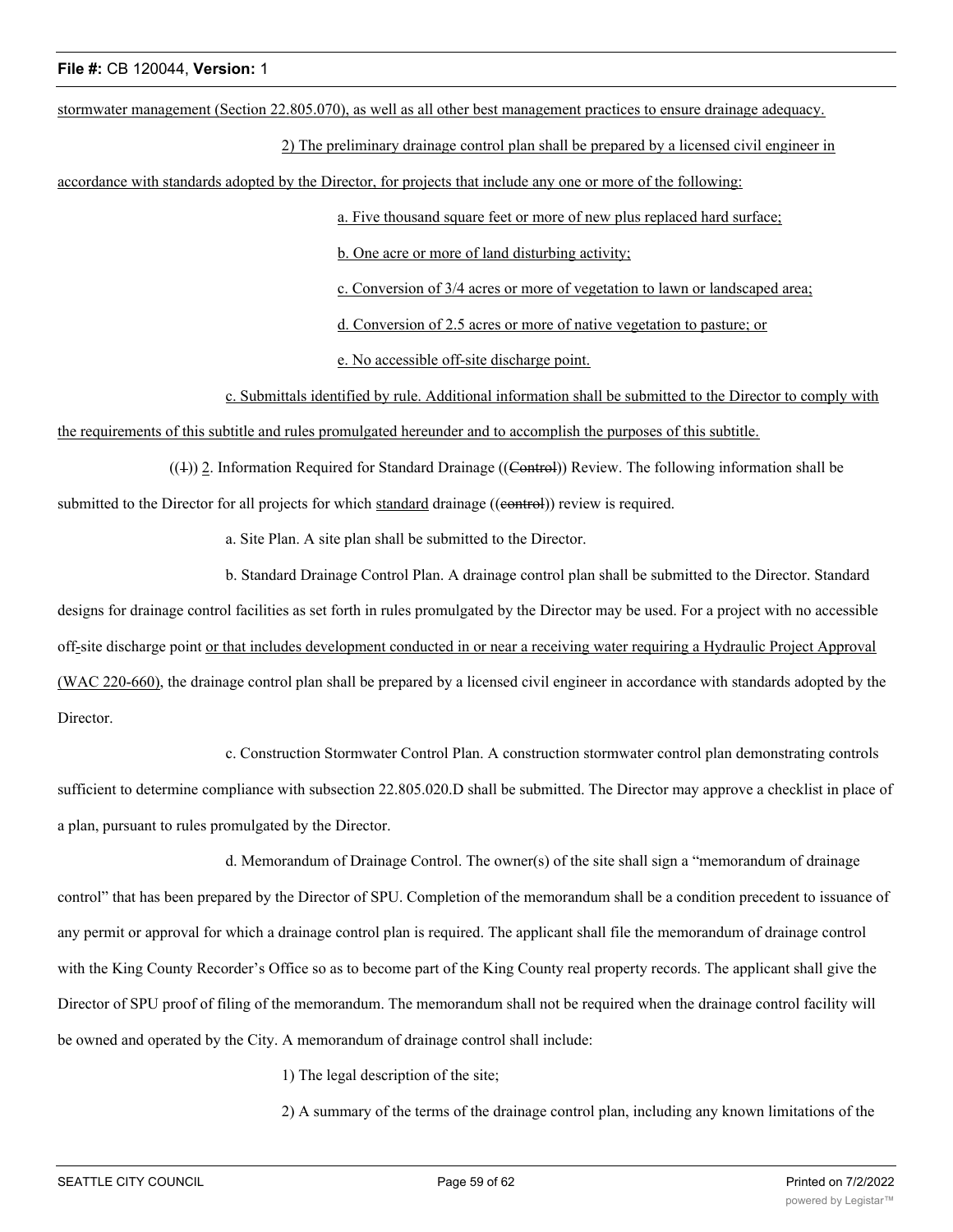stormwater management (Section 22.805.070), as well as all other best management practices to ensure drainage adequacy.

2) The preliminary drainage control plan shall be prepared by a licensed civil engineer in

accordance with standards adopted by the Director, for projects that include any one or more of the following:

a. Five thousand square feet or more of new plus replaced hard surface;

b. One acre or more of land disturbing activity;

c. Conversion of 3/4 acres or more of vegetation to lawn or landscaped area;

d. Conversion of 2.5 acres or more of native vegetation to pasture; or

e. No accessible off-site discharge point.

c. Submittals identified by rule. Additional information shall be submitted to the Director to comply with

the requirements of this subtitle and rules promulgated hereunder and to accomplish the purposes of this subtitle.

 $((+))$  2. Information Required for Standard Drainage ((Control)) Review. The following information shall be submitted to the Director for all projects for which standard drainage ((eontrol)) review is required.

a. Site Plan. A site plan shall be submitted to the Director.

b. Standard Drainage Control Plan. A drainage control plan shall be submitted to the Director. Standard

designs for drainage control facilities as set forth in rules promulgated by the Director may be used. For a project with no accessible off-site discharge point or that includes development conducted in or near a receiving water requiring a Hydraulic Project Approval (WAC 220-660), the drainage control plan shall be prepared by a licensed civil engineer in accordance with standards adopted by the Director.

c. Construction Stormwater Control Plan. A construction stormwater control plan demonstrating controls

sufficient to determine compliance with subsection 22.805.020.D shall be submitted. The Director may approve a checklist in place of a plan, pursuant to rules promulgated by the Director.

d. Memorandum of Drainage Control. The owner(s) of the site shall sign a "memorandum of drainage control" that has been prepared by the Director of SPU. Completion of the memorandum shall be a condition precedent to issuance of any permit or approval for which a drainage control plan is required. The applicant shall file the memorandum of drainage control with the King County Recorder's Office so as to become part of the King County real property records. The applicant shall give the Director of SPU proof of filing of the memorandum. The memorandum shall not be required when the drainage control facility will be owned and operated by the City. A memorandum of drainage control shall include:

1) The legal description of the site;

2) A summary of the terms of the drainage control plan, including any known limitations of the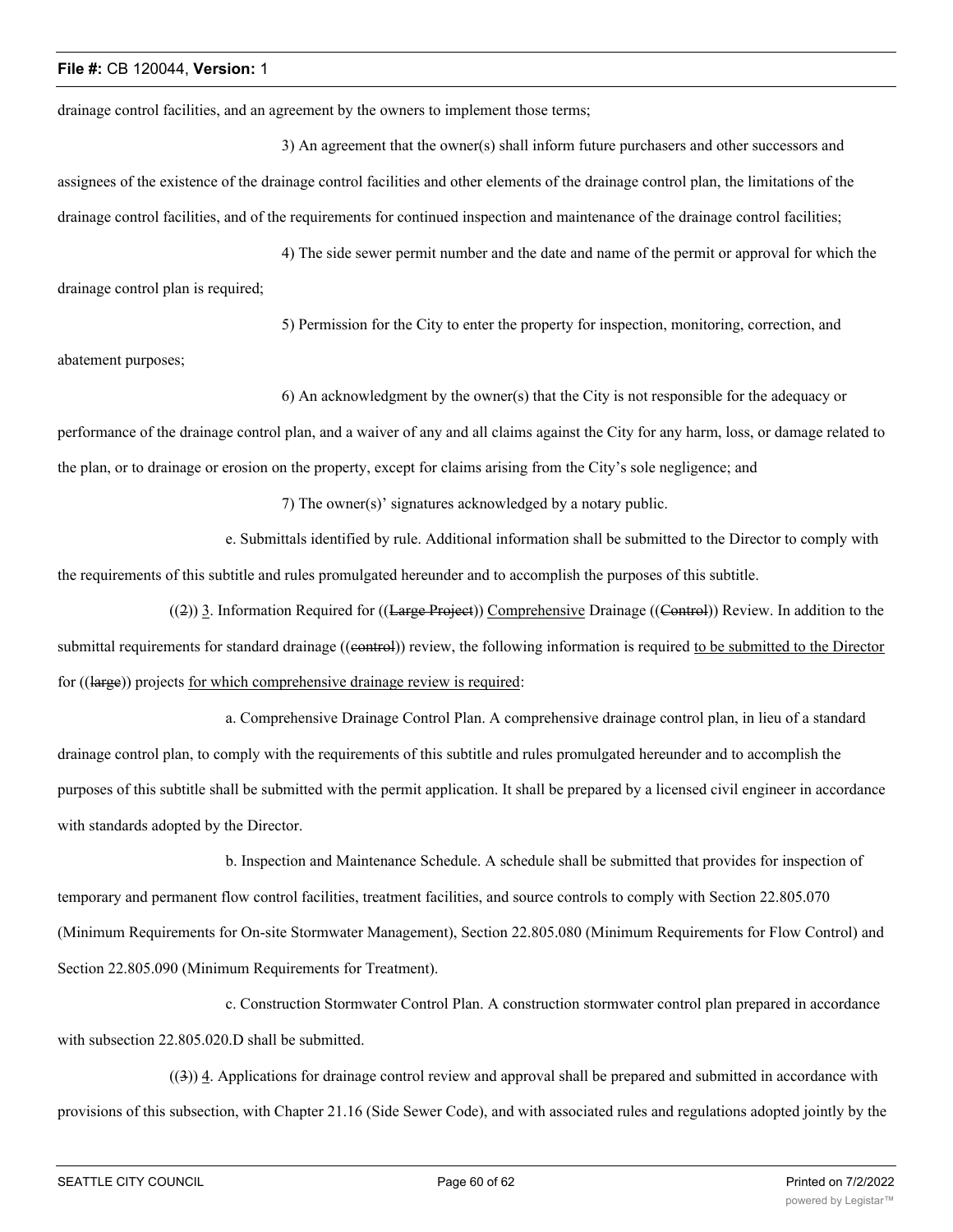drainage control facilities, and an agreement by the owners to implement those terms;

3) An agreement that the owner(s) shall inform future purchasers and other successors and assignees of the existence of the drainage control facilities and other elements of the drainage control plan, the limitations of the drainage control facilities, and of the requirements for continued inspection and maintenance of the drainage control facilities;

4) The side sewer permit number and the date and name of the permit or approval for which the drainage control plan is required;

5) Permission for the City to enter the property for inspection, monitoring, correction, and

abatement purposes;

6) An acknowledgment by the owner(s) that the City is not responsible for the adequacy or

performance of the drainage control plan, and a waiver of any and all claims against the City for any harm, loss, or damage related to the plan, or to drainage or erosion on the property, except for claims arising from the City's sole negligence; and

7) The owner(s)' signatures acknowledged by a notary public.

e. Submittals identified by rule. Additional information shall be submitted to the Director to comply with the requirements of this subtitle and rules promulgated hereunder and to accomplish the purposes of this subtitle.

 $((2))$  3. Information Required for  $((\text{Large Project}))$  Comprehensive Drainage  $((\text{Central}))$  Review. In addition to the submittal requirements for standard drainage ((control)) review, the following information is required to be submitted to the Director for ((large)) projects for which comprehensive drainage review is required:

a. Comprehensive Drainage Control Plan. A comprehensive drainage control plan, in lieu of a standard drainage control plan, to comply with the requirements of this subtitle and rules promulgated hereunder and to accomplish the purposes of this subtitle shall be submitted with the permit application. It shall be prepared by a licensed civil engineer in accordance with standards adopted by the Director.

b. Inspection and Maintenance Schedule. A schedule shall be submitted that provides for inspection of temporary and permanent flow control facilities, treatment facilities, and source controls to comply with Section 22.805.070 (Minimum Requirements for On-site Stormwater Management), Section 22.805.080 (Minimum Requirements for Flow Control) and Section 22.805.090 (Minimum Requirements for Treatment).

c. Construction Stormwater Control Plan. A construction stormwater control plan prepared in accordance with subsection 22.805.020.D shall be submitted.

((3)) 4. Applications for drainage control review and approval shall be prepared and submitted in accordance with provisions of this subsection, with Chapter 21.16 (Side Sewer Code), and with associated rules and regulations adopted jointly by the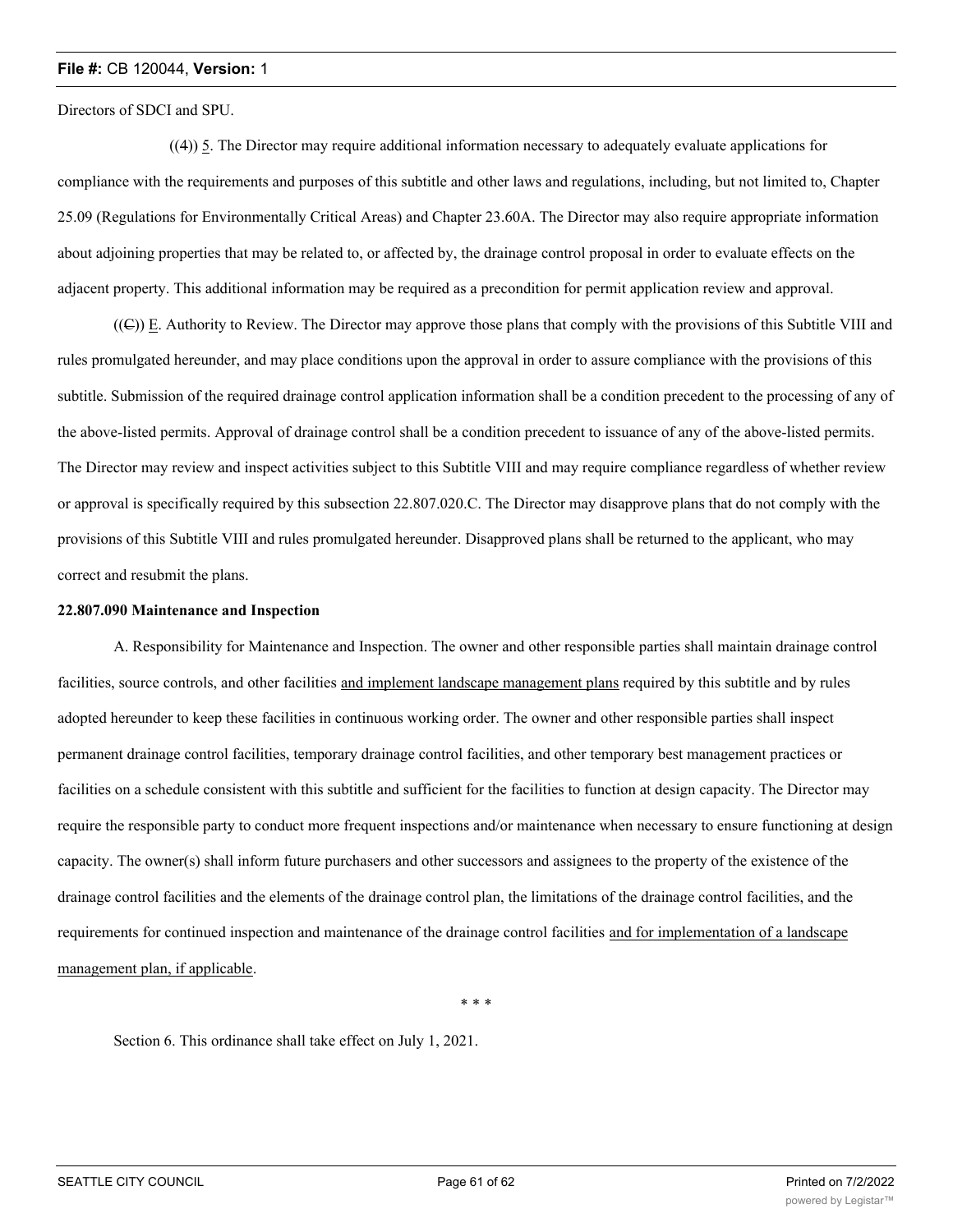Directors of SDCI and SPU.

((4)) 5. The Director may require additional information necessary to adequately evaluate applications for compliance with the requirements and purposes of this subtitle and other laws and regulations, including, but not limited to, Chapter 25.09 (Regulations for Environmentally Critical Areas) and Chapter 23.60A. The Director may also require appropriate information about adjoining properties that may be related to, or affected by, the drainage control proposal in order to evaluate effects on the adjacent property. This additional information may be required as a precondition for permit application review and approval.

((C)) E. Authority to Review. The Director may approve those plans that comply with the provisions of this Subtitle VIII and rules promulgated hereunder, and may place conditions upon the approval in order to assure compliance with the provisions of this subtitle. Submission of the required drainage control application information shall be a condition precedent to the processing of any of the above-listed permits. Approval of drainage control shall be a condition precedent to issuance of any of the above-listed permits. The Director may review and inspect activities subject to this Subtitle VIII and may require compliance regardless of whether review or approval is specifically required by this subsection 22.807.020.C. The Director may disapprove plans that do not comply with the provisions of this Subtitle VIII and rules promulgated hereunder. Disapproved plans shall be returned to the applicant, who may correct and resubmit the plans.

#### **22.807.090 Maintenance and Inspection**

A. Responsibility for Maintenance and Inspection. The owner and other responsible parties shall maintain drainage control facilities, source controls, and other facilities and implement landscape management plans required by this subtitle and by rules adopted hereunder to keep these facilities in continuous working order. The owner and other responsible parties shall inspect permanent drainage control facilities, temporary drainage control facilities, and other temporary best management practices or facilities on a schedule consistent with this subtitle and sufficient for the facilities to function at design capacity. The Director may require the responsible party to conduct more frequent inspections and/or maintenance when necessary to ensure functioning at design capacity. The owner(s) shall inform future purchasers and other successors and assignees to the property of the existence of the drainage control facilities and the elements of the drainage control plan, the limitations of the drainage control facilities, and the requirements for continued inspection and maintenance of the drainage control facilities and for implementation of a landscape management plan, if applicable.

\* \* \*

Section 6. This ordinance shall take effect on July 1, 2021.